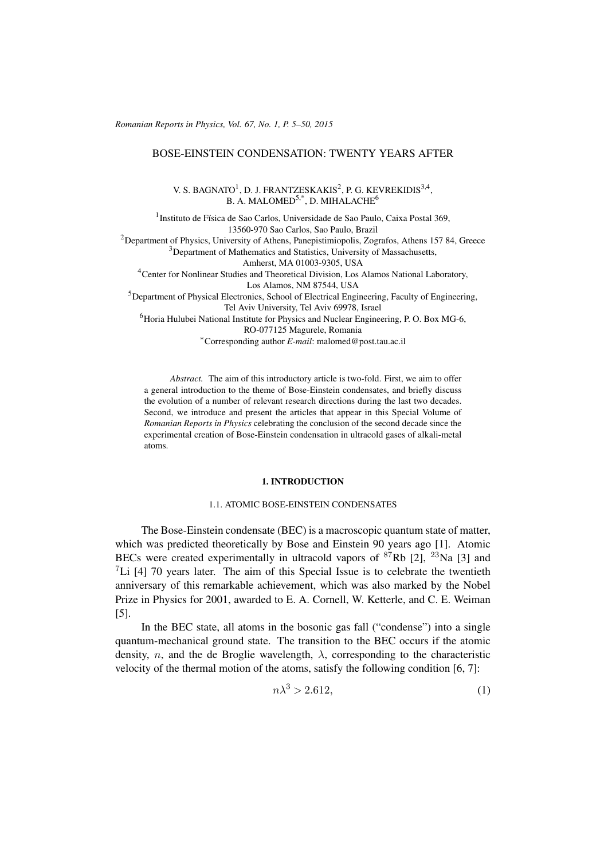*Romanian Reports in Physics, Vol. 67, No. 1, P. 5–50, 2015*

# BOSE-EINSTEIN CONDENSATION: TWENTY YEARS AFTER

V. S. BAGNATO<sup>1</sup>, D. J. FRANTZESKAKIS<sup>2</sup>, P. G. KEVREKIDIS<sup>3,4</sup>, B. A. MALOMED<sup>5,\*</sup>, D. MIHALACHE<sup>6</sup>

<sup>1</sup> Instituto de Física de Sao Carlos, Universidade de Sao Paulo, Caixa Postal 369, 13560-970 Sao Carlos, Sao Paulo, Brazil <sup>2</sup>Department of Physics, University of Athens, Panepistimiopolis, Zografos, Athens 157 84, Greece <sup>3</sup>Department of Mathematics and Statistics, University of Massachusetts, Amherst, MA 01003-9305, USA <sup>4</sup>Center for Nonlinear Studies and Theoretical Division, Los Alamos National Laboratory, Los Alamos, NM 87544, USA <sup>5</sup>Department of Physical Electronics, School of Electrical Engineering, Faculty of Engineering, Tel Aviv University, Tel Aviv 69978, Israel  $<sup>6</sup>$ Horia Hulubei National Institute for Physics and Nuclear Engineering, P. O. Box MG-6,</sup> RO-077125 Magurele, Romania <sup>∗</sup>Corresponding author *E-mail*: malomed@post.tau.ac.il

*Abstract.* The aim of this introductory article is two-fold. First, we aim to offer a general introduction to the theme of Bose-Einstein condensates, and briefly discuss the evolution of a number of relevant research directions during the last two decades. Second, we introduce and present the articles that appear in this Special Volume of *Romanian Reports in Physics* celebrating the conclusion of the second decade since the experimental creation of Bose-Einstein condensation in ultracold gases of alkali-metal atoms.

### 1. INTRODUCTION

## 1.1. ATOMIC BOSE-EINSTEIN CONDENSATES

The Bose-Einstein condensate (BEC) is a macroscopic quantum state of matter, which was predicted theoretically by Bose and Einstein 90 years ago [\[1\]](#page-26-0). Atomic BECs were created experimentally in ultracold vapors of  ${}^{87}Rb$  [\[2\]](#page-26-1),  ${}^{23}Na$  [\[3\]](#page-26-2) and  ${}^{7}$ Li [\[4\]](#page-26-3) 70 years later. The aim of this Special Issue is to celebrate the twentieth anniversary of this remarkable achievement, which was also marked by the Nobel Prize in Physics for 2001, awarded to E. A. Cornell, W. Ketterle, and C. E. Weiman [\[5\]](#page-26-4).

In the BEC state, all atoms in the bosonic gas fall ("condense") into a single quantum-mechanical ground state. The transition to the BEC occurs if the atomic density, n, and the de Broglie wavelength,  $\lambda$ , corresponding to the characteristic velocity of the thermal motion of the atoms, satisfy the following condition [\[6,](#page-26-5) [7\]](#page-26-6):

<span id="page-0-0"></span>
$$
n\lambda^3 > 2.612,\tag{1}
$$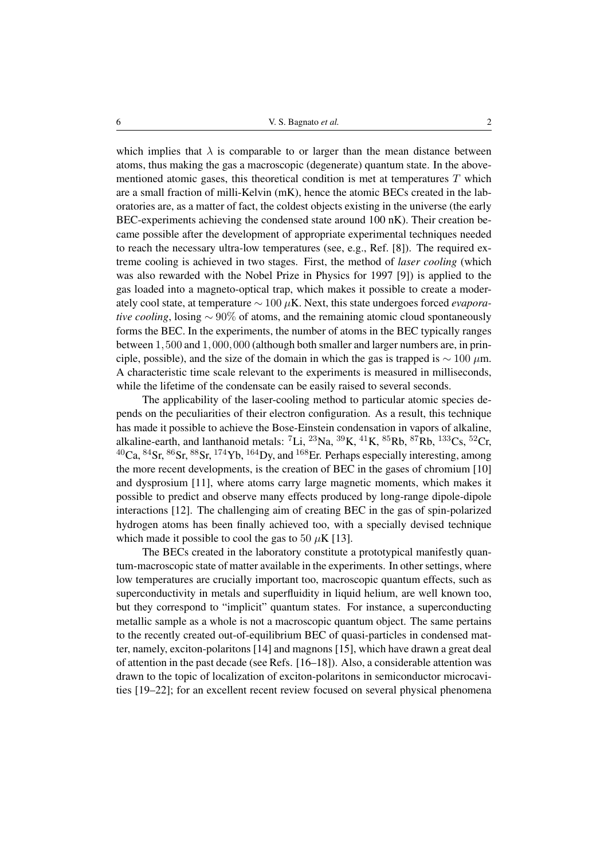which implies that  $\lambda$  is comparable to or larger than the mean distance between atoms, thus making the gas a macroscopic (degenerate) quantum state. In the abovementioned atomic gases, this theoretical condition is met at temperatures  $T$  which are a small fraction of milli-Kelvin (mK), hence the atomic BECs created in the laboratories are, as a matter of fact, the coldest objects existing in the universe (the early BEC-experiments achieving the condensed state around 100 nK). Their creation became possible after the development of appropriate experimental techniques needed to reach the necessary ultra-low temperatures (see, e.g., Ref. [\[8\]](#page-26-7)). The required extreme cooling is achieved in two stages. First, the method of *laser cooling* (which was also rewarded with the Nobel Prize in Physics for 1997 [\[9\]](#page-26-8)) is applied to the gas loaded into a magneto-optical trap, which makes it possible to create a moderately cool state, at temperature ∼ 100 µK. Next, this state undergoes forced *evaporative cooling*, losing ~ 90% of atoms, and the remaining atomic cloud spontaneously forms the BEC. In the experiments, the number of atoms in the BEC typically ranges between 1,500 and 1,000,000 (although both smaller and larger numbers are, in principle, possible), and the size of the domain in which the gas is trapped is  $\sim 100 \mu$ m. A characteristic time scale relevant to the experiments is measured in milliseconds, while the lifetime of the condensate can be easily raised to several seconds.

The applicability of the laser-cooling method to particular atomic species depends on the peculiarities of their electron configuration. As a result, this technique has made it possible to achieve the Bose-Einstein condensation in vapors of alkaline, alkaline-earth, and lanthanoid metals:  ${}^{7}Li$ ,  ${}^{23}Na$ ,  ${}^{39}K$ ,  ${}^{41}K$ ,  ${}^{85}Rb$ ,  ${}^{87}Rb$ ,  ${}^{133}Cs$ ,  ${}^{52}Cr$ ,  ${}^{40}Ca$ ,  ${}^{84}Sr$ ,  ${}^{86}Sr$ ,  ${}^{88}Sr$ ,  ${}^{174}Yb$ ,  ${}^{164}Dy$ , and  ${}^{168}Er$ . Perhaps especially interesting, among the more recent developments, is the creation of BEC in the gases of chromium [\[10\]](#page-27-0) and dysprosium [\[11\]](#page-27-1), where atoms carry large magnetic moments, which makes it possible to predict and observe many effects produced by long-range dipole-dipole interactions [\[12\]](#page-27-2). The challenging aim of creating BEC in the gas of spin-polarized hydrogen atoms has been finally achieved too, with a specially devised technique which made it possible to cool the gas to 50  $\mu$ K [\[13\]](#page-27-3).

The BECs created in the laboratory constitute a prototypical manifestly quantum-macroscopic state of matter available in the experiments. In other settings, where low temperatures are crucially important too, macroscopic quantum effects, such as superconductivity in metals and superfluidity in liquid helium, are well known too, but they correspond to "implicit" quantum states. For instance, a superconducting metallic sample as a whole is not a macroscopic quantum object. The same pertains to the recently created out-of-equilibrium BEC of quasi-particles in condensed matter, namely, exciton-polaritons [\[14\]](#page-27-4) and magnons [\[15\]](#page-27-5), which have drawn a great deal of attention in the past decade (see Refs. [\[16](#page-27-6)[–18\]](#page-27-7)). Also, a considerable attention was drawn to the topic of localization of exciton-polaritons in semiconductor microcavities [\[19–](#page-27-8)[22\]](#page-27-9); for an excellent recent review focused on several physical phenomena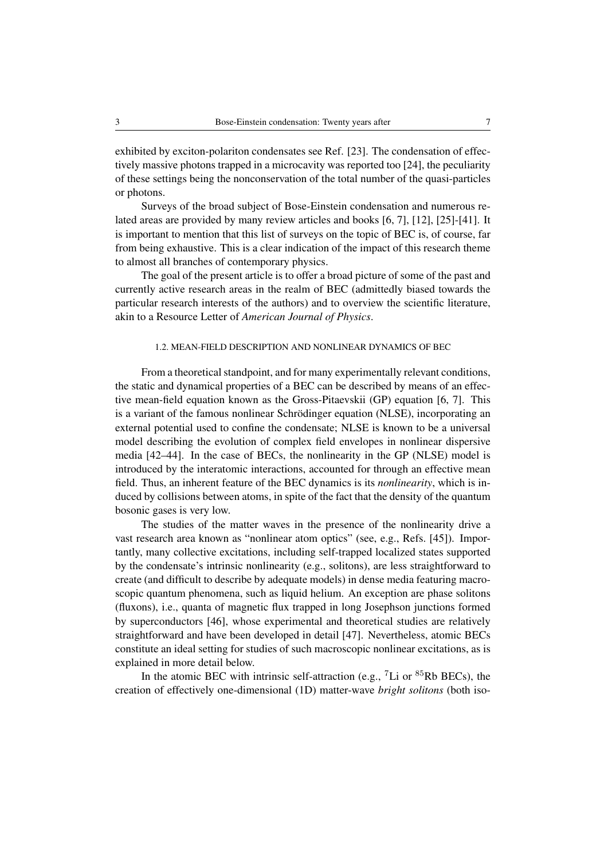exhibited by exciton-polariton condensates see Ref. [\[23\]](#page-27-10). The condensation of effectively massive photons trapped in a microcavity was reported too [\[24\]](#page-27-11), the peculiarity of these settings being the nonconservation of the total number of the quasi-particles or photons.

Surveys of the broad subject of Bose-Einstein condensation and numerous related areas are provided by many review articles and books [\[6,](#page-26-5) [7\]](#page-26-6), [\[12\]](#page-27-2), [\[25\]](#page-27-12)-[\[41\]](#page-28-0). It is important to mention that this list of surveys on the topic of BEC is, of course, far from being exhaustive. This is a clear indication of the impact of this research theme to almost all branches of contemporary physics.

The goal of the present article is to offer a broad picture of some of the past and currently active research areas in the realm of BEC (admittedly biased towards the particular research interests of the authors) and to overview the scientific literature, akin to a Resource Letter of *American Journal of Physics*.

## 1.2. MEAN-FIELD DESCRIPTION AND NONLINEAR DYNAMICS OF BEC

From a theoretical standpoint, and for many experimentally relevant conditions, the static and dynamical properties of a BEC can be described by means of an effective mean-field equation known as the Gross-Pitaevskii (GP) equation [\[6,](#page-26-5) [7\]](#page-26-6). This is a variant of the famous nonlinear Schrödinger equation (NLSE), incorporating an external potential used to confine the condensate; NLSE is known to be a universal model describing the evolution of complex field envelopes in nonlinear dispersive media [\[42–](#page-28-1)[44\]](#page-28-2). In the case of BECs, the nonlinearity in the GP (NLSE) model is introduced by the interatomic interactions, accounted for through an effective mean field. Thus, an inherent feature of the BEC dynamics is its *nonlinearity*, which is induced by collisions between atoms, in spite of the fact that the density of the quantum bosonic gases is very low.

The studies of the matter waves in the presence of the nonlinearity drive a vast research area known as "nonlinear atom optics" (see, e.g., Refs. [\[45\]](#page-28-3)). Importantly, many collective excitations, including self-trapped localized states supported by the condensate's intrinsic nonlinearity (e.g., solitons), are less straightforward to create (and difficult to describe by adequate models) in dense media featuring macroscopic quantum phenomena, such as liquid helium. An exception are phase solitons (fluxons), i.e., quanta of magnetic flux trapped in long Josephson junctions formed by superconductors [\[46\]](#page-28-4), whose experimental and theoretical studies are relatively straightforward and have been developed in detail [\[47\]](#page-28-5). Nevertheless, atomic BECs constitute an ideal setting for studies of such macroscopic nonlinear excitations, as is explained in more detail below.

In the atomic BEC with intrinsic self-attraction (e.g.,  $^7$ Li or  $^{85}$ Rb BECs), the creation of effectively one-dimensional (1D) matter-wave *bright solitons* (both iso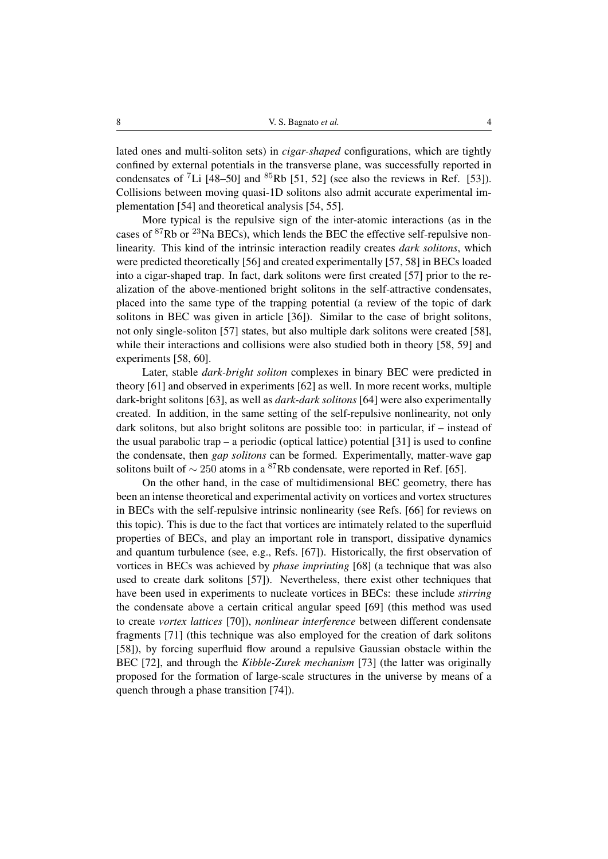lated ones and multi-soliton sets) in *cigar-shaped* configurations, which are tightly confined by external potentials in the transverse plane, was successfully reported in condensates of <sup>7</sup>Li [\[48–](#page-28-6)[50\]](#page-29-0) and <sup>85</sup>Rb [\[51,](#page-29-1) [52\]](#page-29-2) (see also the reviews in Ref. [\[53\]](#page-29-3)). Collisions between moving quasi-1D solitons also admit accurate experimental implementation [\[54\]](#page-29-4) and theoretical analysis [\[54,](#page-29-4) [55\]](#page-29-5).

More typical is the repulsive sign of the inter-atomic interactions (as in the cases of  ${}^{87}$ Rb or  ${}^{23}$ Na BECs), which lends the BEC the effective self-repulsive nonlinearity. This kind of the intrinsic interaction readily creates *dark solitons*, which were predicted theoretically [\[56\]](#page-29-6) and created experimentally [\[57,](#page-29-7) [58\]](#page-29-8) in BECs loaded into a cigar-shaped trap. In fact, dark solitons were first created [\[57\]](#page-29-7) prior to the realization of the above-mentioned bright solitons in the self-attractive condensates, placed into the same type of the trapping potential (a review of the topic of dark solitons in BEC was given in article [\[36\]](#page-28-7)). Similar to the case of bright solitons, not only single-soliton [\[57\]](#page-29-7) states, but also multiple dark solitons were created [\[58\]](#page-29-8), while their interactions and collisions were also studied both in theory [\[58,](#page-29-8) [59\]](#page-29-9) and experiments [\[58,](#page-29-8) [60\]](#page-29-10).

Later, stable *dark-bright soliton* complexes in binary BEC were predicted in theory [\[61\]](#page-29-11) and observed in experiments [\[62\]](#page-29-12) as well. In more recent works, multiple dark-bright solitons [\[63\]](#page-29-13), as well as *dark-dark solitons* [\[64\]](#page-30-0) were also experimentally created. In addition, in the same setting of the self-repulsive nonlinearity, not only dark solitons, but also bright solitons are possible too: in particular, if – instead of the usual parabolic trap – a periodic (optical lattice) potential  $[31]$  is used to confine the condensate, then *gap solitons* can be formed. Experimentally, matter-wave gap solitons built of  $\sim$  250 atoms in a <sup>87</sup>Rb condensate, were reported in Ref. [\[65\]](#page-30-1).

On the other hand, in the case of multidimensional BEC geometry, there has been an intense theoretical and experimental activity on vortices and vortex structures in BECs with the self-repulsive intrinsic nonlinearity (see Refs. [\[66\]](#page-30-2) for reviews on this topic). This is due to the fact that vortices are intimately related to the superfluid properties of BECs, and play an important role in transport, dissipative dynamics and quantum turbulence (see, e.g., Refs. [\[67\]](#page-30-3)). Historically, the first observation of vortices in BECs was achieved by *phase imprinting* [\[68\]](#page-30-4) (a technique that was also used to create dark solitons [\[57\]](#page-29-7)). Nevertheless, there exist other techniques that have been used in experiments to nucleate vortices in BECs: these include *stirring* the condensate above a certain critical angular speed [\[69\]](#page-30-5) (this method was used to create *vortex lattices* [\[70\]](#page-30-6)), *nonlinear interference* between different condensate fragments [\[71\]](#page-30-7) (this technique was also employed for the creation of dark solitons [\[58\]](#page-29-8)), by forcing superfluid flow around a repulsive Gaussian obstacle within the BEC [\[72\]](#page-30-8), and through the *Kibble-Zurek mechanism* [\[73\]](#page-30-9) (the latter was originally proposed for the formation of large-scale structures in the universe by means of a quench through a phase transition [\[74\]](#page-30-10)).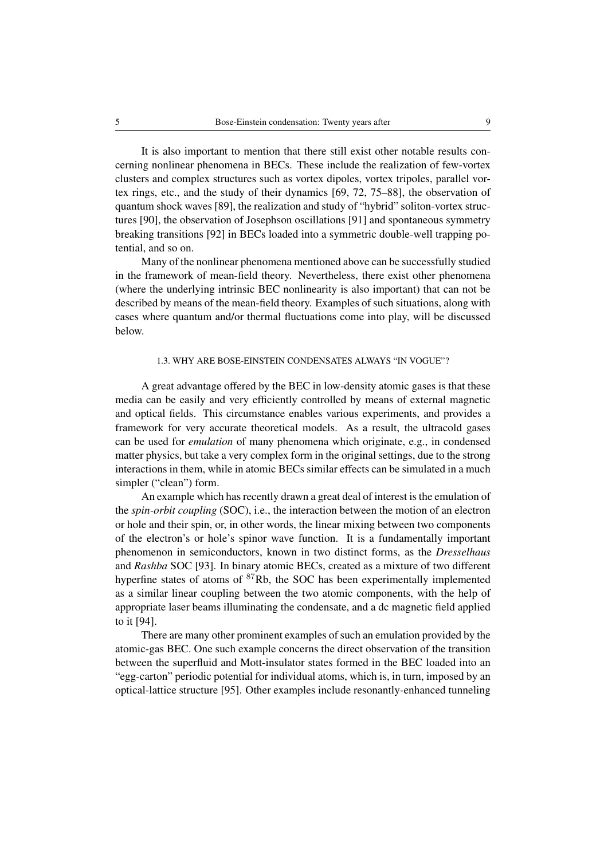It is also important to mention that there still exist other notable results concerning nonlinear phenomena in BECs. These include the realization of few-vortex clusters and complex structures such as vortex dipoles, vortex tripoles, parallel vortex rings, etc., and the study of their dynamics [\[69,](#page-30-5) [72,](#page-30-8) [75](#page-30-11)[–88\]](#page-31-0), the observation of quantum shock waves [\[89\]](#page-31-1), the realization and study of "hybrid" soliton-vortex structures [\[90\]](#page-31-2), the observation of Josephson oscillations [\[91\]](#page-32-0) and spontaneous symmetry breaking transitions [\[92\]](#page-32-1) in BECs loaded into a symmetric double-well trapping potential, and so on.

Many of the nonlinear phenomena mentioned above can be successfully studied in the framework of mean-field theory. Nevertheless, there exist other phenomena (where the underlying intrinsic BEC nonlinearity is also important) that can not be described by means of the mean-field theory. Examples of such situations, along with cases where quantum and/or thermal fluctuations come into play, will be discussed below.

## 1.3. WHY ARE BOSE-EINSTEIN CONDENSATES ALWAYS "IN VOGUE"?

A great advantage offered by the BEC in low-density atomic gases is that these media can be easily and very efficiently controlled by means of external magnetic and optical fields. This circumstance enables various experiments, and provides a framework for very accurate theoretical models. As a result, the ultracold gases can be used for *emulation* of many phenomena which originate, e.g., in condensed matter physics, but take a very complex form in the original settings, due to the strong interactions in them, while in atomic BECs similar effects can be simulated in a much simpler ("clean") form.

An example which has recently drawn a great deal of interest is the emulation of the *spin-orbit coupling* (SOC), i.e., the interaction between the motion of an electron or hole and their spin, or, in other words, the linear mixing between two components of the electron's or hole's spinor wave function. It is a fundamentally important phenomenon in semiconductors, known in two distinct forms, as the *Dresselhaus* and *Rashba* SOC [\[93\]](#page-32-2). In binary atomic BECs, created as a mixture of two different hyperfine states of atoms of <sup>87</sup>Rb, the SOC has been experimentally implemented as a similar linear coupling between the two atomic components, with the help of appropriate laser beams illuminating the condensate, and a dc magnetic field applied to it [\[94\]](#page-32-3).

There are many other prominent examples of such an emulation provided by the atomic-gas BEC. One such example concerns the direct observation of the transition between the superfluid and Mott-insulator states formed in the BEC loaded into an "egg-carton" periodic potential for individual atoms, which is, in turn, imposed by an optical-lattice structure [\[95\]](#page-32-4). Other examples include resonantly-enhanced tunneling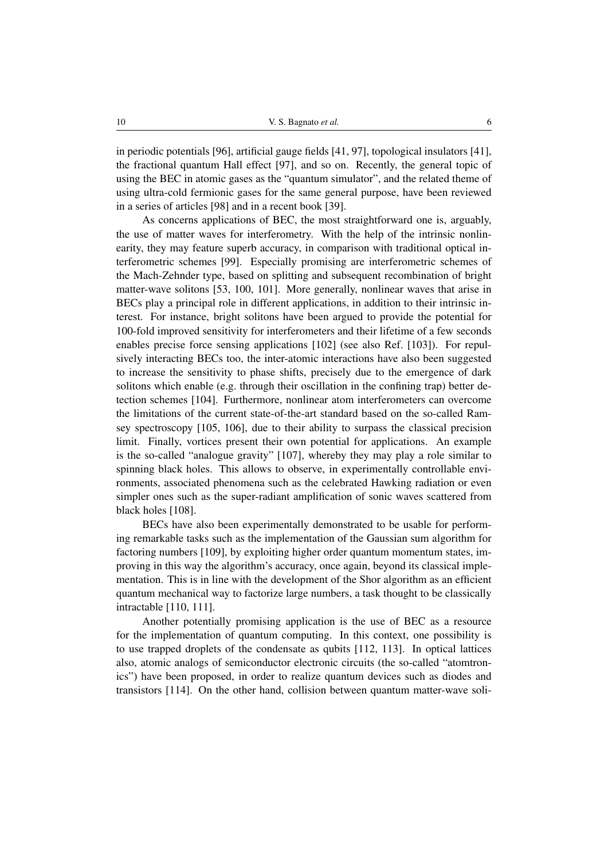in periodic potentials [\[96\]](#page-32-5), artificial gauge fields [\[41,](#page-28-0) [97\]](#page-32-6), topological insulators [\[41\]](#page-28-0), the fractional quantum Hall effect [\[97\]](#page-32-6), and so on. Recently, the general topic of using the BEC in atomic gases as the "quantum simulator", and the related theme of using ultra-cold fermionic gases for the same general purpose, have been reviewed in a series of articles [\[98\]](#page-32-7) and in a recent book [\[39\]](#page-28-9).

As concerns applications of BEC, the most straightforward one is, arguably, the use of matter waves for interferometry. With the help of the intrinsic nonlinearity, they may feature superb accuracy, in comparison with traditional optical interferometric schemes [\[99\]](#page-32-8). Especially promising are interferometric schemes of the Mach-Zehnder type, based on splitting and subsequent recombination of bright matter-wave solitons [\[53,](#page-29-3) [100,](#page-32-9) [101\]](#page-33-0). More generally, nonlinear waves that arise in BECs play a principal role in different applications, in addition to their intrinsic interest. For instance, bright solitons have been argued to provide the potential for 100-fold improved sensitivity for interferometers and their lifetime of a few seconds enables precise force sensing applications [\[102\]](#page-33-1) (see also Ref. [\[103\]](#page-33-2)). For repulsively interacting BECs too, the inter-atomic interactions have also been suggested to increase the sensitivity to phase shifts, precisely due to the emergence of dark solitons which enable (e.g. through their oscillation in the confining trap) better detection schemes [\[104\]](#page-33-3). Furthermore, nonlinear atom interferometers can overcome the limitations of the current state-of-the-art standard based on the so-called Ramsey spectroscopy [\[105,](#page-33-4) [106\]](#page-33-5), due to their ability to surpass the classical precision limit. Finally, vortices present their own potential for applications. An example is the so-called "analogue gravity" [\[107\]](#page-33-6), whereby they may play a role similar to spinning black holes. This allows to observe, in experimentally controllable environments, associated phenomena such as the celebrated Hawking radiation or even simpler ones such as the super-radiant amplification of sonic waves scattered from black holes [\[108\]](#page-33-7).

BECs have also been experimentally demonstrated to be usable for performing remarkable tasks such as the implementation of the Gaussian sum algorithm for factoring numbers [\[109\]](#page-33-8), by exploiting higher order quantum momentum states, improving in this way the algorithm's accuracy, once again, beyond its classical implementation. This is in line with the development of the Shor algorithm as an efficient quantum mechanical way to factorize large numbers, a task thought to be classically intractable [\[110,](#page-33-9) [111\]](#page-33-10).

Another potentially promising application is the use of BEC as a resource for the implementation of quantum computing. In this context, one possibility is to use trapped droplets of the condensate as qubits [\[112,](#page-33-11) [113\]](#page-33-12). In optical lattices also, atomic analogs of semiconductor electronic circuits (the so-called "atomtronics") have been proposed, in order to realize quantum devices such as diodes and transistors [\[114\]](#page-33-13). On the other hand, collision between quantum matter-wave soli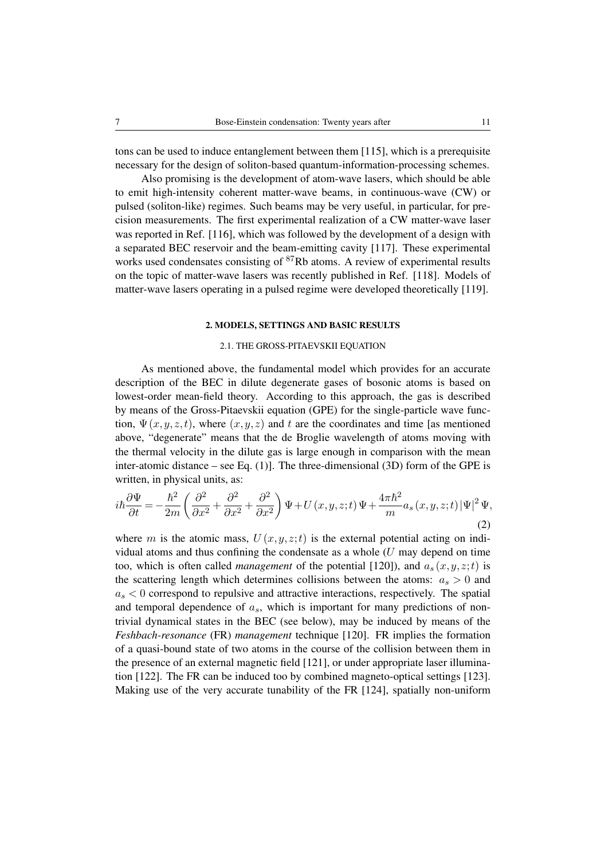tons can be used to induce entanglement between them [\[115\]](#page-33-14), which is a prerequisite necessary for the design of soliton-based quantum-information-processing schemes.

Also promising is the development of atom-wave lasers, which should be able to emit high-intensity coherent matter-wave beams, in continuous-wave (CW) or pulsed (soliton-like) regimes. Such beams may be very useful, in particular, for precision measurements. The first experimental realization of a CW matter-wave laser was reported in Ref. [\[116\]](#page-33-15), which was followed by the development of a design with a separated BEC reservoir and the beam-emitting cavity [\[117\]](#page-33-16). These experimental works used condensates consisting of  ${}^{87}$ Rb atoms. A review of experimental results on the topic of matter-wave lasers was recently published in Ref. [\[118\]](#page-33-17). Models of matter-wave lasers operating in a pulsed regime were developed theoretically [\[119\]](#page-33-18).

#### 2. MODELS, SETTINGS AND BASIC RESULTS

#### <span id="page-6-0"></span>2.1. THE GROSS-PITAEVSKII EQUATION

As mentioned above, the fundamental model which provides for an accurate description of the BEC in dilute degenerate gases of bosonic atoms is based on lowest-order mean-field theory. According to this approach, the gas is described by means of the Gross-Pitaevskii equation (GPE) for the single-particle wave function,  $\Psi(x,y,z,t)$ , where  $(x,y,z)$  and t are the coordinates and time [as mentioned above, "degenerate" means that the de Broglie wavelength of atoms moving with the thermal velocity in the dilute gas is large enough in comparison with the mean inter-atomic distance – see Eq.  $(1)$ ]. The three-dimensional  $(3D)$  form of the GPE is written, in physical units, as:

$$
i\hbar\frac{\partial\Psi}{\partial t} = -\frac{\hbar^2}{2m} \left(\frac{\partial^2}{\partial x^2} + \frac{\partial^2}{\partial x^2} + \frac{\partial^2}{\partial x^2}\right)\Psi + U(x, y, z; t)\Psi + \frac{4\pi\hbar^2}{m}a_s(x, y, z; t)\Psi|^2\Psi,
$$
\n(2)

where m is the atomic mass,  $U(x, y, z; t)$  is the external potential acting on individual atoms and thus confining the condensate as a whole  $(U$  may depend on time too, which is often called *management* of the potential [\[120\]](#page-34-0)), and  $a_s(x, y, z; t)$  is the scattering length which determines collisions between the atoms:  $a_s > 0$  and  $a_s < 0$  correspond to repulsive and attractive interactions, respectively. The spatial and temporal dependence of  $a_s$ , which is important for many predictions of nontrivial dynamical states in the BEC (see below), may be induced by means of the *Feshbach-resonance* (FR) *management* technique [\[120\]](#page-34-0). FR implies the formation of a quasi-bound state of two atoms in the course of the collision between them in the presence of an external magnetic field [\[121\]](#page-34-1), or under appropriate laser illumination [\[122\]](#page-34-2). The FR can be induced too by combined magneto-optical settings [\[123\]](#page-34-3). Making use of the very accurate tunability of the FR [\[124\]](#page-34-4), spatially non-uniform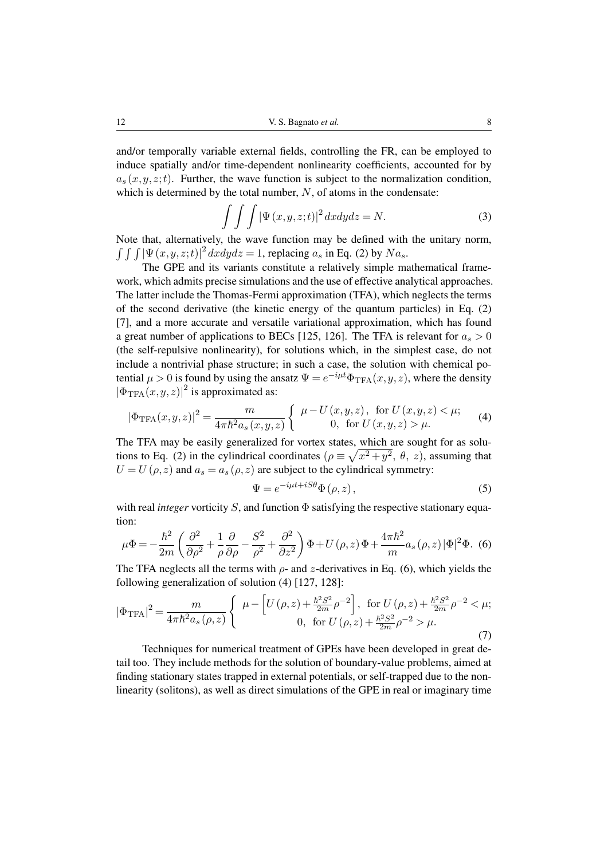and/or temporally variable external fields, controlling the FR, can be employed to induce spatially and/or time-dependent nonlinearity coefficients, accounted for by  $a_s(x,y,z;t)$ . Further, the wave function is subject to the normalization condition, which is determined by the total number,  $N$ , of atoms in the condensate:

<span id="page-7-2"></span>
$$
\int \int \int |\Psi(x, y, z; t)|^2 dx dy dz = N.
$$
 (3)

Note that, alternatively, the wave function may be defined with the unitary norm,  $\int \int \int |\Psi(x, y, z; t)|^2 dx dy dz = 1$ , replacing  $a_s$  in Eq. [\(2\)](#page-6-0) by  $Na_s$ .

The GPE and its variants constitute a relatively simple mathematical framework, which admits precise simulations and the use of effective analytical approaches. The latter include the Thomas-Fermi approximation (TFA), which neglects the terms of the second derivative (the kinetic energy of the quantum particles) in Eq. [\(2\)](#page-6-0) [\[7\]](#page-26-6), and a more accurate and versatile variational approximation, which has found a great number of applications to BECs [\[125,](#page-34-5) [126\]](#page-34-6). The TFA is relevant for  $a_s > 0$ (the self-repulsive nonlinearity), for solutions which, in the simplest case, do not include a nontrivial phase structure; in such a case, the solution with chemical potential  $\mu > 0$  is found by using the ansatz  $\Psi = e^{-i\mu t} \Phi_{\text{TFA}}(x, y, z)$ , where the density  $|\Phi_{\text{TFA}}(x,y,z)|^2$  is approximated as:

$$
|\Phi_{\text{TFA}}(x,y,z)|^2 = \frac{m}{4\pi\hbar^2 a_s(x,y,z)} \begin{cases} \mu - U(x,y,z), & \text{for } U(x,y,z) < \mu; \\ 0, & \text{for } U(x,y,z) > \mu. \end{cases}
$$
 (4)

The TFA may be easily generalized for vortex states, which are sought for as solu-tions to Eq. [\(2\)](#page-6-0) in the cylindrical coordinates  $(\rho \equiv \sqrt{x^2 + y^2}, \theta, z)$ , assuming that  $U = U(\rho, z)$  and  $a_s = a_s(\rho, z)$  are subject to the cylindrical symmetry:

<span id="page-7-3"></span><span id="page-7-1"></span>
$$
\Psi = e^{-i\mu t + iS\theta} \Phi(\rho, z),\tag{5}
$$

<span id="page-7-0"></span>with real *integer* vorticity S, and function Φ satisfying the respective stationary equation:

$$
\mu \Phi = -\frac{\hbar^2}{2m} \left( \frac{\partial^2}{\partial \rho^2} + \frac{1}{\rho} \frac{\partial}{\partial \rho} - \frac{S^2}{\rho^2} + \frac{\partial^2}{\partial z^2} \right) \Phi + U(\rho, z) \Phi + \frac{4\pi \hbar^2}{m} a_s(\rho, z) |\Phi|^2 \Phi. (6)
$$

The TFA neglects all the terms with  $\rho$ - and z-derivatives in Eq. [\(6\)](#page-7-0), which yields the following generalization of solution [\(4\)](#page-7-1) [\[127,](#page-34-7) [128\]](#page-34-8):

$$
|\Phi_{\text{TFA}}|^2 = \frac{m}{4\pi\hbar^2 a_s(\rho, z)} \begin{cases} \mu - \left[ U(\rho, z) + \frac{\hbar^2 S^2}{2m} \rho^{-2} \right], & \text{for } U(\rho, z) + \frac{\hbar^2 S^2}{2m} \rho^{-2} < \mu; \\ 0, & \text{for } U(\rho, z) + \frac{\hbar^2 S^2}{2m} \rho^{-2} > \mu. \end{cases}
$$
(7)

Techniques for numerical treatment of GPEs have been developed in great detail too. They include methods for the solution of boundary-value problems, aimed at finding stationary states trapped in external potentials, or self-trapped due to the nonlinearity (solitons), as well as direct simulations of the GPE in real or imaginary time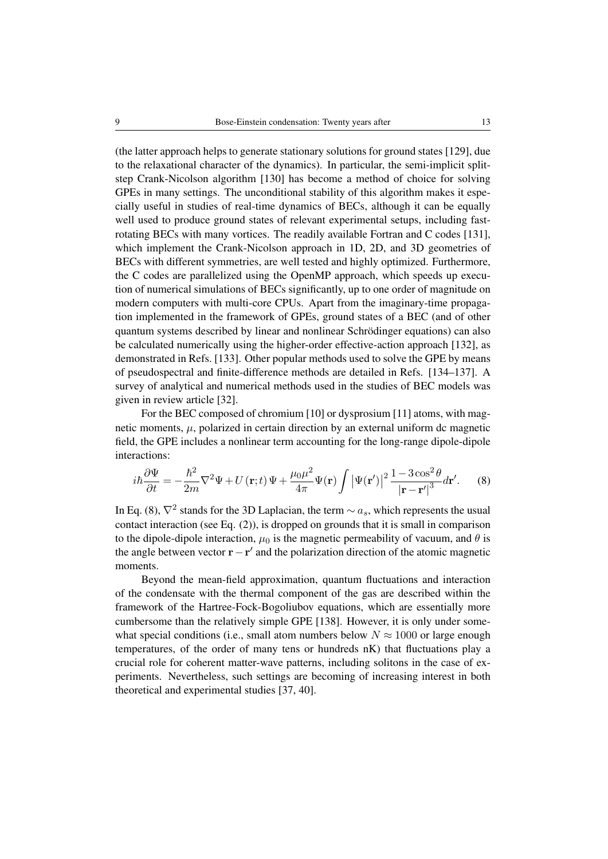(the latter approach helps to generate stationary solutions for ground states [\[129\]](#page-34-9), due to the relaxational character of the dynamics). In particular, the semi-implicit splitstep Crank-Nicolson algorithm [\[130\]](#page-34-10) has become a method of choice for solving GPEs in many settings. The unconditional stability of this algorithm makes it especially useful in studies of real-time dynamics of BECs, although it can be equally well used to produce ground states of relevant experimental setups, including fastrotating BECs with many vortices. The readily available Fortran and C codes [\[131\]](#page-34-11), which implement the Crank-Nicolson approach in 1D, 2D, and 3D geometries of BECs with different symmetries, are well tested and highly optimized. Furthermore, the C codes are parallelized using the OpenMP approach, which speeds up execution of numerical simulations of BECs significantly, up to one order of magnitude on modern computers with multi-core CPUs. Apart from the imaginary-time propagation implemented in the framework of GPEs, ground states of a BEC (and of other quantum systems described by linear and nonlinear Schrodinger equations) can also ¨ be calculated numerically using the higher-order effective-action approach [\[132\]](#page-35-0), as demonstrated in Refs. [\[133\]](#page-35-1). Other popular methods used to solve the GPE by means of pseudospectral and finite-difference methods are detailed in Refs. [\[134](#page-35-2)[–137\]](#page-35-3). A survey of analytical and numerical methods used in the studies of BEC models was given in review article [\[32\]](#page-28-10).

For the BEC composed of chromium [\[10\]](#page-27-0) or dysprosium [\[11\]](#page-27-1) atoms, with magnetic moments,  $\mu$ , polarized in certain direction by an external uniform dc magnetic field, the GPE includes a nonlinear term accounting for the long-range dipole-dipole interactions:

<span id="page-8-0"></span>
$$
i\hbar\frac{\partial\Psi}{\partial t} = -\frac{\hbar^2}{2m}\nabla^2\Psi + U(\mathbf{r};t)\Psi + \frac{\mu_0\mu^2}{4\pi}\Psi(\mathbf{r})\int |\Psi(\mathbf{r}')|^2 \frac{1 - 3\cos^2\theta}{|\mathbf{r} - \mathbf{r}'|^3}d\mathbf{r}'.\tag{8}
$$

In Eq. [\(8\)](#page-8-0),  $\nabla^2$  stands for the 3D Laplacian, the term  $\sim a_s$ , which represents the usual contact interaction (see Eq. [\(2\)](#page-6-0)), is dropped on grounds that it is small in comparison to the dipole-dipole interaction,  $\mu_0$  is the magnetic permeability of vacuum, and  $\theta$  is the angle between vector  $\mathbf{r} - \mathbf{r}'$  and the polarization direction of the atomic magnetic moments.

Beyond the mean-field approximation, quantum fluctuations and interaction of the condensate with the thermal component of the gas are described within the framework of the Hartree-Fock-Bogoliubov equations, which are essentially more cumbersome than the relatively simple GPE [\[138\]](#page-35-4). However, it is only under somewhat special conditions (i.e., small atom numbers below  $N \approx 1000$  or large enough temperatures, of the order of many tens or hundreds nK) that fluctuations play a crucial role for coherent matter-wave patterns, including solitons in the case of experiments. Nevertheless, such settings are becoming of increasing interest in both theoretical and experimental studies [\[37,](#page-28-11) [40\]](#page-28-12).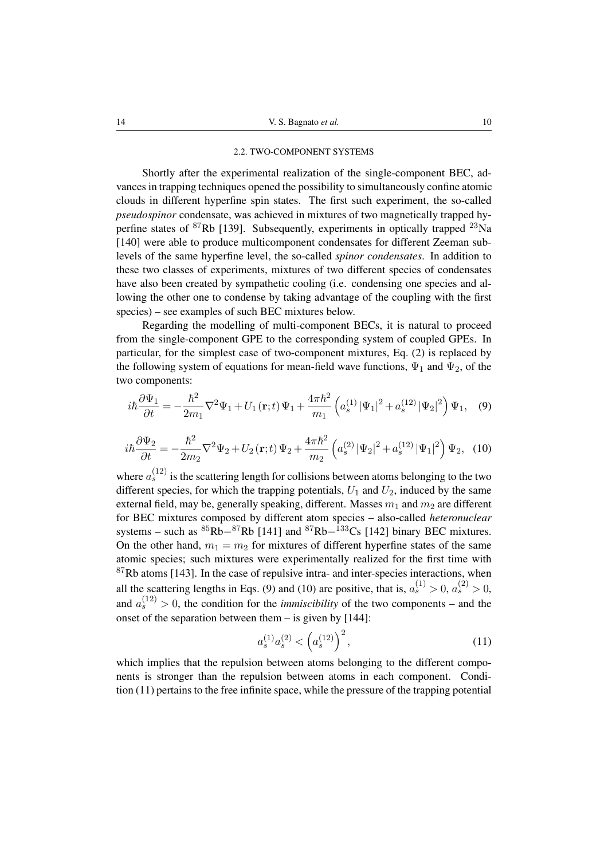#### 2.2. TWO-COMPONENT SYSTEMS

Shortly after the experimental realization of the single-component BEC, advances in trapping techniques opened the possibility to simultaneously confine atomic clouds in different hyperfine spin states. The first such experiment, the so-called *pseudospinor* condensate, was achieved in mixtures of two magnetically trapped hyperfine states of  ${}^{87}$ Rb [\[139\]](#page-36-0). Subsequently, experiments in optically trapped  ${}^{23}$ Na [\[140\]](#page-36-1) were able to produce multicomponent condensates for different Zeeman sublevels of the same hyperfine level, the so-called *spinor condensates*. In addition to these two classes of experiments, mixtures of two different species of condensates have also been created by sympathetic cooling (i.e. condensing one species and allowing the other one to condense by taking advantage of the coupling with the first species) – see examples of such BEC mixtures below.

Regarding the modelling of multi-component BECs, it is natural to proceed from the single-component GPE to the corresponding system of coupled GPEs. In particular, for the simplest case of two-component mixtures, Eq. [\(2\)](#page-6-0) is replaced by the following system of equations for mean-field wave functions,  $\Psi_1$  and  $\Psi_2$ , of the two components:

<span id="page-9-0"></span>
$$
i\hbar \frac{\partial \Psi_1}{\partial t} = -\frac{\hbar^2}{2m_1} \nabla^2 \Psi_1 + U_1(\mathbf{r}; t) \Psi_1 + \frac{4\pi \hbar^2}{m_1} \left( a_s^{(1)} |\Psi_1|^2 + a_s^{(12)} |\Psi_2|^2 \right) \Psi_1, \quad (9)
$$

<span id="page-9-1"></span>
$$
i\hbar \frac{\partial \Psi_2}{\partial t} = -\frac{\hbar^2}{2m_2} \nabla^2 \Psi_2 + U_2(\mathbf{r}; t) \Psi_2 + \frac{4\pi \hbar^2}{m_2} \left( a_s^{(2)} |\Psi_2|^2 + a_s^{(12)} |\Psi_1|^2 \right) \Psi_2, \tag{10}
$$

where  $a_s^{(12)}$  is the scattering length for collisions between atoms belonging to the two different species, for which the trapping potentials,  $U_1$  and  $U_2$ , induced by the same external field, may be, generally speaking, different. Masses  $m_1$  and  $m_2$  are different for BEC mixtures composed by different atom species – also-called *heteronuclear* systems – such as  ${}^{85}Rb-{}^{87}Rb$  [\[141\]](#page-36-2) and  ${}^{87}Rb-{}^{133}Cs$  [\[142\]](#page-36-3) binary BEC mixtures. On the other hand,  $m_1 = m_2$  for mixtures of different hyperfine states of the same atomic species; such mixtures were experimentally realized for the first time with  $87Rb$  atoms [\[143\]](#page-36-4). In the case of repulsive intra- and inter-species interactions, when all the scattering lengths in Eqs. [\(9\)](#page-9-0) and [\(10\)](#page-9-1) are positive, that is,  $a_s^{(1)} > 0$ ,  $a_s^{(2)} > 0$ , and  $a_s^{(12)} > 0$ , the condition for the *immiscibility* of the two components – and the onset of the separation between them – is given by [\[144\]](#page-36-5):

<span id="page-9-2"></span>
$$
a_s^{(1)}a_s^{(2)} < \left(a_s^{(12)}\right)^2,\tag{11}
$$

which implies that the repulsion between atoms belonging to the different components is stronger than the repulsion between atoms in each component. Condition [\(11\)](#page-9-2) pertains to the free infinite space, while the pressure of the trapping potential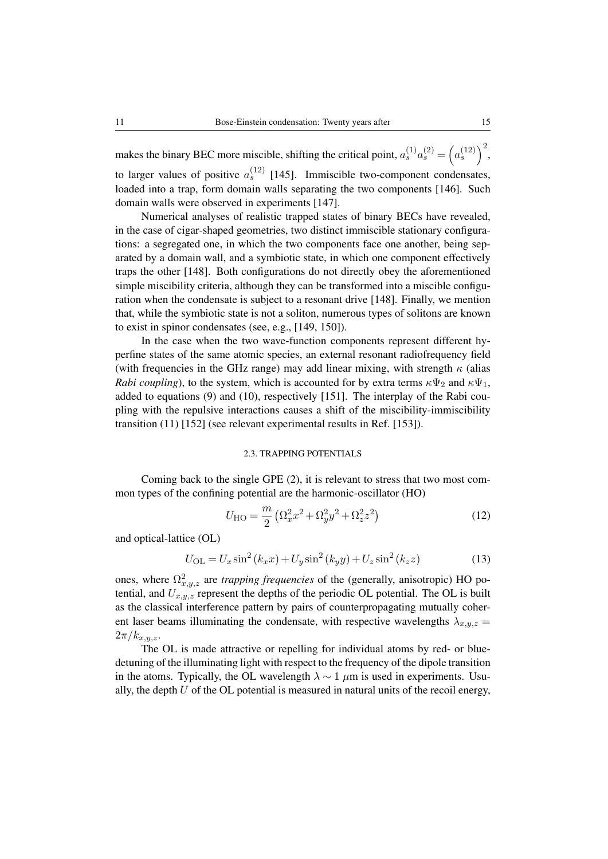makes the binary BEC more miscible, shifting the critical point,  $a_s^{(1)} a_s^{(2)} = (a_s^{(12)})^2$ , to larger values of positive  $a_s^{(12)}$  [\[145\]](#page-36-6). Immiscible two-component condensates, loaded into a trap, form domain walls separating the two components [\[146\]](#page-36-7). Such domain walls were observed in experiments [\[147\]](#page-36-8).

Numerical analyses of realistic trapped states of binary BECs have revealed, in the case of cigar-shaped geometries, two distinct immiscible stationary configurations: a segregated one, in which the two components face one another, being separated by a domain wall, and a symbiotic state, in which one component effectively traps the other [\[148\]](#page-36-9). Both configurations do not directly obey the aforementioned simple miscibility criteria, although they can be transformed into a miscible configuration when the condensate is subject to a resonant drive [\[148\]](#page-36-9). Finally, we mention that, while the symbiotic state is not a soliton, numerous types of solitons are known to exist in spinor condensates (see, e.g., [\[149,](#page-36-10) [150\]](#page-36-11)).

In the case when the two wave-function components represent different hyperfine states of the same atomic species, an external resonant radiofrequency field (with frequencies in the GHz range) may add linear mixing, with strength  $\kappa$  (alias *Rabi coupling*), to the system, which is accounted for by extra terms  $\kappa \Psi_2$  and  $\kappa \Psi_1$ , added to equations [\(9\)](#page-9-0) and [\(10\)](#page-9-1), respectively [\[151\]](#page-36-12). The interplay of the Rabi coupling with the repulsive interactions causes a shift of the miscibility-immiscibility transition [\(11\)](#page-9-2) [\[152\]](#page-36-13) (see relevant experimental results in Ref. [\[153\]](#page-36-14)).

## <span id="page-10-0"></span>2.3. TRAPPING POTENTIALS

Coming back to the single GPE [\(2\)](#page-6-0), it is relevant to stress that two most common types of the confining potential are the harmonic-oscillator (HO)

$$
U_{\rm HO} = \frac{m}{2} \left( \Omega_x^2 x^2 + \Omega_y^2 y^2 + \Omega_z^2 z^2 \right)
$$
 (12)

and optical-lattice (OL)

$$
U_{\text{OL}} = U_x \sin^2(k_x x) + U_y \sin^2(k_y y) + U_z \sin^2(k_z z)
$$
 (13)

ones, where  $\Omega_{x,y,z}^2$  are *trapping frequencies* of the (generally, anisotropic) HO potential, and  $U_{x,y,z}$  represent the depths of the periodic OL potential. The OL is built as the classical interference pattern by pairs of counterpropagating mutually coherent laser beams illuminating the condensate, with respective wavelengths  $\lambda_{x,y,z} =$  $2\pi/k_{x,y,z}.$ 

The OL is made attractive or repelling for individual atoms by red- or bluedetuning of the illuminating light with respect to the frequency of the dipole transition in the atoms. Typically, the OL wavelength  $\lambda \sim 1 \mu m$  is used in experiments. Usually, the depth  $U$  of the OL potential is measured in natural units of the recoil energy,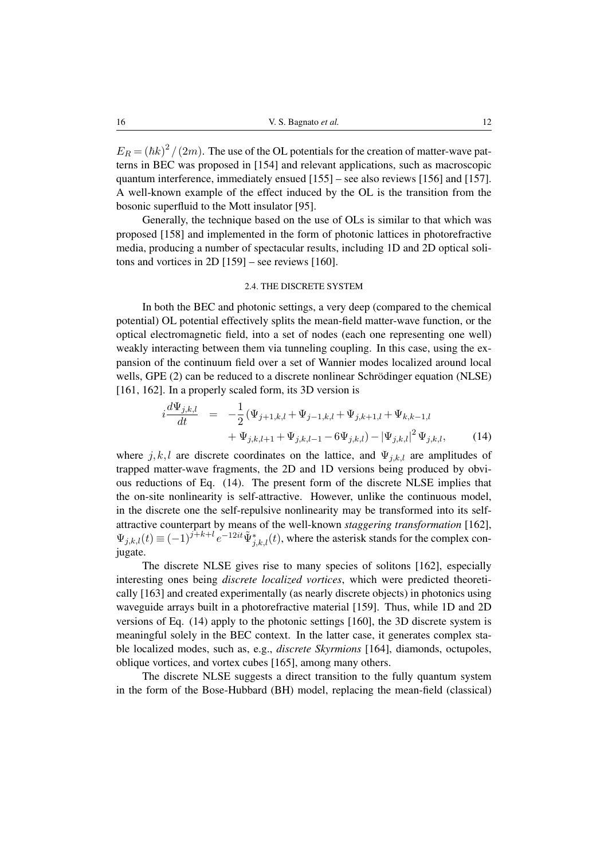$E_R = (\hbar k)^2 / (2m)$ . The use of the OL potentials for the creation of matter-wave patterns in BEC was proposed in [\[154\]](#page-36-15) and relevant applications, such as macroscopic quantum interference, immediately ensued [\[155\]](#page-36-16) – see also reviews [\[156\]](#page-36-17) and [\[157\]](#page-37-0). A well-known example of the effect induced by the OL is the transition from the bosonic superfluid to the Mott insulator [\[95\]](#page-32-4).

Generally, the technique based on the use of OLs is similar to that which was proposed [\[158\]](#page-37-1) and implemented in the form of photonic lattices in photorefractive media, producing a number of spectacular results, including 1D and 2D optical solitons and vortices in 2D [\[159\]](#page-37-2) – see reviews [\[160\]](#page-37-3).

# 2.4. THE DISCRETE SYSTEM

In both the BEC and photonic settings, a very deep (compared to the chemical potential) OL potential effectively splits the mean-field matter-wave function, or the optical electromagnetic field, into a set of nodes (each one representing one well) weakly interacting between them via tunneling coupling. In this case, using the expansion of the continuum field over a set of Wannier modes localized around local wells, GPE [\(2\)](#page-6-0) can be reduced to a discrete nonlinear Schrödinger equation (NLSE) [\[161,](#page-37-4) [162\]](#page-37-5). In a properly scaled form, its 3D version is

<span id="page-11-0"></span>
$$
i\frac{d\Psi_{j,k,l}}{dt} = -\frac{1}{2}(\Psi_{j+1,k,l} + \Psi_{j-1,k,l} + \Psi_{j,k+1,l} + \Psi_{k,k-1,l} + \Psi_{j,k,l+1} + \Psi_{j,k,l-1} - 6\Psi_{j,k,l}) - |\Psi_{j,k,l}|^2 \Psi_{j,k,l},
$$
(14)

where  $j, k, l$  are discrete coordinates on the lattice, and  $\Psi_{j,k,l}$  are amplitudes of trapped matter-wave fragments, the 2D and 1D versions being produced by obvious reductions of Eq. [\(14\)](#page-11-0). The present form of the discrete NLSE implies that the on-site nonlinearity is self-attractive. However, unlike the continuous model, in the discrete one the self-repulsive nonlinearity may be transformed into its selfattractive counterpart by means of the well-known *staggering transformation* [\[162\]](#page-37-5),  $\Psi_{j,k,l}(t) \equiv (-1)^{j+k+l} e^{-12it} \tilde{\Psi}_{j,k,l}^*(t)$ , where the asterisk stands for the complex conjugate.

The discrete NLSE gives rise to many species of solitons [\[162\]](#page-37-5), especially interesting ones being *discrete localized vortices*, which were predicted theoretically [\[163\]](#page-37-6) and created experimentally (as nearly discrete objects) in photonics using waveguide arrays built in a photorefractive material [\[159\]](#page-37-2). Thus, while 1D and 2D versions of Eq. [\(14\)](#page-11-0) apply to the photonic settings [\[160\]](#page-37-3), the 3D discrete system is meaningful solely in the BEC context. In the latter case, it generates complex stable localized modes, such as, e.g., *discrete Skyrmions* [\[164\]](#page-37-7), diamonds, octupoles, oblique vortices, and vortex cubes [\[165\]](#page-37-8), among many others.

The discrete NLSE suggests a direct transition to the fully quantum system in the form of the Bose-Hubbard (BH) model, replacing the mean-field (classical)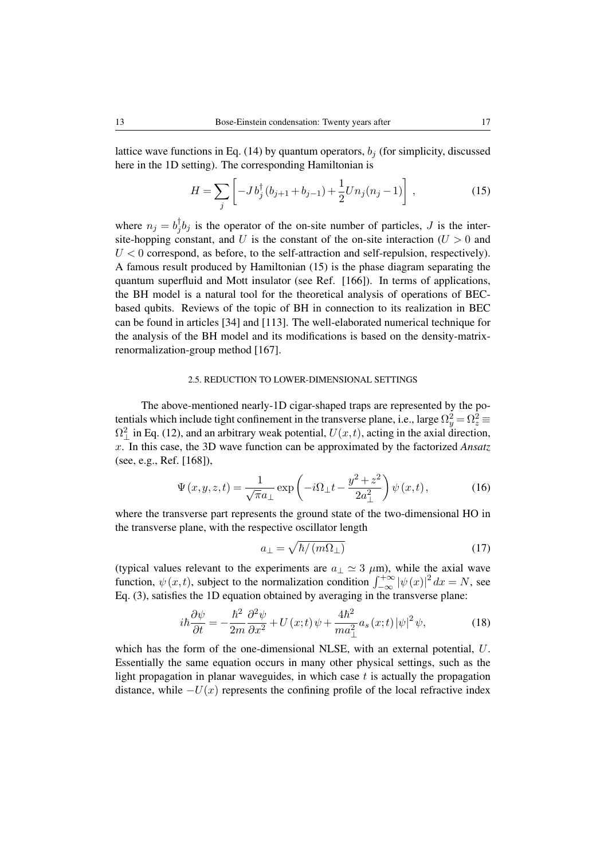lattice wave functions in Eq. [\(14\)](#page-11-0) by quantum operators,  $b_j$  (for simplicity, discussed here in the 1D setting). The corresponding Hamiltonian is

<span id="page-12-0"></span>
$$
H = \sum_{j} \left[ -J b_{j}^{\dagger} (b_{j+1} + b_{j-1}) + \frac{1}{2} U n_{j} (n_{j} - 1) \right],
$$
 (15)

where  $n_j = b_j^{\dagger}$  $\int_{j}^{T}b_j$  is the operator of the on-site number of particles, J is the intersite-hopping constant, and U is the constant of the on-site interaction ( $U > 0$  and  $U < 0$  correspond, as before, to the self-attraction and self-repulsion, respectively). A famous result produced by Hamiltonian [\(15\)](#page-12-0) is the phase diagram separating the quantum superfluid and Mott insulator (see Ref. [\[166\]](#page-37-9)). In terms of applications, the BH model is a natural tool for the theoretical analysis of operations of BECbased qubits. Reviews of the topic of BH in connection to its realization in BEC can be found in articles [\[34\]](#page-28-13) and [\[113\]](#page-33-12). The well-elaborated numerical technique for the analysis of the BH model and its modifications is based on the density-matrixrenormalization-group method [\[167\]](#page-37-10).

## 2.5. REDUCTION TO LOWER-DIMENSIONAL SETTINGS

The above-mentioned nearly-1D cigar-shaped traps are represented by the potentials which include tight confinement in the transverse plane, i.e., large  $\Omega_y^2 = \Omega_z^2 \equiv$  $\Omega_{\perp}^2$  in Eq. [\(12\)](#page-10-0), and an arbitrary weak potential,  $U(x,t)$ , acting in the axial direction, x. In this case, the 3D wave function can be approximated by the factorized *Ansatz* (see, e.g., Ref. [\[168\]](#page-37-11)),

<span id="page-12-2"></span>
$$
\Psi(x, y, z, t) = \frac{1}{\sqrt{\pi}a_{\perp}} \exp\left(-i\Omega_{\perp}t - \frac{y^2 + z^2}{2a_{\perp}^2}\right)\psi(x, t),\tag{16}
$$

where the transverse part represents the ground state of the two-dimensional HO in the transverse plane, with the respective oscillator length

<span id="page-12-1"></span>
$$
a_{\perp} = \sqrt{\hbar / (m\Omega_{\perp})} \tag{17}
$$

(typical values relevant to the experiments are  $a_{\perp} \simeq 3 \mu m$ ), while the axial wave function,  $\psi(x, t)$ , subject to the normalization condition  $\int_{-\infty}^{+\infty} |\psi(x)|^2 dx = N$ , see Eq. [\(3\)](#page-7-2), satisfies the 1D equation obtained by averaging in the transverse plane:

$$
i\hbar \frac{\partial \psi}{\partial t} = -\frac{\hbar^2}{2m} \frac{\partial^2 \psi}{\partial x^2} + U(x;t)\,\psi + \frac{4\hbar^2}{ma_\perp^2} a_s(x;t)\,|\psi|^2\,\psi,\tag{18}
$$

which has the form of the one-dimensional NLSE, with an external potential, U. Essentially the same equation occurs in many other physical settings, such as the light propagation in planar waveguides, in which case  $t$  is actually the propagation distance, while  $-U(x)$  represents the confining profile of the local refractive index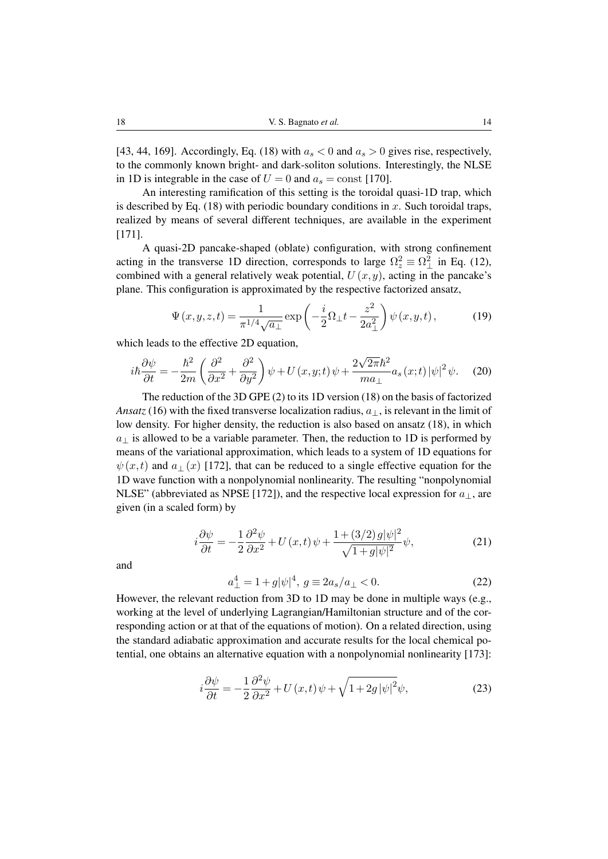[\[43,](#page-28-14) [44,](#page-28-2) [169\]](#page-37-12). Accordingly, Eq. [\(18\)](#page-12-1) with  $a_s < 0$  and  $a_s > 0$  gives rise, respectively, to the commonly known bright- and dark-soliton solutions. Interestingly, the NLSE in 1D is integrable in the case of  $U = 0$  and  $a_s = \text{const}$  [\[170\]](#page-37-13).

An interesting ramification of this setting is the toroidal quasi-1D trap, which is described by Eq. [\(18\)](#page-12-1) with periodic boundary conditions in x. Such toroidal traps, realized by means of several different techniques, are available in the experiment [\[171\]](#page-38-0).

A quasi-2D pancake-shaped (oblate) configuration, with strong confinement acting in the transverse 1D direction, corresponds to large  $\Omega_z^2 \equiv \Omega_{\perp}^2$  in Eq. [\(12\)](#page-10-0), combined with a general relatively weak potential,  $U(x, y)$ , acting in the pancake's plane. This configuration is approximated by the respective factorized ansatz,

<span id="page-13-1"></span>
$$
\Psi(x,y,z,t) = \frac{1}{\pi^{1/4}\sqrt{a_{\perp}}} \exp\left(-\frac{i}{2}\Omega_{\perp}t - \frac{z^2}{2a_{\perp}^2}\right)\psi(x,y,t),\tag{19}
$$

which leads to the effective 2D equation.

$$
i\hbar\frac{\partial\psi}{\partial t} = -\frac{\hbar^2}{2m}\left(\frac{\partial^2}{\partial x^2} + \frac{\partial^2}{\partial y^2}\right)\psi + U(x, y; t)\psi + \frac{2\sqrt{2\pi}\hbar^2}{ma_\perp}a_s(x; t)|\psi|^2\psi.
$$
 (20)

The reduction of the 3D GPE [\(2\)](#page-6-0) to its 1D version [\(18\)](#page-12-1) on the basis of factorized *Ansatz* [\(16\)](#page-12-2) with the fixed transverse localization radius,  $a_{\perp}$ , is relevant in the limit of low density. For higher density, the reduction is also based on ansatz [\(18\)](#page-12-1), in which  $a_{\perp}$  is allowed to be a variable parameter. Then, the reduction to 1D is performed by means of the variational approximation, which leads to a system of 1D equations for  $\psi(x, t)$  and  $a_{\perp}(x)$  [\[172\]](#page-38-1), that can be reduced to a single effective equation for the 1D wave function with a nonpolynomial nonlinearity. The resulting "nonpolynomial NLSE" (abbreviated as NPSE [\[172\]](#page-38-1)), and the respective local expression for  $a_{\perp}$ , are given (in a scaled form) by

$$
i\frac{\partial\psi}{\partial t} = -\frac{1}{2}\frac{\partial^2\psi}{\partial x^2} + U(x,t)\psi + \frac{1 + (3/2)g|\psi|^2}{\sqrt{1 + g|\psi|^2}}\psi,
$$
\n(21)

<span id="page-13-0"></span>and

$$
a_{\perp}^{4} = 1 + g|\psi|^{4}, \ g \equiv 2a_{s}/a_{\perp} < 0. \tag{22}
$$

However, the relevant reduction from 3D to 1D may be done in multiple ways (e.g., working at the level of underlying Lagrangian/Hamiltonian structure and of the corresponding action or at that of the equations of motion). On a related direction, using the standard adiabatic approximation and accurate results for the local chemical potential, one obtains an alternative equation with a nonpolynomial nonlinearity [\[173\]](#page-38-2):

$$
i\frac{\partial\psi}{\partial t} = -\frac{1}{2}\frac{\partial^2\psi}{\partial x^2} + U(x,t)\psi + \sqrt{1 + 2g|\psi|^2}\psi,
$$
 (23)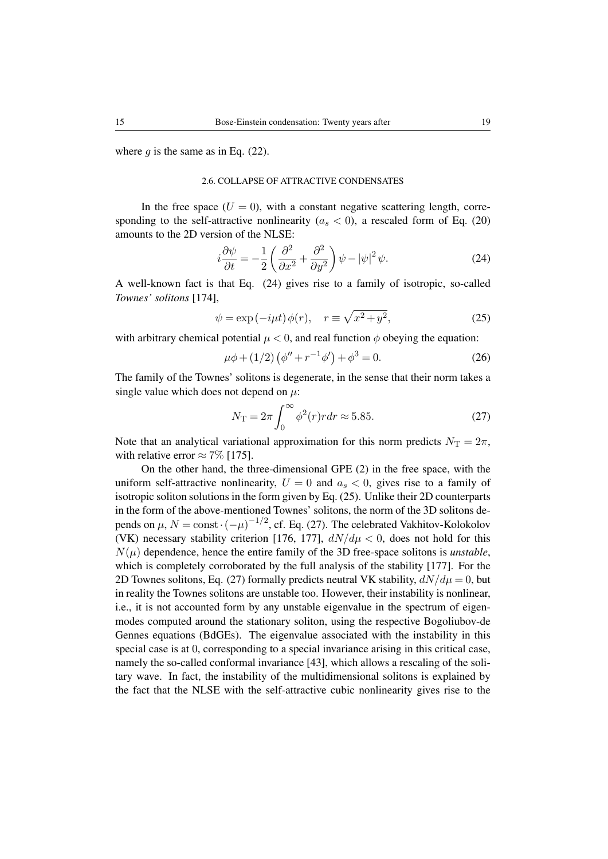where q is the same as in Eq.  $(22)$ .

## 2.6. COLLAPSE OF ATTRACTIVE CONDENSATES

In the free space  $(U = 0)$ , with a constant negative scattering length, corresponding to the self-attractive nonlinearity ( $a_s < 0$ ), a rescaled form of Eq. [\(20\)](#page-13-1) amounts to the 2D version of the NLSE:

<span id="page-14-0"></span>
$$
i\frac{\partial\psi}{\partial t} = -\frac{1}{2}\left(\frac{\partial^2}{\partial x^2} + \frac{\partial^2}{\partial y^2}\right)\psi - |\psi|^2\psi.
$$
 (24)

A well-known fact is that Eq. [\(24\)](#page-14-0) gives rise to a family of isotropic, so-called *Townes' solitons* [\[174\]](#page-38-3),

<span id="page-14-1"></span>
$$
\psi = \exp(-i\mu t)\phi(r), \quad r \equiv \sqrt{x^2 + y^2}, \tag{25}
$$

with arbitrary chemical potential  $\mu < 0$ , and real function  $\phi$  obeying the equation:

$$
\mu \phi + (1/2) \left( \phi'' + r^{-1} \phi' \right) + \phi^3 = 0. \tag{26}
$$

The family of the Townes' solitons is degenerate, in the sense that their norm takes a single value which does not depend on  $\mu$ :

<span id="page-14-2"></span>
$$
N_{\rm T} = 2\pi \int_0^\infty \phi^2(r) r dr \approx 5.85. \tag{27}
$$

Note that an analytical variational approximation for this norm predicts  $N_T = 2\pi$ , with relative error  $\approx 7\%$  [\[175\]](#page-38-4).

On the other hand, the three-dimensional GPE [\(2\)](#page-6-0) in the free space, with the uniform self-attractive nonlinearity,  $U = 0$  and  $a_s < 0$ , gives rise to a family of isotropic soliton solutions in the form given by Eq. [\(25\)](#page-14-1). Unlike their 2D counterparts in the form of the above-mentioned Townes' solitons, the norm of the 3D solitons depends on  $\mu$ ,  $N = \text{const} \cdot (-\mu)^{-1/2}$ , cf. Eq. [\(27\)](#page-14-2). The celebrated Vakhitov-Kolokolov (VK) necessary stability criterion [\[176,](#page-38-5) [177\]](#page-38-6),  $dN/d\mu < 0$ , does not hold for this  $N(\mu)$  dependence, hence the entire family of the 3D free-space solitons is *unstable*, which is completely corroborated by the full analysis of the stability [\[177\]](#page-38-6). For the 2D Townes solitons, Eq. [\(27\)](#page-14-2) formally predicts neutral VK stability,  $dN/d\mu = 0$ , but in reality the Townes solitons are unstable too. However, their instability is nonlinear, i.e., it is not accounted form by any unstable eigenvalue in the spectrum of eigenmodes computed around the stationary soliton, using the respective Bogoliubov-de Gennes equations (BdGEs). The eigenvalue associated with the instability in this special case is at 0, corresponding to a special invariance arising in this critical case, namely the so-called conformal invariance [\[43\]](#page-28-14), which allows a rescaling of the solitary wave. In fact, the instability of the multidimensional solitons is explained by the fact that the NLSE with the self-attractive cubic nonlinearity gives rise to the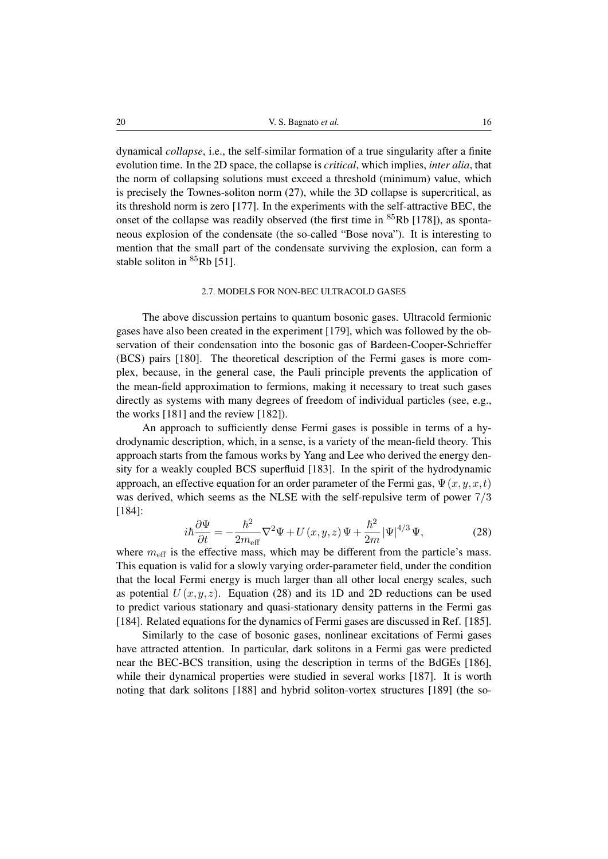dynamical *collapse*, i.e., the self-similar formation of a true singularity after a finite evolution time. In the 2D space, the collapse is *critical*, which implies, *inter alia*, that the norm of collapsing solutions must exceed a threshold (minimum) value, which is precisely the Townes-soliton norm [\(27\)](#page-14-2), while the 3D collapse is supercritical, as its threshold norm is zero [\[177\]](#page-38-6). In the experiments with the self-attractive BEC, the onset of the collapse was readily observed (the first time in  $85Rb$  [\[178\]](#page-38-7)), as spontaneous explosion of the condensate (the so-called "Bose nova"). It is interesting to mention that the small part of the condensate surviving the explosion, can form a stable soliton in  ${}^{85}$ Rb [\[51\]](#page-29-1).

#### 2.7. MODELS FOR NON-BEC ULTRACOLD GASES

The above discussion pertains to quantum bosonic gases. Ultracold fermionic gases have also been created in the experiment [\[179\]](#page-38-8), which was followed by the observation of their condensation into the bosonic gas of Bardeen-Cooper-Schrieffer (BCS) pairs [\[180\]](#page-38-9). The theoretical description of the Fermi gases is more complex, because, in the general case, the Pauli principle prevents the application of the mean-field approximation to fermions, making it necessary to treat such gases directly as systems with many degrees of freedom of individual particles (see, e.g., the works [\[181\]](#page-38-10) and the review [\[182\]](#page-38-11)).

An approach to sufficiently dense Fermi gases is possible in terms of a hydrodynamic description, which, in a sense, is a variety of the mean-field theory. This approach starts from the famous works by Yang and Lee who derived the energy density for a weakly coupled BCS superfluid [\[183\]](#page-38-12). In the spirit of the hydrodynamic approach, an effective equation for an order parameter of the Fermi gas,  $\Psi(x,y,x,t)$ was derived, which seems as the NLSE with the self-repulsive term of power 7/3 [\[184\]](#page-38-13):

<span id="page-15-0"></span>
$$
i\hbar \frac{\partial \Psi}{\partial t} = -\frac{\hbar^2}{2m_{\text{eff}}} \nabla^2 \Psi + U(x, y, z) \Psi + \frac{\hbar^2}{2m} |\Psi|^{4/3} \Psi,
$$
 (28)

where  $m_{\text{eff}}$  is the effective mass, which may be different from the particle's mass. This equation is valid for a slowly varying order-parameter field, under the condition that the local Fermi energy is much larger than all other local energy scales, such as potential  $U(x,y,z)$ . Equation [\(28\)](#page-15-0) and its 1D and 2D reductions can be used to predict various stationary and quasi-stationary density patterns in the Fermi gas [\[184\]](#page-38-13). Related equations for the dynamics of Fermi gases are discussed in Ref. [\[185\]](#page-38-14).

Similarly to the case of bosonic gases, nonlinear excitations of Fermi gases have attracted attention. In particular, dark solitons in a Fermi gas were predicted near the BEC-BCS transition, using the description in terms of the BdGEs [\[186\]](#page-39-0), while their dynamical properties were studied in several works [\[187\]](#page-39-1). It is worth noting that dark solitons [\[188\]](#page-39-2) and hybrid soliton-vortex structures [\[189\]](#page-39-3) (the so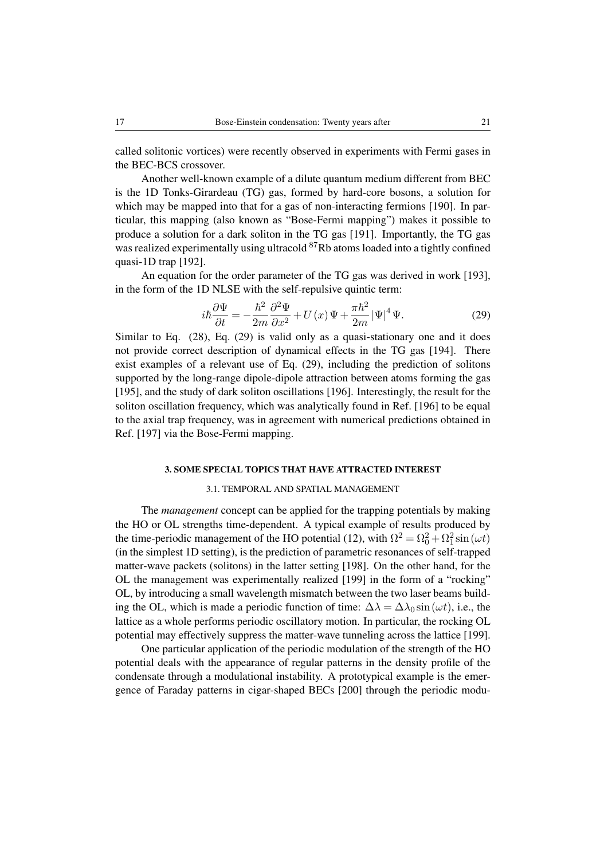called solitonic vortices) were recently observed in experiments with Fermi gases in the BEC-BCS crossover.

Another well-known example of a dilute quantum medium different from BEC is the 1D Tonks-Girardeau (TG) gas, formed by hard-core bosons, a solution for which may be mapped into that for a gas of non-interacting fermions [\[190\]](#page-39-4). In particular, this mapping (also known as "Bose-Fermi mapping") makes it possible to produce a solution for a dark soliton in the TG gas [\[191\]](#page-39-5). Importantly, the TG gas was realized experimentally using ultracold <sup>87</sup>Rb atoms loaded into a tightly confined quasi-1D trap [\[192\]](#page-39-6).

An equation for the order parameter of the TG gas was derived in work [\[193\]](#page-39-7), in the form of the 1D NLSE with the self-repulsive quintic term:

<span id="page-16-0"></span>
$$
i\hbar\frac{\partial\Psi}{\partial t} = -\frac{\hbar^2}{2m}\frac{\partial^2\Psi}{\partial x^2} + U(x)\Psi + \frac{\pi\hbar^2}{2m}|\Psi|^4\Psi.
$$
 (29)

Similar to Eq. [\(28\)](#page-15-0), Eq. [\(29\)](#page-16-0) is valid only as a quasi-stationary one and it does not provide correct description of dynamical effects in the TG gas [\[194\]](#page-39-8). There exist examples of a relevant use of Eq. [\(29\)](#page-16-0), including the prediction of solitons supported by the long-range dipole-dipole attraction between atoms forming the gas [\[195\]](#page-39-9), and the study of dark soliton oscillations [\[196\]](#page-39-10). Interestingly, the result for the soliton oscillation frequency, which was analytically found in Ref. [\[196\]](#page-39-10) to be equal to the axial trap frequency, was in agreement with numerical predictions obtained in Ref. [\[197\]](#page-39-11) via the Bose-Fermi mapping.

## 3. SOME SPECIAL TOPICS THAT HAVE ATTRACTED INTEREST

#### 3.1. TEMPORAL AND SPATIAL MANAGEMENT

The *management* concept can be applied for the trapping potentials by making the HO or OL strengths time-dependent. A typical example of results produced by the time-periodic management of the HO potential [\(12\)](#page-10-0), with  $\Omega^2 = \Omega_0^2 + \Omega_1^2 \sin(\omega t)$ (in the simplest 1D setting), is the prediction of parametric resonances of self-trapped matter-wave packets (solitons) in the latter setting [\[198\]](#page-39-12). On the other hand, for the OL the management was experimentally realized [\[199\]](#page-39-13) in the form of a "rocking" OL, by introducing a small wavelength mismatch between the two laser beams building the OL, which is made a periodic function of time:  $\Delta \lambda = \Delta \lambda_0 \sin(\omega t)$ , i.e., the lattice as a whole performs periodic oscillatory motion. In particular, the rocking OL potential may effectively suppress the matter-wave tunneling across the lattice [\[199\]](#page-39-13).

One particular application of the periodic modulation of the strength of the HO potential deals with the appearance of regular patterns in the density profile of the condensate through a modulational instability. A prototypical example is the emergence of Faraday patterns in cigar-shaped BECs [\[200\]](#page-40-0) through the periodic modu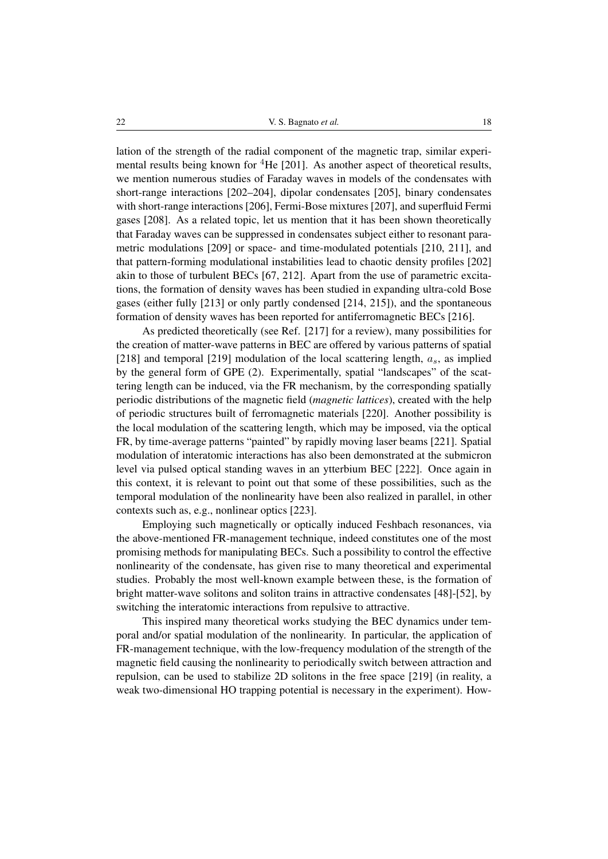lation of the strength of the radial component of the magnetic trap, similar experimental results being known for  ${}^{4}$ He [\[201\]](#page-40-1). As another aspect of theoretical results, we mention numerous studies of Faraday waves in models of the condensates with short-range interactions [\[202](#page-40-2)[–204\]](#page-40-3), dipolar condensates [\[205\]](#page-40-4), binary condensates with short-range interactions [\[206\]](#page-40-5), Fermi-Bose mixtures [\[207\]](#page-40-6), and superfluid Fermi gases [\[208\]](#page-40-7). As a related topic, let us mention that it has been shown theoretically that Faraday waves can be suppressed in condensates subject either to resonant parametric modulations [\[209\]](#page-40-8) or space- and time-modulated potentials [\[210,](#page-40-9) [211\]](#page-40-10), and that pattern-forming modulational instabilities lead to chaotic density profiles [\[202\]](#page-40-2) akin to those of turbulent BECs [\[67,](#page-30-3) [212\]](#page-40-11). Apart from the use of parametric excitations, the formation of density waves has been studied in expanding ultra-cold Bose gases (either fully [\[213\]](#page-41-0) or only partly condensed [\[214,](#page-41-1) [215\]](#page-41-2)), and the spontaneous formation of density waves has been reported for antiferromagnetic BECs [\[216\]](#page-41-3).

As predicted theoretically (see Ref. [\[217\]](#page-41-4) for a review), many possibilities for the creation of matter-wave patterns in BEC are offered by various patterns of spatial [\[218\]](#page-41-5) and temporal [\[219\]](#page-41-6) modulation of the local scattering length,  $a<sub>s</sub>$ , as implied by the general form of GPE [\(2\)](#page-6-0). Experimentally, spatial "landscapes" of the scattering length can be induced, via the FR mechanism, by the corresponding spatially periodic distributions of the magnetic field (*magnetic lattices*), created with the help of periodic structures built of ferromagnetic materials [\[220\]](#page-41-7). Another possibility is the local modulation of the scattering length, which may be imposed, via the optical FR, by time-average patterns "painted" by rapidly moving laser beams [\[221\]](#page-41-8). Spatial modulation of interatomic interactions has also been demonstrated at the submicron level via pulsed optical standing waves in an ytterbium BEC [\[222\]](#page-41-9). Once again in this context, it is relevant to point out that some of these possibilities, such as the temporal modulation of the nonlinearity have been also realized in parallel, in other contexts such as, e.g., nonlinear optics [\[223\]](#page-41-10).

Employing such magnetically or optically induced Feshbach resonances, via the above-mentioned FR-management technique, indeed constitutes one of the most promising methods for manipulating BECs. Such a possibility to control the effective nonlinearity of the condensate, has given rise to many theoretical and experimental studies. Probably the most well-known example between these, is the formation of bright matter-wave solitons and soliton trains in attractive condensates [\[48\]](#page-28-6)-[\[52\]](#page-29-2), by switching the interatomic interactions from repulsive to attractive.

This inspired many theoretical works studying the BEC dynamics under temporal and/or spatial modulation of the nonlinearity. In particular, the application of FR-management technique, with the low-frequency modulation of the strength of the magnetic field causing the nonlinearity to periodically switch between attraction and repulsion, can be used to stabilize 2D solitons in the free space [\[219\]](#page-41-6) (in reality, a weak two-dimensional HO trapping potential is necessary in the experiment). How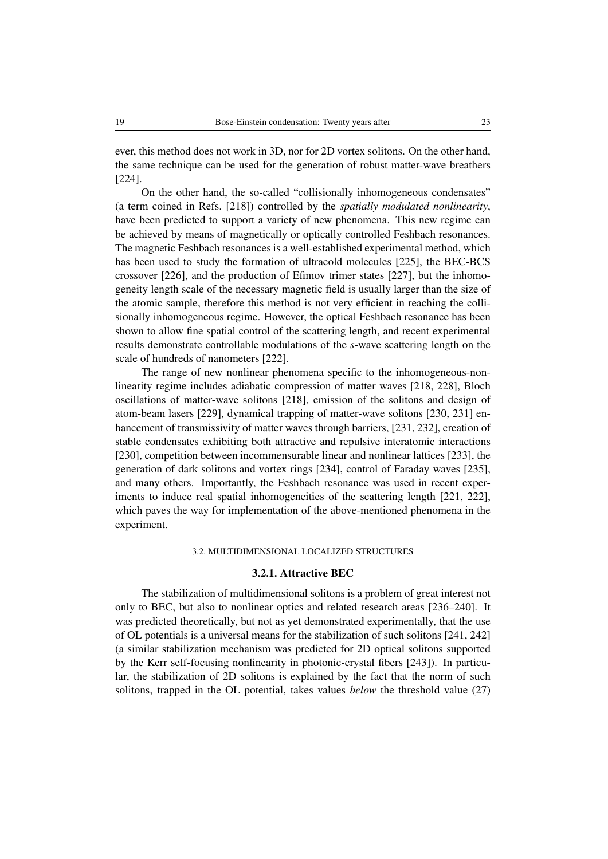ever, this method does not work in 3D, nor for 2D vortex solitons. On the other hand, the same technique can be used for the generation of robust matter-wave breathers [\[224\]](#page-41-11).

On the other hand, the so-called "collisionally inhomogeneous condensates" (a term coined in Refs. [\[218\]](#page-41-5)) controlled by the *spatially modulated nonlinearity*, have been predicted to support a variety of new phenomena. This new regime can be achieved by means of magnetically or optically controlled Feshbach resonances. The magnetic Feshbach resonances is a well-established experimental method, which has been used to study the formation of ultracold molecules [\[225\]](#page-42-0), the BEC-BCS crossover [\[226\]](#page-42-1), and the production of Efimov trimer states [\[227\]](#page-42-2), but the inhomogeneity length scale of the necessary magnetic field is usually larger than the size of the atomic sample, therefore this method is not very efficient in reaching the collisionally inhomogeneous regime. However, the optical Feshbach resonance has been shown to allow fine spatial control of the scattering length, and recent experimental results demonstrate controllable modulations of the *s*-wave scattering length on the scale of hundreds of nanometers [\[222\]](#page-41-9).

The range of new nonlinear phenomena specific to the inhomogeneous-nonlinearity regime includes adiabatic compression of matter waves [\[218,](#page-41-5) [228\]](#page-42-3), Bloch oscillations of matter-wave solitons [\[218\]](#page-41-5), emission of the solitons and design of atom-beam lasers [\[229\]](#page-42-4), dynamical trapping of matter-wave solitons [\[230,](#page-42-5) [231\]](#page-42-6) enhancement of transmissivity of matter waves through barriers, [\[231,](#page-42-6) [232\]](#page-42-7), creation of stable condensates exhibiting both attractive and repulsive interatomic interactions [\[230\]](#page-42-5), competition between incommensurable linear and nonlinear lattices [\[233\]](#page-42-8), the generation of dark solitons and vortex rings [\[234\]](#page-42-9), control of Faraday waves [\[235\]](#page-42-10), and many others. Importantly, the Feshbach resonance was used in recent experiments to induce real spatial inhomogeneities of the scattering length [\[221,](#page-41-8) [222\]](#page-41-9), which paves the way for implementation of the above-mentioned phenomena in the experiment.

## 3.2. MULTIDIMENSIONAL LOCALIZED STRUCTURES

# 3.2.1. Attractive BEC

The stabilization of multidimensional solitons is a problem of great interest not only to BEC, but also to nonlinear optics and related research areas [\[236–](#page-42-11)[240\]](#page-42-12). It was predicted theoretically, but not as yet demonstrated experimentally, that the use of OL potentials is a universal means for the stabilization of such solitons [\[241,](#page-42-13) [242\]](#page-42-14) (a similar stabilization mechanism was predicted for 2D optical solitons supported by the Kerr self-focusing nonlinearity in photonic-crystal fibers [\[243\]](#page-43-0)). In particular, the stabilization of 2D solitons is explained by the fact that the norm of such solitons, trapped in the OL potential, takes values *below* the threshold value [\(27\)](#page-14-2)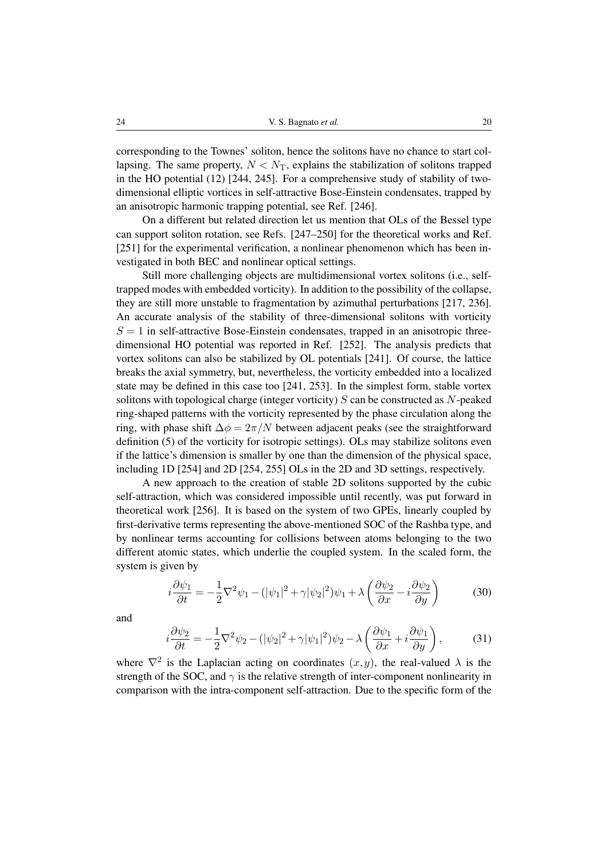corresponding to the Townes' soliton, hence the solitons have no chance to start collapsing. The same property,  $N < N<sub>T</sub>$ , explains the stabilization of solitons trapped in the HO potential  $(12)$  [\[244,](#page-43-1) [245\]](#page-43-2). For a comprehensive study of stability of twodimensional elliptic vortices in self-attractive Bose-Einstein condensates, trapped by an anisotropic harmonic trapping potential, see Ref. [\[246\]](#page-43-3).

On a different but related direction let us mention that OLs of the Bessel type can support soliton rotation, see Refs. [\[247–](#page-43-4)[250\]](#page-43-5) for the theoretical works and Ref. [\[251\]](#page-43-6) for the experimental verification, a nonlinear phenomenon which has been investigated in both BEC and nonlinear optical settings.

Still more challenging objects are multidimensional vortex solitons (i.e., selftrapped modes with embedded vorticity). In addition to the possibility of the collapse, they are still more unstable to fragmentation by azimuthal perturbations [\[217,](#page-41-4) [236\]](#page-42-11). An accurate analysis of the stability of three-dimensional solitons with vorticity  $S = 1$  in self-attractive Bose-Einstein condensates, trapped in an anisotropic threedimensional HO potential was reported in Ref. [\[252\]](#page-43-7). The analysis predicts that vortex solitons can also be stabilized by OL potentials [\[241\]](#page-42-13). Of course, the lattice breaks the axial symmetry, but, nevertheless, the vorticity embedded into a localized state may be defined in this case too [\[241,](#page-42-13) [253\]](#page-43-8). In the simplest form, stable vortex solitons with topological charge (integer vorticity)  $S$  can be constructed as  $N$ -peaked ring-shaped patterns with the vorticity represented by the phase circulation along the ring, with phase shift  $\Delta \phi = 2\pi/N$  between adjacent peaks (see the straightforward definition [\(5\)](#page-7-3) of the vorticity for isotropic settings). OLs may stabilize solitons even if the lattice's dimension is smaller by one than the dimension of the physical space, including 1D [\[254\]](#page-43-9) and 2D [\[254,](#page-43-9) [255\]](#page-43-10) OLs in the 2D and 3D settings, respectively.

A new approach to the creation of stable 2D solitons supported by the cubic self-attraction, which was considered impossible until recently, was put forward in theoretical work [\[256\]](#page-43-11). It is based on the system of two GPEs, linearly coupled by first-derivative terms representing the above-mentioned SOC of the Rashba type, and by nonlinear terms accounting for collisions between atoms belonging to the two different atomic states, which underlie the coupled system. In the scaled form, the system is given by

<span id="page-19-0"></span>
$$
i\frac{\partial\psi_1}{\partial t} = -\frac{1}{2}\nabla^2\psi_1 - (|\psi_1|^2 + \gamma|\psi_2|^2)\psi_1 + \lambda \left(\frac{\partial\psi_2}{\partial x} - i\frac{\partial\psi_2}{\partial y}\right) \tag{30}
$$

<span id="page-19-1"></span>and

$$
i\frac{\partial\psi_2}{\partial t} = -\frac{1}{2}\nabla^2\psi_2 - (|\psi_2|^2 + \gamma|\psi_1|^2)\psi_2 - \lambda\left(\frac{\partial\psi_1}{\partial x} + i\frac{\partial\psi_1}{\partial y}\right),\tag{31}
$$

where  $\nabla^2$  is the Laplacian acting on coordinates  $(x, y)$ , the real-valued  $\lambda$  is the strength of the SOC, and  $\gamma$  is the relative strength of inter-component nonlinearity in comparison with the intra-component self-attraction. Due to the specific form of the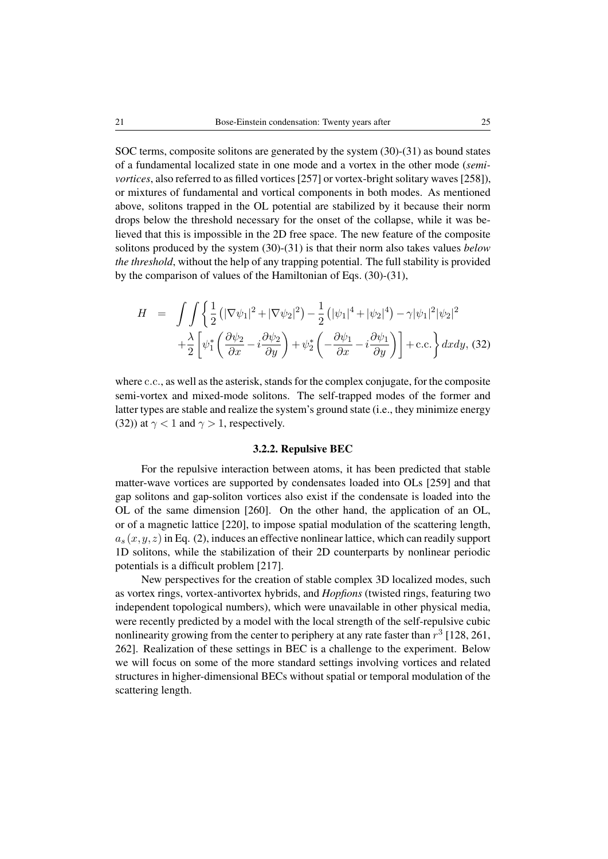SOC terms, composite solitons are generated by the system [\(30\)](#page-19-0)-[\(31\)](#page-19-1) as bound states of a fundamental localized state in one mode and a vortex in the other mode (*semivortices*, also referred to as filled vortices [\[257\]](#page-43-12) or vortex-bright solitary waves [\[258\]](#page-43-13)), or mixtures of fundamental and vortical components in both modes. As mentioned above, solitons trapped in the OL potential are stabilized by it because their norm drops below the threshold necessary for the onset of the collapse, while it was believed that this is impossible in the 2D free space. The new feature of the composite solitons produced by the system [\(30\)](#page-19-0)-[\(31\)](#page-19-1) is that their norm also takes values *below the threshold*, without the help of any trapping potential. The full stability is provided by the comparison of values of the Hamiltonian of Eqs. [\(30\)](#page-19-0)-[\(31\)](#page-19-1),

<span id="page-20-0"></span>
$$
H = \int \int \left\{ \frac{1}{2} \left( |\nabla \psi_1|^2 + |\nabla \psi_2|^2 \right) - \frac{1}{2} \left( |\psi_1|^4 + |\psi_2|^4 \right) - \gamma |\psi_1|^2 |\psi_2|^2 \right. \\ \left. + \frac{\lambda}{2} \left[ \psi_1^* \left( \frac{\partial \psi_2}{\partial x} - i \frac{\partial \psi_2}{\partial y} \right) + \psi_2^* \left( -\frac{\partial \psi_1}{\partial x} - i \frac{\partial \psi_1}{\partial y} \right) \right] + \text{c.c.} \right\} dx dy, \tag{32}
$$

where c.c., as well as the asterisk, stands for the complex conjugate, for the composite semi-vortex and mixed-mode solitons. The self-trapped modes of the former and latter types are stable and realize the system's ground state (i.e., they minimize energy [\(32\)](#page-20-0)) at  $\gamma$  < 1 and  $\gamma$  > 1, respectively.

#### 3.2.2. Repulsive BEC

For the repulsive interaction between atoms, it has been predicted that stable matter-wave vortices are supported by condensates loaded into OLs [\[259\]](#page-43-14) and that gap solitons and gap-soliton vortices also exist if the condensate is loaded into the OL of the same dimension [\[260\]](#page-43-15). On the other hand, the application of an OL, or of a magnetic lattice [\[220\]](#page-41-7), to impose spatial modulation of the scattering length,  $a_s(x,y,z)$  in Eq. [\(2\)](#page-6-0), induces an effective nonlinear lattice, which can readily support 1D solitons, while the stabilization of their 2D counterparts by nonlinear periodic potentials is a difficult problem [\[217\]](#page-41-4).

New perspectives for the creation of stable complex 3D localized modes, such as vortex rings, vortex-antivortex hybrids, and *Hopfions* (twisted rings, featuring two independent topological numbers), which were unavailable in other physical media, were recently predicted by a model with the local strength of the self-repulsive cubic nonlinearity growing from the center to periphery at any rate faster than  $r^3$  [\[128,](#page-34-8) [261,](#page-43-16) [262\]](#page-44-0). Realization of these settings in BEC is a challenge to the experiment. Below we will focus on some of the more standard settings involving vortices and related structures in higher-dimensional BECs without spatial or temporal modulation of the scattering length.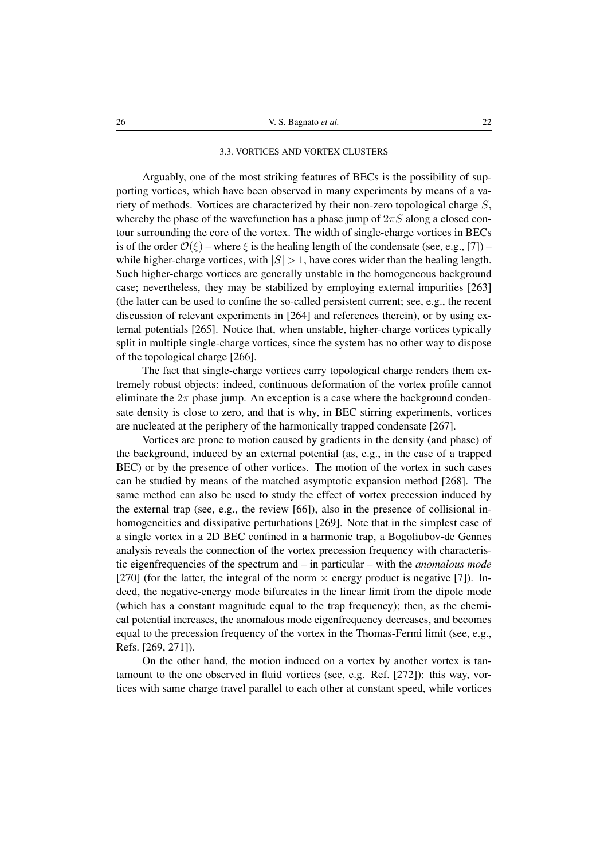#### 3.3. VORTICES AND VORTEX CLUSTERS

Arguably, one of the most striking features of BECs is the possibility of supporting vortices, which have been observed in many experiments by means of a variety of methods. Vortices are characterized by their non-zero topological charge S, whereby the phase of the wavefunction has a phase jump of  $2\pi S$  along a closed contour surrounding the core of the vortex. The width of single-charge vortices in BECs is of the order  $\mathcal{O}(\xi)$  – where  $\xi$  is the healing length of the condensate (see, e.g., [\[7\]](#page-26-6)) – while higher-charge vortices, with  $|S| > 1$ , have cores wider than the healing length. Such higher-charge vortices are generally unstable in the homogeneous background case; nevertheless, they may be stabilized by employing external impurities [\[263\]](#page-44-1) (the latter can be used to confine the so-called persistent current; see, e.g., the recent discussion of relevant experiments in [\[264\]](#page-44-2) and references therein), or by using external potentials [\[265\]](#page-44-3). Notice that, when unstable, higher-charge vortices typically split in multiple single-charge vortices, since the system has no other way to dispose of the topological charge [\[266\]](#page-44-4).

The fact that single-charge vortices carry topological charge renders them extremely robust objects: indeed, continuous deformation of the vortex profile cannot eliminate the  $2\pi$  phase jump. An exception is a case where the background condensate density is close to zero, and that is why, in BEC stirring experiments, vortices are nucleated at the periphery of the harmonically trapped condensate [\[267\]](#page-44-5).

Vortices are prone to motion caused by gradients in the density (and phase) of the background, induced by an external potential (as, e.g., in the case of a trapped BEC) or by the presence of other vortices. The motion of the vortex in such cases can be studied by means of the matched asymptotic expansion method [\[268\]](#page-44-6). The same method can also be used to study the effect of vortex precession induced by the external trap (see, e.g., the review [\[66\]](#page-30-2)), also in the presence of collisional inhomogeneities and dissipative perturbations [\[269\]](#page-44-7). Note that in the simplest case of a single vortex in a 2D BEC confined in a harmonic trap, a Bogoliubov-de Gennes analysis reveals the connection of the vortex precession frequency with characteristic eigenfrequencies of the spectrum and – in particular – with the *anomalous mode* [\[270\]](#page-44-8) (for the latter, the integral of the norm  $\times$  energy product is negative [\[7\]](#page-26-6)). Indeed, the negative-energy mode bifurcates in the linear limit from the dipole mode (which has a constant magnitude equal to the trap frequency); then, as the chemical potential increases, the anomalous mode eigenfrequency decreases, and becomes equal to the precession frequency of the vortex in the Thomas-Fermi limit (see, e.g., Refs. [\[269,](#page-44-7) [271\]](#page-44-9)).

On the other hand, the motion induced on a vortex by another vortex is tantamount to the one observed in fluid vortices (see, e.g. Ref. [\[272\]](#page-44-10)): this way, vortices with same charge travel parallel to each other at constant speed, while vortices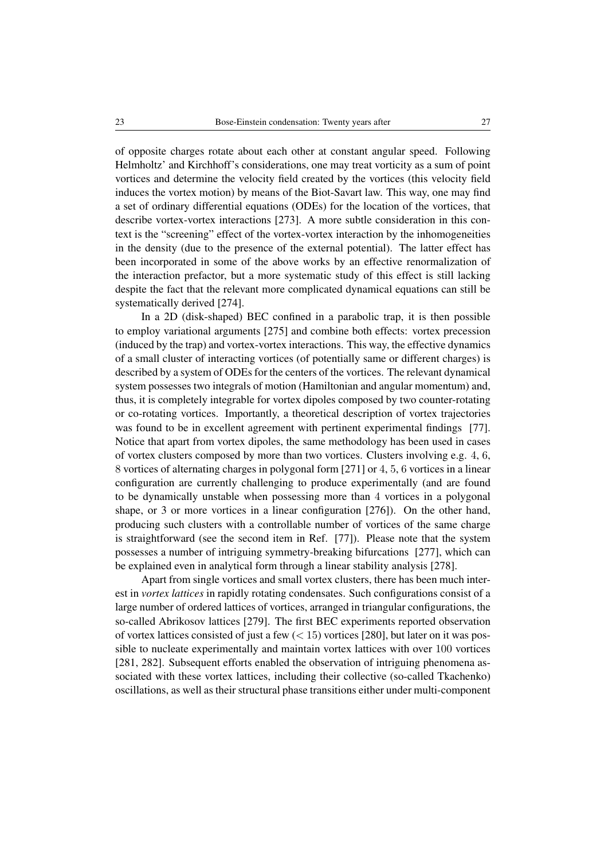of opposite charges rotate about each other at constant angular speed. Following Helmholtz' and Kirchhoff's considerations, one may treat vorticity as a sum of point vortices and determine the velocity field created by the vortices (this velocity field induces the vortex motion) by means of the Biot-Savart law. This way, one may find a set of ordinary differential equations (ODEs) for the location of the vortices, that describe vortex-vortex interactions [\[273\]](#page-44-11). A more subtle consideration in this context is the "screening" effect of the vortex-vortex interaction by the inhomogeneities in the density (due to the presence of the external potential). The latter effect has been incorporated in some of the above works by an effective renormalization of the interaction prefactor, but a more systematic study of this effect is still lacking despite the fact that the relevant more complicated dynamical equations can still be systematically derived [\[274\]](#page-44-12).

In a 2D (disk-shaped) BEC confined in a parabolic trap, it is then possible to employ variational arguments [\[275\]](#page-44-13) and combine both effects: vortex precession (induced by the trap) and vortex-vortex interactions. This way, the effective dynamics of a small cluster of interacting vortices (of potentially same or different charges) is described by a system of ODEs for the centers of the vortices. The relevant dynamical system possesses two integrals of motion (Hamiltonian and angular momentum) and, thus, it is completely integrable for vortex dipoles composed by two counter-rotating or co-rotating vortices. Importantly, a theoretical description of vortex trajectories was found to be in excellent agreement with pertinent experimental findings [\[77\]](#page-31-3). Notice that apart from vortex dipoles, the same methodology has been used in cases of vortex clusters composed by more than two vortices. Clusters involving e.g. 4, 6, 8 vortices of alternating charges in polygonal form [\[271\]](#page-44-9) or 4, 5, 6 vortices in a linear configuration are currently challenging to produce experimentally (and are found to be dynamically unstable when possessing more than 4 vortices in a polygonal shape, or 3 or more vortices in a linear configuration [\[276\]](#page-44-14)). On the other hand, producing such clusters with a controllable number of vortices of the same charge is straightforward (see the second item in Ref. [\[77\]](#page-31-3)). Please note that the system possesses a number of intriguing symmetry-breaking bifurcations [\[277\]](#page-44-15), which can be explained even in analytical form through a linear stability analysis [\[278\]](#page-44-16).

Apart from single vortices and small vortex clusters, there has been much interest in *vortex lattices* in rapidly rotating condensates. Such configurations consist of a large number of ordered lattices of vortices, arranged in triangular configurations, the so-called Abrikosov lattices [\[279\]](#page-44-17). The first BEC experiments reported observation of vortex lattices consisted of just a few  $(< 15)$  vortices [\[280\]](#page-45-0), but later on it was possible to nucleate experimentally and maintain vortex lattices with over 100 vortices [\[281,](#page-45-1) [282\]](#page-45-2). Subsequent efforts enabled the observation of intriguing phenomena associated with these vortex lattices, including their collective (so-called Tkachenko) oscillations, as well as their structural phase transitions either under multi-component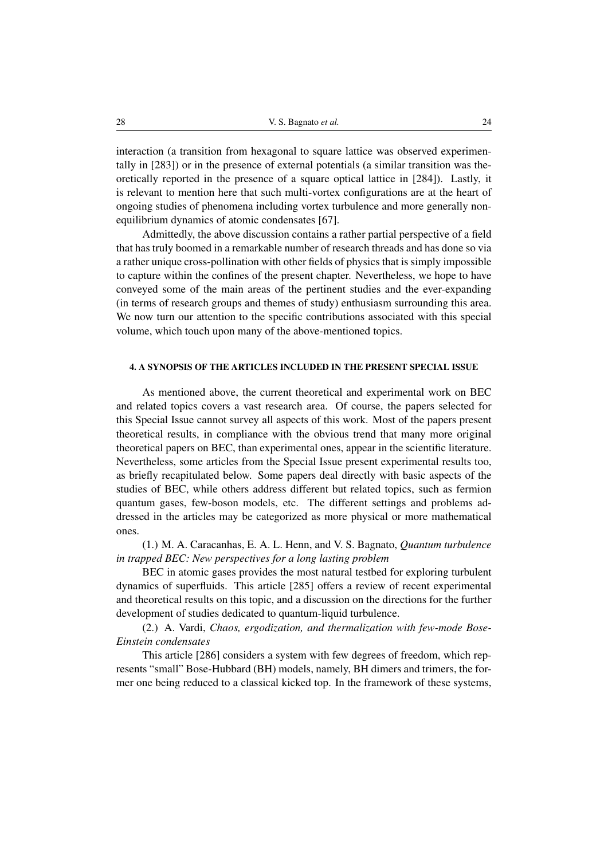interaction (a transition from hexagonal to square lattice was observed experimentally in [\[283\]](#page-45-3)) or in the presence of external potentials (a similar transition was theoretically reported in the presence of a square optical lattice in [\[284\]](#page-45-4)). Lastly, it is relevant to mention here that such multi-vortex configurations are at the heart of ongoing studies of phenomena including vortex turbulence and more generally nonequilibrium dynamics of atomic condensates [\[67\]](#page-30-3).

Admittedly, the above discussion contains a rather partial perspective of a field that has truly boomed in a remarkable number of research threads and has done so via a rather unique cross-pollination with other fields of physics that is simply impossible to capture within the confines of the present chapter. Nevertheless, we hope to have conveyed some of the main areas of the pertinent studies and the ever-expanding (in terms of research groups and themes of study) enthusiasm surrounding this area. We now turn our attention to the specific contributions associated with this special volume, which touch upon many of the above-mentioned topics.

# 4. A SYNOPSIS OF THE ARTICLES INCLUDED IN THE PRESENT SPECIAL ISSUE

As mentioned above, the current theoretical and experimental work on BEC and related topics covers a vast research area. Of course, the papers selected for this Special Issue cannot survey all aspects of this work. Most of the papers present theoretical results, in compliance with the obvious trend that many more original theoretical papers on BEC, than experimental ones, appear in the scientific literature. Nevertheless, some articles from the Special Issue present experimental results too, as briefly recapitulated below. Some papers deal directly with basic aspects of the studies of BEC, while others address different but related topics, such as fermion quantum gases, few-boson models, etc. The different settings and problems addressed in the articles may be categorized as more physical or more mathematical ones.

(1.) M. A. Caracanhas, E. A. L. Henn, and V. S. Bagnato, *Quantum turbulence in trapped BEC: New perspectives for a long lasting problem*

BEC in atomic gases provides the most natural testbed for exploring turbulent dynamics of superfluids. This article [\[285\]](#page-45-5) offers a review of recent experimental and theoretical results on this topic, and a discussion on the directions for the further development of studies dedicated to quantum-liquid turbulence.

(2.) A. Vardi, *Chaos, ergodization, and thermalization with few-mode Bose-Einstein condensates*

This article [\[286\]](#page-45-6) considers a system with few degrees of freedom, which represents "small" Bose-Hubbard (BH) models, namely, BH dimers and trimers, the former one being reduced to a classical kicked top. In the framework of these systems,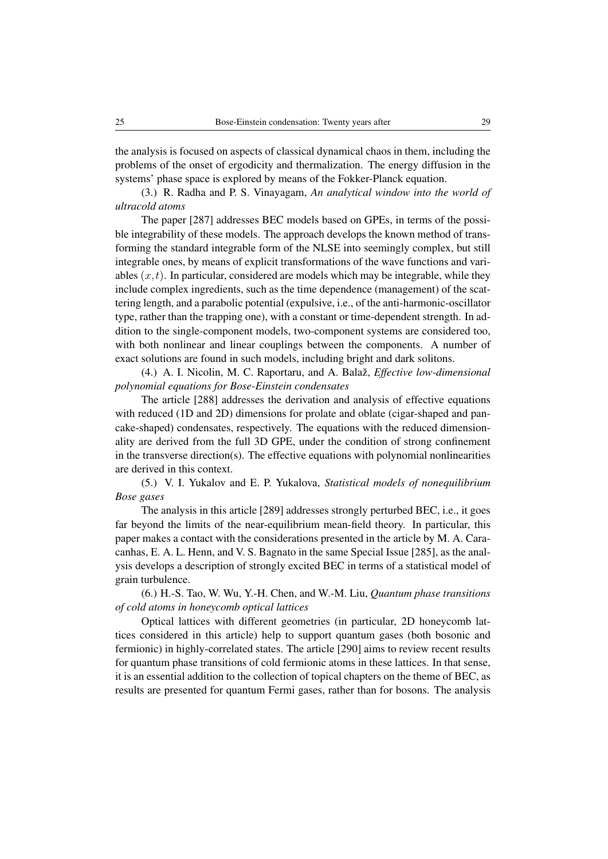the analysis is focused on aspects of classical dynamical chaos in them, including the problems of the onset of ergodicity and thermalization. The energy diffusion in the systems' phase space is explored by means of the Fokker-Planck equation.

(3.) R. Radha and P. S. Vinayagam, *An analytical window into the world of ultracold atoms*

The paper [\[287\]](#page-45-7) addresses BEC models based on GPEs, in terms of the possible integrability of these models. The approach develops the known method of transforming the standard integrable form of the NLSE into seemingly complex, but still integrable ones, by means of explicit transformations of the wave functions and variables  $(x, t)$ . In particular, considered are models which may be integrable, while they include complex ingredients, such as the time dependence (management) of the scattering length, and a parabolic potential (expulsive, i.e., of the anti-harmonic-oscillator type, rather than the trapping one), with a constant or time-dependent strength. In addition to the single-component models, two-component systems are considered too, with both nonlinear and linear couplings between the components. A number of exact solutions are found in such models, including bright and dark solitons.

(4.) A. I. Nicolin, M. C. Raportaru, and A. Balaž, *Effective low-dimensional polynomial equations for Bose-Einstein condensates*

The article [\[288\]](#page-45-8) addresses the derivation and analysis of effective equations with reduced (1D and 2D) dimensions for prolate and oblate (cigar-shaped and pancake-shaped) condensates, respectively. The equations with the reduced dimensionality are derived from the full 3D GPE, under the condition of strong confinement in the transverse direction(s). The effective equations with polynomial nonlinearities are derived in this context.

(5.) V. I. Yukalov and E. P. Yukalova, *Statistical models of nonequilibrium Bose gases*

The analysis in this article [\[289\]](#page-45-9) addresses strongly perturbed BEC, i.e., it goes far beyond the limits of the near-equilibrium mean-field theory. In particular, this paper makes a contact with the considerations presented in the article by M. A. Caracanhas, E. A. L. Henn, and V. S. Bagnato in the same Special Issue [\[285\]](#page-45-5), as the analysis develops a description of strongly excited BEC in terms of a statistical model of grain turbulence.

(6.) H.-S. Tao, W. Wu, Y.-H. Chen, and W.-M. Liu, *Quantum phase transitions of cold atoms in honeycomb optical lattices*

Optical lattices with different geometries (in particular, 2D honeycomb lattices considered in this article) help to support quantum gases (both bosonic and fermionic) in highly-correlated states. The article [\[290\]](#page-45-10) aims to review recent results for quantum phase transitions of cold fermionic atoms in these lattices. In that sense, it is an essential addition to the collection of topical chapters on the theme of BEC, as results are presented for quantum Fermi gases, rather than for bosons. The analysis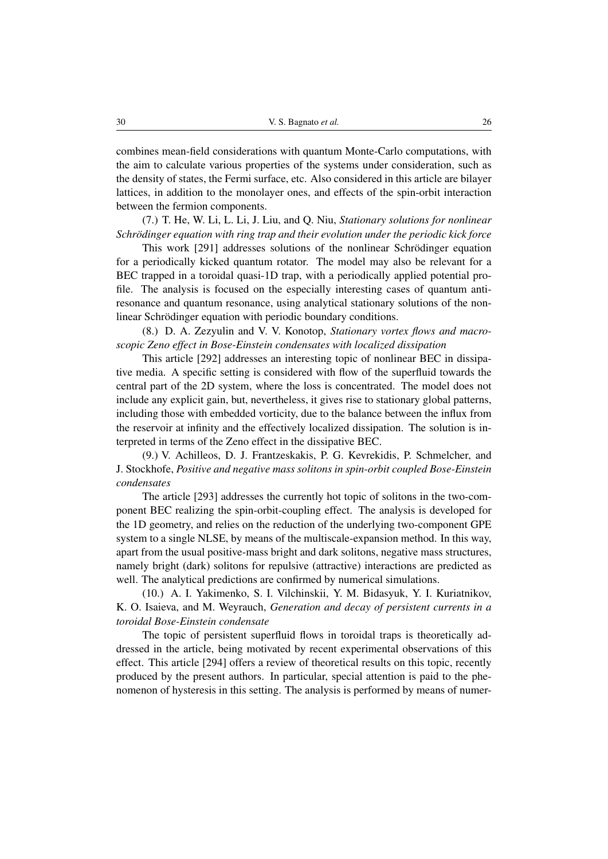combines mean-field considerations with quantum Monte-Carlo computations, with the aim to calculate various properties of the systems under consideration, such as the density of states, the Fermi surface, etc. Also considered in this article are bilayer lattices, in addition to the monolayer ones, and effects of the spin-orbit interaction between the fermion components.

(7.) T. He, W. Li, L. Li, J. Liu, and Q. Niu, *Stationary solutions for nonlinear Schrödinger equation with ring trap and their evolution under the periodic kick force* 

This work [\[291\]](#page-45-11) addresses solutions of the nonlinear Schrödinger equation for a periodically kicked quantum rotator. The model may also be relevant for a BEC trapped in a toroidal quasi-1D trap, with a periodically applied potential profile. The analysis is focused on the especially interesting cases of quantum antiresonance and quantum resonance, using analytical stationary solutions of the nonlinear Schrödinger equation with periodic boundary conditions.

(8.) D. A. Zezyulin and V. V. Konotop, *Stationary vortex flows and macroscopic Zeno effect in Bose-Einstein condensates with localized dissipation*

This article [\[292\]](#page-45-12) addresses an interesting topic of nonlinear BEC in dissipative media. A specific setting is considered with flow of the superfluid towards the central part of the 2D system, where the loss is concentrated. The model does not include any explicit gain, but, nevertheless, it gives rise to stationary global patterns, including those with embedded vorticity, due to the balance between the influx from the reservoir at infinity and the effectively localized dissipation. The solution is interpreted in terms of the Zeno effect in the dissipative BEC.

(9.) V. Achilleos, D. J. Frantzeskakis, P. G. Kevrekidis, P. Schmelcher, and J. Stockhofe, *Positive and negative mass solitons in spin-orbit coupled Bose-Einstein condensates*

The article [\[293\]](#page-45-13) addresses the currently hot topic of solitons in the two-component BEC realizing the spin-orbit-coupling effect. The analysis is developed for the 1D geometry, and relies on the reduction of the underlying two-component GPE system to a single NLSE, by means of the multiscale-expansion method. In this way, apart from the usual positive-mass bright and dark solitons, negative mass structures, namely bright (dark) solitons for repulsive (attractive) interactions are predicted as well. The analytical predictions are confirmed by numerical simulations.

(10.) A. I. Yakimenko, S. I. Vilchinskii, Y. M. Bidasyuk, Y. I. Kuriatnikov, K. O. Isaieva, and M. Weyrauch, *Generation and decay of persistent currents in a toroidal Bose-Einstein condensate*

The topic of persistent superfluid flows in toroidal traps is theoretically addressed in the article, being motivated by recent experimental observations of this effect. This article [\[294\]](#page-45-14) offers a review of theoretical results on this topic, recently produced by the present authors. In particular, special attention is paid to the phenomenon of hysteresis in this setting. The analysis is performed by means of numer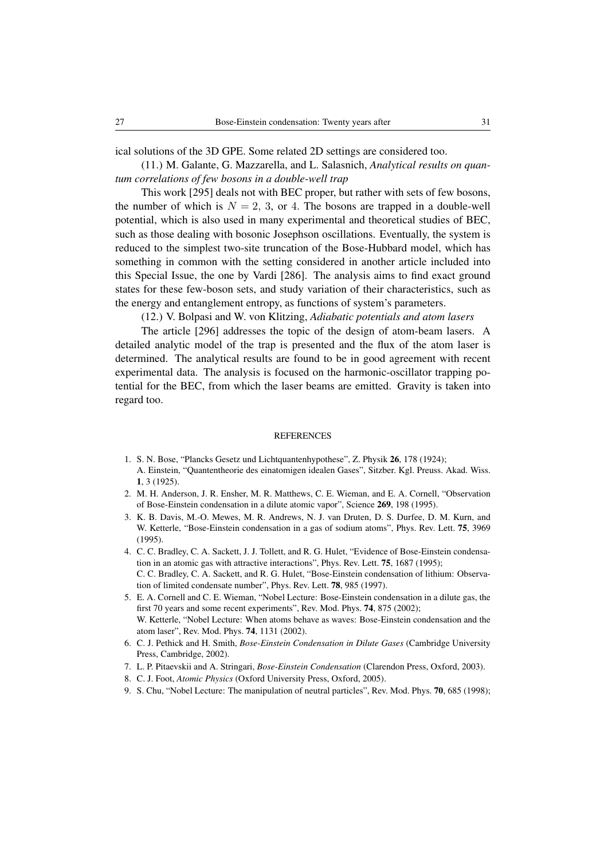ical solutions of the 3D GPE. Some related 2D settings are considered too.

(11.) M. Galante, G. Mazzarella, and L. Salasnich, *Analytical results on quantum correlations of few bosons in a double-well trap*

This work [\[295\]](#page-45-15) deals not with BEC proper, but rather with sets of few bosons, the number of which is  $N = 2, 3$ , or 4. The bosons are trapped in a double-well potential, which is also used in many experimental and theoretical studies of BEC, such as those dealing with bosonic Josephson oscillations. Eventually, the system is reduced to the simplest two-site truncation of the Bose-Hubbard model, which has something in common with the setting considered in another article included into this Special Issue, the one by Vardi [\[286\]](#page-45-6). The analysis aims to find exact ground states for these few-boson sets, and study variation of their characteristics, such as the energy and entanglement entropy, as functions of system's parameters.

(12.) V. Bolpasi and W. von Klitzing, *Adiabatic potentials and atom lasers*

The article [\[296\]](#page-45-16) addresses the topic of the design of atom-beam lasers. A detailed analytic model of the trap is presented and the flux of the atom laser is determined. The analytical results are found to be in good agreement with recent experimental data. The analysis is focused on the harmonic-oscillator trapping potential for the BEC, from which the laser beams are emitted. Gravity is taken into regard too.

#### **REFERENCES**

- <span id="page-26-0"></span>1. S. N. Bose, "Plancks Gesetz und Lichtquantenhypothese", Z. Physik 26, 178 (1924); A. Einstein, "Quantentheorie des einatomigen idealen Gases", Sitzber. Kgl. Preuss. Akad. Wiss. 1, 3 (1925).
- <span id="page-26-1"></span>2. M. H. Anderson, J. R. Ensher, M. R. Matthews, C. E. Wieman, and E. A. Cornell, "Observation of Bose-Einstein condensation in a dilute atomic vapor", Science 269, 198 (1995).
- <span id="page-26-2"></span>3. K. B. Davis, M.-O. Mewes, M. R. Andrews, N. J. van Druten, D. S. Durfee, D. M. Kurn, and W. Ketterle, "Bose-Einstein condensation in a gas of sodium atoms", Phys. Rev. Lett. 75, 3969 (1995).
- <span id="page-26-3"></span>4. C. C. Bradley, C. A. Sackett, J. J. Tollett, and R. G. Hulet, "Evidence of Bose-Einstein condensation in an atomic gas with attractive interactions", Phys. Rev. Lett. 75, 1687 (1995); C. C. Bradley, C. A. Sackett, and R. G. Hulet, "Bose-Einstein condensation of lithium: Observation of limited condensate number", Phys. Rev. Lett. 78, 985 (1997).
- <span id="page-26-4"></span>5. E. A. Cornell and C. E. Wieman, "Nobel Lecture: Bose-Einstein condensation in a dilute gas, the first 70 years and some recent experiments", Rev. Mod. Phys. 74, 875 (2002); W. Ketterle, "Nobel Lecture: When atoms behave as waves: Bose-Einstein condensation and the atom laser", Rev. Mod. Phys. 74, 1131 (2002).
- <span id="page-26-5"></span>6. C. J. Pethick and H. Smith, *Bose-Einstein Condensation in Dilute Gases* (Cambridge University Press, Cambridge, 2002).
- <span id="page-26-6"></span>7. L. P. Pitaevskii and A. Stringari, *Bose-Einstein Condensation* (Clarendon Press, Oxford, 2003).
- <span id="page-26-7"></span>8. C. J. Foot, *Atomic Physics* (Oxford University Press, Oxford, 2005).
- <span id="page-26-8"></span>9. S. Chu, "Nobel Lecture: The manipulation of neutral particles", Rev. Mod. Phys. 70, 685 (1998);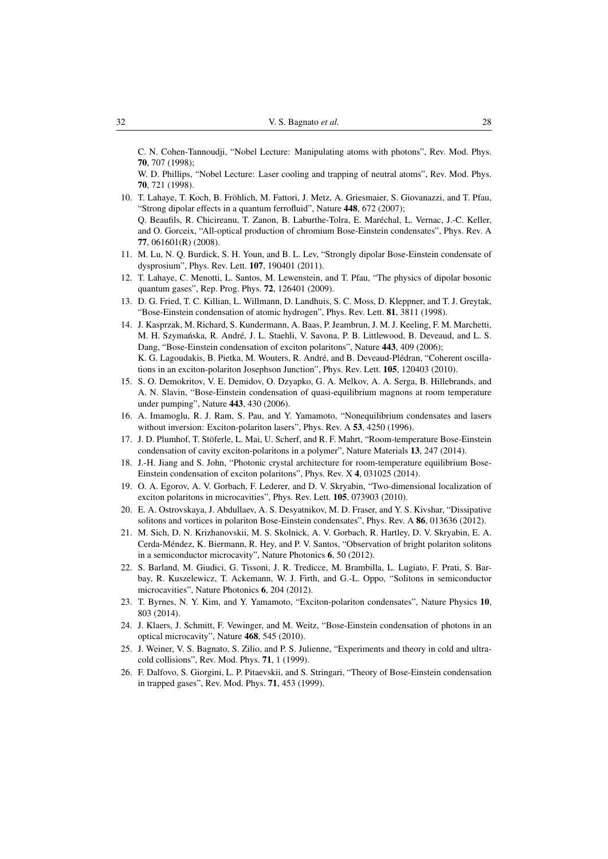C. N. Cohen-Tannoudji, "Nobel Lecture: Manipulating atoms with photons", Rev. Mod. Phys. 70, 707 (1998);

W. D. Phillips, "Nobel Lecture: Laser cooling and trapping of neutral atoms", Rev. Mod. Phys. 70, 721 (1998).

- <span id="page-27-0"></span>10. T. Lahaye, T. Koch, B. Frohlich, M. Fattori, J. Metz, A. Griesmaier, S. Giovanazzi, and T. Pfau, ¨ "Strong dipolar effects in a quantum ferrofluid", Nature 448, 672 (2007); Q. Beaufils, R. Chicireanu, T. Zanon, B. Laburthe-Tolra, E. Marechal, L. Vernac, J.-C. Keller, ´ and O. Gorceix, "All-optical production of chromium Bose-Einstein condensates", Phys. Rev. A 77, 061601(R) (2008).
- <span id="page-27-1"></span>11. M. Lu, N. Q. Burdick, S. H. Youn, and B. L. Lev, "Strongly dipolar Bose-Einstein condensate of dysprosium", Phys. Rev. Lett. 107, 190401 (2011).
- <span id="page-27-2"></span>12. T. Lahaye, C. Menotti, L. Santos, M. Lewenstein, and T. Pfau, "The physics of dipolar bosonic quantum gases", Rep. Prog. Phys. 72, 126401 (2009).
- <span id="page-27-3"></span>13. D. G. Fried, T. C. Killian, L. Willmann, D. Landhuis, S. C. Moss, D. Kleppner, and T. J. Greytak, "Bose-Einstein condensation of atomic hydrogen", Phys. Rev. Lett. 81, 3811 (1998).
- <span id="page-27-4"></span>14. J. Kasprzak, M. Richard, S. Kundermann, A. Baas, P. Jeambrun, J. M. J. Keeling, F. M. Marchetti, M. H. Szymańska, R. André, J. L. Staehli, V. Savona, P. B. Littlewood, B. Deveaud, and L. S. Dang, "Bose-Einstein condensation of exciton polaritons", Nature 443, 409 (2006); K. G. Lagoudakis, B. Pietka, M. Wouters, R. André, and B. Deveaud-Plédran, "Coherent oscillations in an exciton-polariton Josephson Junction", Phys. Rev. Lett. 105, 120403 (2010).
- <span id="page-27-5"></span>15. S. O. Demokritov, V. E. Demidov, O. Dzyapko, G. A. Melkov, A. A. Serga, B. Hillebrands, and A. N. Slavin, "Bose-Einstein condensation of quasi-equilibrium magnons at room temperature under pumping", Nature 443, 430 (2006).
- <span id="page-27-6"></span>16. A. Imamoglu, R. J. Ram, S. Pau, and Y. Yamamoto, "Nonequilibrium condensates and lasers without inversion: Exciton-polariton lasers", Phys. Rev. A 53, 4250 (1996).
- 17. J. D. Plumhof, T. Stöferle, L. Mai, U. Scherf, and R. F. Mahrt, "Room-temperature Bose-Einstein condensation of cavity exciton-polaritons in a polymer", Nature Materials 13, 247 (2014).
- <span id="page-27-7"></span>18. J.-H. Jiang and S. John, "Photonic crystal architecture for room-temperature equilibrium Bose-Einstein condensation of exciton polaritons", Phys. Rev. X 4, 031025 (2014).
- <span id="page-27-8"></span>19. O. A. Egorov, A. V. Gorbach, F. Lederer, and D. V. Skryabin, "Two-dimensional localization of exciton polaritons in microcavities", Phys. Rev. Lett. 105, 073903 (2010).
- 20. E. A. Ostrovskaya, J. Abdullaev, A. S. Desyatnikov, M. D. Fraser, and Y. S. Kivshar, "Dissipative solitons and vortices in polariton Bose-Einstein condensates", Phys. Rev. A 86, 013636 (2012).
- 21. M. Sich, D. N. Krizhanovskii, M. S. Skolnick, A. V. Gorbach, R. Hartley, D. V. Skryabin, E. A. Cerda-Mendez, K. Biermann, R. Hey, and P. V. Santos, "Observation of bright polariton solitons ´ in a semiconductor microcavity", Nature Photonics 6, 50 (2012).
- <span id="page-27-9"></span>22. S. Barland, M. Giudici, G. Tissoni, J. R. Tredicce, M. Brambilla, L. Lugiato, F. Prati, S. Barbay, R. Kuszelewicz, T. Ackemann, W. J. Firth, and G.-L. Oppo, "Solitons in semiconductor microcavities", Nature Photonics 6, 204 (2012).
- <span id="page-27-10"></span>23. T. Byrnes, N. Y. Kim, and Y. Yamamoto, "Exciton-polariton condensates", Nature Physics 10, 803 (2014).
- <span id="page-27-11"></span>24. J. Klaers, J. Schmitt, F. Vewinger, and M. Weitz, "Bose-Einstein condensation of photons in an optical microcavity", Nature 468, 545 (2010).
- <span id="page-27-12"></span>25. J. Weiner, V. S. Bagnato, S. Zilio, and P. S. Julienne, "Experiments and theory in cold and ultracold collisions", Rev. Mod. Phys. 71, 1 (1999).
- 26. F. Dalfovo, S. Giorgini, L. P. Pitaevskii, and S. Stringari, "Theory of Bose-Einstein condensation in trapped gases", Rev. Mod. Phys. 71, 453 (1999).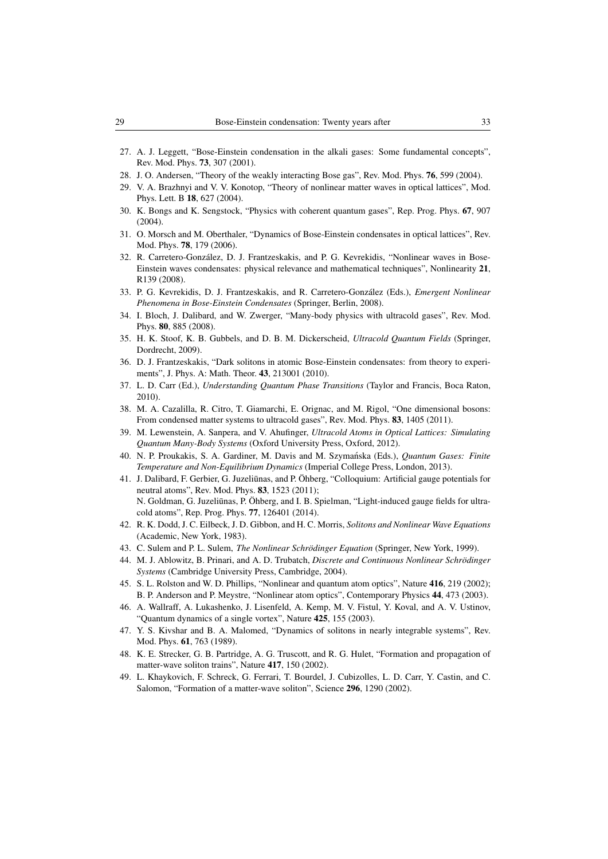- 27. A. J. Leggett, "Bose-Einstein condensation in the alkali gases: Some fundamental concepts", Rev. Mod. Phys. 73, 307 (2001).
- 28. J. O. Andersen, "Theory of the weakly interacting Bose gas", Rev. Mod. Phys. 76, 599 (2004).
- 29. V. A. Brazhnyi and V. V. Konotop, "Theory of nonlinear matter waves in optical lattices", Mod. Phys. Lett. B 18, 627 (2004).
- 30. K. Bongs and K. Sengstock, "Physics with coherent quantum gases", Rep. Prog. Phys. 67, 907  $(2004)$
- <span id="page-28-8"></span>31. O. Morsch and M. Oberthaler, "Dynamics of Bose-Einstein condensates in optical lattices", Rev. Mod. Phys. 78, 179 (2006).
- <span id="page-28-10"></span>32. R. Carretero-Gonzalez, D. J. Frantzeskakis, and P. G. Kevrekidis, "Nonlinear waves in Bose- ´ Einstein waves condensates: physical relevance and mathematical techniques", Nonlinearity 21, R139 (2008).
- 33. P. G. Kevrekidis, D. J. Frantzeskakis, and R. Carretero-Gonzalez (Eds.), ´ *Emergent Nonlinear Phenomena in Bose-Einstein Condensates* (Springer, Berlin, 2008).
- <span id="page-28-13"></span>34. I. Bloch, J. Dalibard, and W. Zwerger, "Many-body physics with ultracold gases", Rev. Mod. Phys. 80, 885 (2008).
- 35. H. K. Stoof, K. B. Gubbels, and D. B. M. Dickerscheid, *Ultracold Quantum Fields* (Springer, Dordrecht, 2009).
- <span id="page-28-7"></span>36. D. J. Frantzeskakis, "Dark solitons in atomic Bose-Einstein condensates: from theory to experiments", J. Phys. A: Math. Theor. 43, 213001 (2010).
- <span id="page-28-11"></span>37. L. D. Carr (Ed.), *Understanding Quantum Phase Transitions* (Taylor and Francis, Boca Raton, 2010).
- 38. M. A. Cazalilla, R. Citro, T. Giamarchi, E. Orignac, and M. Rigol, "One dimensional bosons: From condensed matter systems to ultracold gases", Rev. Mod. Phys. 83, 1405 (2011).
- <span id="page-28-9"></span>39. M. Lewenstein, A. Sanpera, and V. Ahufinger, *Ultracold Atoms in Optical Lattices: Simulating Quantum Many-Body Systems* (Oxford University Press, Oxford, 2012).
- <span id="page-28-12"></span>40. N. P. Proukakis, S. A. Gardiner, M. Davis and M. Szymanska (Eds.), ´ *Quantum Gases: Finite Temperature and Non-Equilibrium Dynamics* (Imperial College Press, London, 2013).
- <span id="page-28-0"></span>41. J. Dalibard, F. Gerbier, G. Juzeliūnas, and P. Öhberg, "Colloquium: Artificial gauge potentials for neutral atoms", Rev. Mod. Phys. 83, 1523 (2011); N. Goldman, G. Juzeliūnas, P. Öhberg, and I. B. Spielman, "Light-induced gauge fields for ultracold atoms", Rep. Prog. Phys. 77, 126401 (2014).
- <span id="page-28-1"></span>42. R. K. Dodd, J. C. Eilbeck, J. D. Gibbon, and H. C. Morris, *Solitons and Nonlinear Wave Equations* (Academic, New York, 1983).
- <span id="page-28-14"></span>43. C. Sulem and P. L. Sulem, *The Nonlinear Schrödinger Equation* (Springer, New York, 1999).
- <span id="page-28-2"></span>44. M. J. Ablowitz, B. Prinari, and A. D. Trubatch, *Discrete and Continuous Nonlinear Schrodinger ¨ Systems* (Cambridge University Press, Cambridge, 2004).
- <span id="page-28-3"></span>45. S. L. Rolston and W. D. Phillips, "Nonlinear and quantum atom optics", Nature 416, 219 (2002); B. P. Anderson and P. Meystre, "Nonlinear atom optics", Contemporary Physics 44, 473 (2003).
- <span id="page-28-4"></span>46. A. Wallraff, A. Lukashenko, J. Lisenfeld, A. Kemp, M. V. Fistul, Y. Koval, and A. V. Ustinov, 'Quantum dynamics of a single vortex", Nature 425, 155 (2003).
- <span id="page-28-5"></span>47. Y. S. Kivshar and B. A. Malomed, "Dynamics of solitons in nearly integrable systems", Rev. Mod. Phys. 61, 763 (1989).
- <span id="page-28-6"></span>48. K. E. Strecker, G. B. Partridge, A. G. Truscott, and R. G. Hulet, "Formation and propagation of matter-wave soliton trains", Nature 417, 150 (2002).
- 49. L. Khaykovich, F. Schreck, G. Ferrari, T. Bourdel, J. Cubizolles, L. D. Carr, Y. Castin, and C. Salomon, "Formation of a matter-wave soliton", Science 296, 1290 (2002).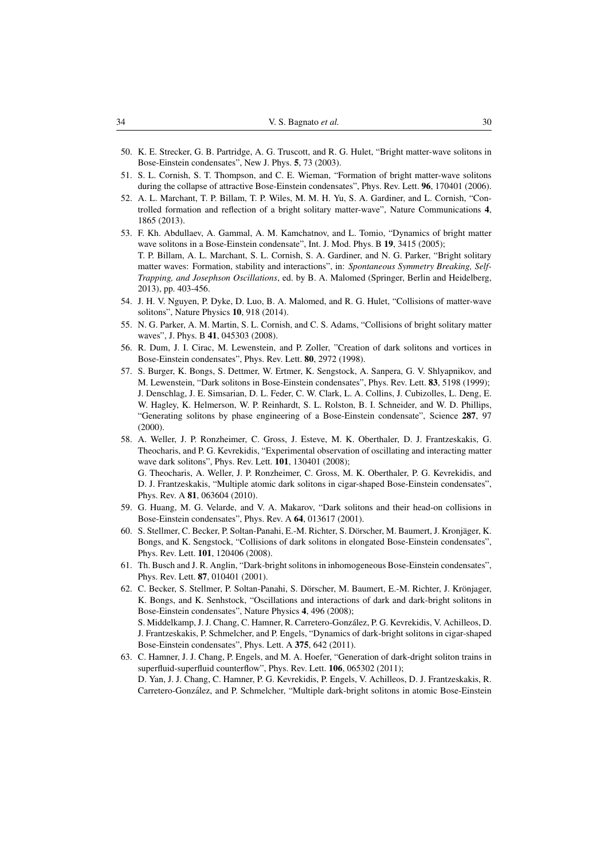- <span id="page-29-0"></span>50. K. E. Strecker, G. B. Partridge, A. G. Truscott, and R. G. Hulet, "Bright matter-wave solitons in Bose-Einstein condensates", New J. Phys. 5, 73 (2003).
- <span id="page-29-1"></span>51. S. L. Cornish, S. T. Thompson, and C. E. Wieman, "Formation of bright matter-wave solitons during the collapse of attractive Bose-Einstein condensates", Phys. Rev. Lett. 96, 170401 (2006).
- <span id="page-29-2"></span>52. A. L. Marchant, T. P. Billam, T. P. Wiles, M. M. H. Yu, S. A. Gardiner, and L. Cornish, "Controlled formation and reflection of a bright solitary matter-wave", Nature Communications 4, 1865 (2013).
- <span id="page-29-3"></span>53. F. Kh. Abdullaev, A. Gammal, A. M. Kamchatnov, and L. Tomio, "Dynamics of bright matter wave solitons in a Bose-Einstein condensate", Int. J. Mod. Phys. B 19, 3415 (2005); T. P. Billam, A. L. Marchant, S. L. Cornish, S. A. Gardiner, and N. G. Parker, "Bright solitary matter waves: Formation, stability and interactions", in: *Spontaneous Symmetry Breaking, Self-Trapping, and Josephson Oscillations*, ed. by B. A. Malomed (Springer, Berlin and Heidelberg, 2013), pp. 403-456.
- <span id="page-29-4"></span>54. J. H. V. Nguyen, P. Dyke, D. Luo, B. A. Malomed, and R. G. Hulet, "Collisions of matter-wave solitons", Nature Physics 10, 918 (2014).
- <span id="page-29-5"></span>55. N. G. Parker, A. M. Martin, S. L. Cornish, and C. S. Adams, "Collisions of bright solitary matter waves", J. Phys. B 41, 045303 (2008).
- <span id="page-29-6"></span>56. R. Dum, J. I. Cirac, M. Lewenstein, and P. Zoller, "Creation of dark solitons and vortices in Bose-Einstein condensates", Phys. Rev. Lett. 80, 2972 (1998).
- <span id="page-29-7"></span>57. S. Burger, K. Bongs, S. Dettmer, W. Ertmer, K. Sengstock, A. Sanpera, G. V. Shlyapnikov, and M. Lewenstein, "Dark solitons in Bose-Einstein condensates", Phys. Rev. Lett. 83, 5198 (1999); J. Denschlag, J. E. Simsarian, D. L. Feder, C. W. Clark, L. A. Collins, J. Cubizolles, L. Deng, E. W. Hagley, K. Helmerson, W. P. Reinhardt, S. L. Rolston, B. I. Schneider, and W. D. Phillips, "Generating solitons by phase engineering of a Bose-Einstein condensate", Science 287, 97 (2000).
- <span id="page-29-8"></span>58. A. Weller, J. P. Ronzheimer, C. Gross, J. Esteve, M. K. Oberthaler, D. J. Frantzeskakis, G. Theocharis, and P. G. Kevrekidis, "Experimental observation of oscillating and interacting matter wave dark solitons", Phys. Rev. Lett. 101, 130401 (2008); G. Theocharis, A. Weller, J. P. Ronzheimer, C. Gross, M. K. Oberthaler, P. G. Kevrekidis, and D. J. Frantzeskakis, "Multiple atomic dark solitons in cigar-shaped Bose-Einstein condensates", Phys. Rev. A 81, 063604 (2010).
- <span id="page-29-9"></span>59. G. Huang, M. G. Velarde, and V. A. Makarov, "Dark solitons and their head-on collisions in Bose-Einstein condensates", Phys. Rev. A 64, 013617 (2001).
- <span id="page-29-10"></span>60. S. Stellmer, C. Becker, P. Soltan-Panahi, E.-M. Richter, S. Dörscher, M. Baumert, J. Kronjäger, K. Bongs, and K. Sengstock, "Collisions of dark solitons in elongated Bose-Einstein condensates", Phys. Rev. Lett. 101, 120406 (2008).
- <span id="page-29-11"></span>61. Th. Busch and J. R. Anglin, "Dark-bright solitons in inhomogeneous Bose-Einstein condensates", Phys. Rev. Lett. 87, 010401 (2001).
- <span id="page-29-12"></span>62. C. Becker, S. Stellmer, P. Soltan-Panahi, S. Dörscher, M. Baumert, E.-M. Richter, J. Krönjager, K. Bongs, and K. Senhstock, "Oscillations and interactions of dark and dark-bright solitons in Bose-Einstein condensates", Nature Physics 4, 496 (2008); S. Middelkamp, J. J. Chang, C. Hamner, R. Carretero-Gonzalez, P. G. Kevrekidis, V. Achilleos, D. ´ J. Frantzeskakis, P. Schmelcher, and P. Engels, "Dynamics of dark-bright solitons in cigar-shaped Bose-Einstein condensates", Phys. Lett. A 375, 642 (2011).
- <span id="page-29-13"></span>63. C. Hamner, J. J. Chang, P. Engels, and M. A. Hoefer, "Generation of dark-dright soliton trains in superfluid-superfluid counterflow", Phys. Rev. Lett. 106, 065302 (2011); D. Yan, J. J. Chang, C. Hamner, P. G. Kevrekidis, P. Engels, V. Achilleos, D. J. Frantzeskakis, R. Carretero-Gonzalez, and P. Schmelcher, "Multiple dark-bright solitons in atomic Bose-Einstein ´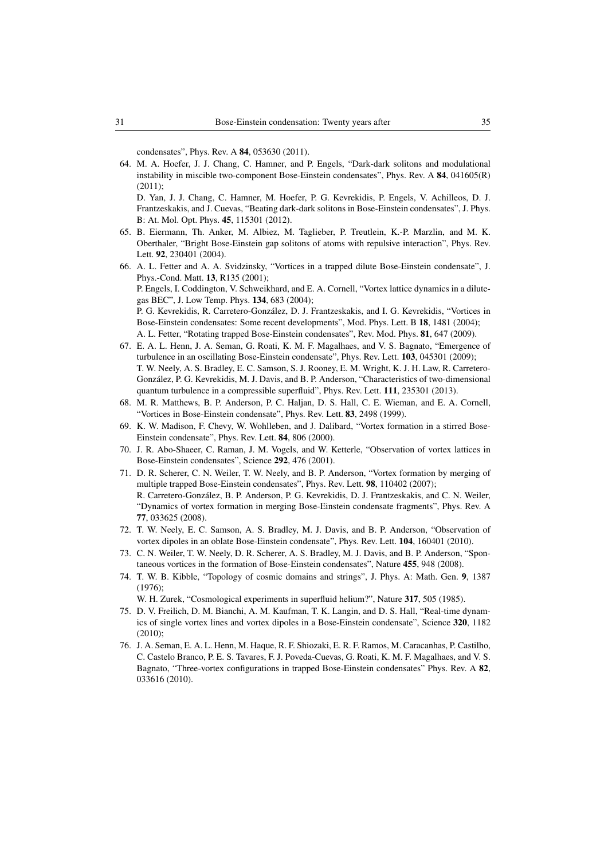condensates", Phys. Rev. A 84, 053630 (2011).

<span id="page-30-0"></span>64. M. A. Hoefer, J. J. Chang, C. Hamner, and P. Engels, "Dark-dark solitons and modulational instability in miscible two-component Bose-Einstein condensates", Phys. Rev. A  $84$ , 041605(R)  $(2011)$ ;

D. Yan, J. J. Chang, C. Hamner, M. Hoefer, P. G. Kevrekidis, P. Engels, V. Achilleos, D. J. Frantzeskakis, and J. Cuevas, "Beating dark-dark solitons in Bose-Einstein condensates", J. Phys. B: At. Mol. Opt. Phys. 45, 115301 (2012).

- <span id="page-30-1"></span>65. B. Eiermann, Th. Anker, M. Albiez, M. Taglieber, P. Treutlein, K.-P. Marzlin, and M. K. Oberthaler, "Bright Bose-Einstein gap solitons of atoms with repulsive interaction", Phys. Rev. Lett. 92, 230401 (2004).
- <span id="page-30-2"></span>66. A. L. Fetter and A. A. Svidzinsky, "Vortices in a trapped dilute Bose-Einstein condensate", J. Phys.-Cond. Matt. 13, R135 (2001); P. Engels, I. Coddington, V. Schweikhard, and E. A. Cornell, "Vortex lattice dynamics in a dilutegas BEC", J. Low Temp. Phys. 134, 683 (2004); P. G. Kevrekidis, R. Carretero-Gonzalez, D. J. Frantzeskakis, and I. G. Kevrekidis, "Vortices in ´ Bose-Einstein condensates: Some recent developments", Mod. Phys. Lett. B 18, 1481 (2004); A. L. Fetter, "Rotating trapped Bose-Einstein condensates", Rev. Mod. Phys. 81, 647 (2009).
- <span id="page-30-3"></span>67. E. A. L. Henn, J. A. Seman, G. Roati, K. M. F. Magalhaes, and V. S. Bagnato, "Emergence of turbulence in an oscillating Bose-Einstein condensate", Phys. Rev. Lett. 103, 045301 (2009); T. W. Neely, A. S. Bradley, E. C. Samson, S. J. Rooney, E. M. Wright, K. J. H. Law, R. Carretero-González, P. G. Kevrekidis, M. J. Davis, and B. P. Anderson, "Characteristics of two-dimensional quantum turbulence in a compressible superfluid", Phys. Rev. Lett. 111, 235301 (2013).
- <span id="page-30-4"></span>68. M. R. Matthews, B. P. Anderson, P. C. Haljan, D. S. Hall, C. E. Wieman, and E. A. Cornell, "Vortices in Bose-Einstein condensate", Phys. Rev. Lett. 83, 2498 (1999).
- <span id="page-30-5"></span>69. K. W. Madison, F. Chevy, W. Wohlleben, and J. Dalibard, "Vortex formation in a stirred Bose-Einstein condensate", Phys. Rev. Lett. 84, 806 (2000).
- <span id="page-30-6"></span>70. J. R. Abo-Shaeer, C. Raman, J. M. Vogels, and W. Ketterle, "Observation of vortex lattices in Bose-Einstein condensates", Science 292, 476 (2001).
- <span id="page-30-7"></span>71. D. R. Scherer, C. N. Weiler, T. W. Neely, and B. P. Anderson, "Vortex formation by merging of multiple trapped Bose-Einstein condensates", Phys. Rev. Lett. 98, 110402 (2007); R. Carretero-Gonzalez, B. P. Anderson, P. G. Kevrekidis, D. J. Frantzeskakis, and C. N. Weiler, ´ "Dynamics of vortex formation in merging Bose-Einstein condensate fragments", Phys. Rev. A 77, 033625 (2008).
- <span id="page-30-8"></span>72. T. W. Neely, E. C. Samson, A. S. Bradley, M. J. Davis, and B. P. Anderson, "Observation of vortex dipoles in an oblate Bose-Einstein condensate", Phys. Rev. Lett. 104, 160401 (2010).
- <span id="page-30-9"></span>73. C. N. Weiler, T. W. Neely, D. R. Scherer, A. S. Bradley, M. J. Davis, and B. P. Anderson, "Spontaneous vortices in the formation of Bose-Einstein condensates", Nature 455, 948 (2008).
- <span id="page-30-10"></span>74. T. W. B. Kibble, "Topology of cosmic domains and strings", J. Phys. A: Math. Gen. 9, 1387 (1976);

W. H. Zurek, "Cosmological experiments in superfluid helium?", Nature 317, 505 (1985).

- <span id="page-30-11"></span>75. D. V. Freilich, D. M. Bianchi, A. M. Kaufman, T. K. Langin, and D. S. Hall, "Real-time dynamics of single vortex lines and vortex dipoles in a Bose-Einstein condensate", Science 320, 1182 (2010);
- 76. J. A. Seman, E. A. L. Henn, M. Haque, R. F. Shiozaki, E. R. F. Ramos, M. Caracanhas, P. Castilho, C. Castelo Branco, P. E. S. Tavares, F. J. Poveda-Cuevas, G. Roati, K. M. F. Magalhaes, and V. S. Bagnato, "Three-vortex configurations in trapped Bose-Einstein condensates" Phys. Rev. A 82, 033616 (2010).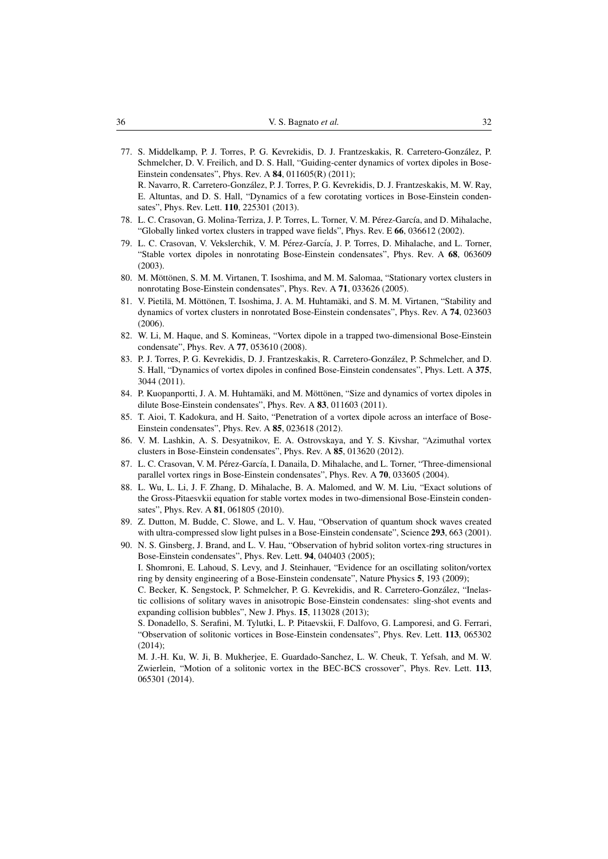- <span id="page-31-3"></span>77. S. Middelkamp, P. J. Torres, P. G. Kevrekidis, D. J. Frantzeskakis, R. Carretero-Gonzalez, P. ´ Schmelcher, D. V. Freilich, and D. S. Hall, "Guiding-center dynamics of vortex dipoles in Bose-Einstein condensates", Phys. Rev. A 84, 011605(R) (2011); R. Navarro, R. Carretero-Gonzalez, P. J. Torres, P. G. Kevrekidis, D. J. Frantzeskakis, M. W. Ray, ´ E. Altuntas, and D. S. Hall, "Dynamics of a few corotating vortices in Bose-Einstein conden-
- 78. L. C. Crasovan, G. Molina-Terriza, J. P. Torres, L. Torner, V. M. Pérez-García, and D. Mihalache, "Globally linked vortex clusters in trapped wave fields", Phys. Rev. E 66, 036612 (2002).

sates", Phys. Rev. Lett. 110, 225301 (2013).

- 79. L. C. Crasovan, V. Vekslerchik, V. M. Pérez-García, J. P. Torres, D. Mihalache, and L. Torner, "Stable vortex dipoles in nonrotating Bose-Einstein condensates", Phys. Rev. A 68, 063609 (2003).
- 80. M. Möttönen, S. M. M. Virtanen, T. Isoshima, and M. M. Salomaa, "Stationary vortex clusters in nonrotating Bose-Einstein condensates", Phys. Rev. A 71, 033626 (2005).
- 81. V. Pietilä, M. Möttönen, T. Isoshima, J. A. M. Huhtamäki, and S. M. M. Virtanen, "Stability and dynamics of vortex clusters in nonrotated Bose-Einstein condensates", Phys. Rev. A 74, 023603 (2006).
- 82. W. Li, M. Haque, and S. Komineas, "Vortex dipole in a trapped two-dimensional Bose-Einstein condensate", Phys. Rev. A 77, 053610 (2008).
- 83. P. J. Torres, P. G. Kevrekidis, D. J. Frantzeskakis, R. Carretero-Gonzalez, P. Schmelcher, and D. ´ S. Hall, "Dynamics of vortex dipoles in confined Bose-Einstein condensates", Phys. Lett. A 375, 3044 (2011).
- 84. P. Kuopanportti, J. A. M. Huhtamäki, and M. Möttönen, "Size and dynamics of vortex dipoles in dilute Bose-Einstein condensates", Phys. Rev. A 83, 011603 (2011).
- 85. T. Aioi, T. Kadokura, and H. Saito, "Penetration of a vortex dipole across an interface of Bose-Einstein condensates", Phys. Rev. A 85, 023618 (2012).
- 86. V. M. Lashkin, A. S. Desyatnikov, E. A. Ostrovskaya, and Y. S. Kivshar, "Azimuthal vortex clusters in Bose-Einstein condensates", Phys. Rev. A 85, 013620 (2012).
- 87. L. C. Crasovan, V. M. Pérez-García, I. Danaila, D. Mihalache, and L. Torner, "Three-dimensional parallel vortex rings in Bose-Einstein condensates", Phys. Rev. A 70, 033605 (2004).
- <span id="page-31-0"></span>88. L. Wu, L. Li, J. F. Zhang, D. Mihalache, B. A. Malomed, and W. M. Liu, "Exact solutions of the Gross-Pitaesvkii equation for stable vortex modes in two-dimensional Bose-Einstein condensates", Phys. Rev. A 81, 061805 (2010).
- <span id="page-31-1"></span>89. Z. Dutton, M. Budde, C. Slowe, and L. V. Hau, "Observation of quantum shock waves created with ultra-compressed slow light pulses in a Bose-Einstein condensate", Science 293, 663 (2001).
- <span id="page-31-2"></span>90. N. S. Ginsberg, J. Brand, and L. V. Hau, "Observation of hybrid soliton vortex-ring structures in Bose-Einstein condensates", Phys. Rev. Lett. 94, 040403 (2005); I. Shomroni, E. Lahoud, S. Levy, and J. Steinhauer, "Evidence for an oscillating soliton/vortex ring by density engineering of a Bose-Einstein condensate", Nature Physics 5, 193 (2009);

C. Becker, K. Sengstock, P. Schmelcher, P. G. Kevrekidis, and R. Carretero-Gonzalez, "Inelas- ´ tic collisions of solitary waves in anisotropic Bose-Einstein condensates: sling-shot events and expanding collision bubbles", New J. Phys. 15, 113028 (2013);

S. Donadello, S. Serafini, M. Tylutki, L. P. Pitaevskii, F. Dalfovo, G. Lamporesi, and G. Ferrari, "Observation of solitonic vortices in Bose-Einstein condensates", Phys. Rev. Lett. 113, 065302 (2014);

M. J.-H. Ku, W. Ji, B. Mukherjee, E. Guardado-Sanchez, L. W. Cheuk, T. Yefsah, and M. W. Zwierlein, "Motion of a solitonic vortex in the BEC-BCS crossover", Phys. Rev. Lett. 113, 065301 (2014).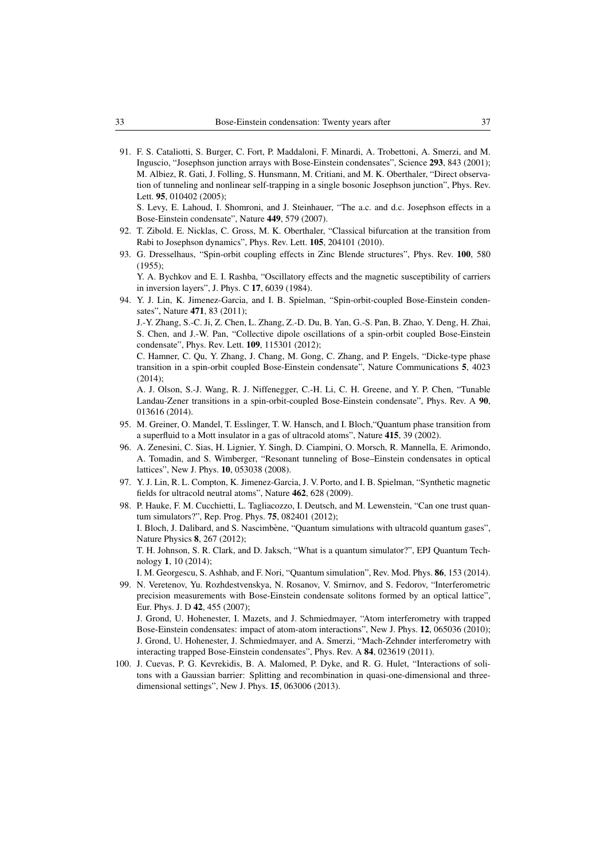<span id="page-32-0"></span>91. F. S. Cataliotti, S. Burger, C. Fort, P. Maddaloni, F. Minardi, A. Trobettoni, A. Smerzi, and M. Inguscio, "Josephson junction arrays with Bose-Einstein condensates", Science 293, 843 (2001); M. Albiez, R. Gati, J. Folling, S. Hunsmann, M. Critiani, and M. K. Oberthaler, "Direct observation of tunneling and nonlinear self-trapping in a single bosonic Josephson junction", Phys. Rev. Lett. 95, 010402 (2005);

S. Levy, E. Lahoud, I. Shomroni, and J. Steinhauer, "The a.c. and d.c. Josephson effects in a Bose-Einstein condensate", Nature 449, 579 (2007).

- <span id="page-32-1"></span>92. T. Zibold. E. Nicklas, C. Gross, M. K. Oberthaler, "Classical bifurcation at the transition from Rabi to Josephson dynamics", Phys. Rev. Lett. 105, 204101 (2010).
- <span id="page-32-2"></span>93. G. Dresselhaus, "Spin-orbit coupling effects in Zinc Blende structures", Phys. Rev. 100, 580 (1955);

Y. A. Bychkov and E. I. Rashba, "Oscillatory effects and the magnetic susceptibility of carriers in inversion layers", J. Phys. C 17, 6039 (1984).

<span id="page-32-3"></span>94. Y. J. Lin, K. Jimenez-Garcia, and I. B. Spielman, "Spin-orbit-coupled Bose-Einstein condensates", Nature 471, 83 (2011);

J.-Y. Zhang, S.-C. Ji, Z. Chen, L. Zhang, Z.-D. Du, B. Yan, G.-S. Pan, B. Zhao, Y. Deng, H. Zhai, S. Chen, and J.-W. Pan, "Collective dipole oscillations of a spin-orbit coupled Bose-Einstein condensate", Phys. Rev. Lett. 109, 115301 (2012);

C. Hamner, C. Qu, Y. Zhang, J. Chang, M. Gong, C. Zhang, and P. Engels, "Dicke-type phase transition in a spin-orbit coupled Bose-Einstein condensate", Nature Communications 5, 4023  $(2014)$ ;

A. J. Olson, S.-J. Wang, R. J. Niffenegger, C.-H. Li, C. H. Greene, and Y. P. Chen, "Tunable Landau-Zener transitions in a spin-orbit-coupled Bose-Einstein condensate", Phys. Rev. A 90, 013616 (2014).

- <span id="page-32-4"></span>95. M. Greiner, O. Mandel, T. Esslinger, T. W. Hansch, and I. Bloch,"Quantum phase transition from a superfluid to a Mott insulator in a gas of ultracold atoms", Nature 415, 39 (2002).
- <span id="page-32-5"></span>96. A. Zenesini, C. Sias, H. Lignier, Y. Singh, D. Ciampini, O. Morsch, R. Mannella, E. Arimondo, A. Tomadin, and S. Wimberger, "Resonant tunneling of Bose–Einstein condensates in optical lattices", New J. Phys. 10, 053038 (2008).
- <span id="page-32-6"></span>97. Y. J. Lin, R. L. Compton, K. Jimenez-Garcia, J. V. Porto, and I. B. Spielman, "Synthetic magnetic fields for ultracold neutral atoms", Nature 462, 628 (2009).

<span id="page-32-7"></span>98. P. Hauke, F. M. Cucchietti, L. Tagliacozzo, I. Deutsch, and M. Lewenstein, "Can one trust quantum simulators?", Rep. Prog. Phys. 75, 082401 (2012); I. Bloch, J. Dalibard, and S. Nascimbène, "Quantum simulations with ultracold quantum gases", Nature Physics 8, 267 (2012); T. H. Johnson, S. R. Clark, and D. Jaksch, "What is a quantum simulator?", EPJ Quantum Technology 1, 10 (2014);

<span id="page-32-8"></span>I. M. Georgescu, S. Ashhab, and F. Nori, "Quantum simulation", Rev. Mod. Phys. 86, 153 (2014). 99. N. Veretenov, Yu. Rozhdestvenskya, N. Rosanov, V. Smirnov, and S. Fedorov, "Interferometric precision measurements with Bose-Einstein condensate solitons formed by an optical lattice", Eur. Phys. J. D 42, 455 (2007); J. Grond, U. Hohenester, I. Mazets, and J. Schmiedmayer, "Atom interferometry with trapped Bose-Einstein condensates: impact of atom-atom interactions", New J. Phys. 12, 065036 (2010); J. Grond, U. Hohenester, J. Schmiedmayer, and A. Smerzi, "Mach-Zehnder interferometry with interacting trapped Bose-Einstein condensates", Phys. Rev. A 84, 023619 (2011).

<span id="page-32-9"></span>100. J. Cuevas, P. G. Kevrekidis, B. A. Malomed, P. Dyke, and R. G. Hulet, "Interactions of solitons with a Gaussian barrier: Splitting and recombination in quasi-one-dimensional and threedimensional settings", New J. Phys. 15, 063006 (2013).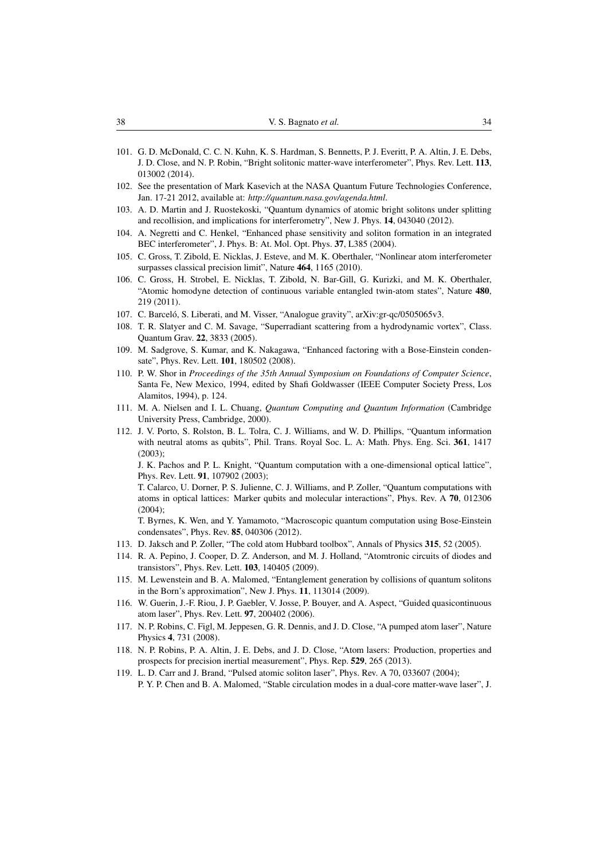- <span id="page-33-0"></span>101. G. D. McDonald, C. C. N. Kuhn, K. S. Hardman, S. Bennetts, P. J. Everitt, P. A. Altin, J. E. Debs, J. D. Close, and N. P. Robin, "Bright solitonic matter-wave interferometer", Phys. Rev. Lett. 113, 013002 (2014).
- <span id="page-33-1"></span>102. See the presentation of Mark Kasevich at the NASA Quantum Future Technologies Conference, Jan. 17-21 2012, available at: *http://quantum.nasa.gov/agenda.html*.
- <span id="page-33-2"></span>103. A. D. Martin and J. Ruostekoski, "Quantum dynamics of atomic bright solitons under splitting and recollision, and implications for interferometry", New J. Phys. 14, 043040 (2012).
- <span id="page-33-3"></span>104. A. Negretti and C. Henkel, "Enhanced phase sensitivity and soliton formation in an integrated BEC interferometer", J. Phys. B: At. Mol. Opt. Phys. 37, L385 (2004).
- <span id="page-33-4"></span>105. C. Gross, T. Zibold, E. Nicklas, J. Esteve, and M. K. Oberthaler, "Nonlinear atom interferometer surpasses classical precision limit", Nature 464, 1165 (2010).
- <span id="page-33-5"></span>106. C. Gross, H. Strobel, E. Nicklas, T. Zibold, N. Bar-Gill, G. Kurizki, and M. K. Oberthaler, "Atomic homodyne detection of continuous variable entangled twin-atom states", Nature 480, 219 (2011).
- <span id="page-33-6"></span>107. C. Barceló, S. Liberati, and M. Visser, "Analogue gravity", arXiv:gr-qc/0505065v3.
- <span id="page-33-7"></span>108. T. R. Slatyer and C. M. Savage, "Superradiant scattering from a hydrodynamic vortex", Class. Quantum Grav. 22, 3833 (2005).
- <span id="page-33-8"></span>109. M. Sadgrove, S. Kumar, and K. Nakagawa, "Enhanced factoring with a Bose-Einstein condensate", Phys. Rev. Lett. 101, 180502 (2008).
- <span id="page-33-9"></span>110. P. W. Shor in *Proceedings of the 35th Annual Symposium on Foundations of Computer Science*, Santa Fe, New Mexico, 1994, edited by Shafi Goldwasser (IEEE Computer Society Press, Los Alamitos, 1994), p. 124.
- <span id="page-33-10"></span>111. M. A. Nielsen and I. L. Chuang, *Quantum Computing and Quantum Information* (Cambridge University Press, Cambridge, 2000).
- <span id="page-33-11"></span>112. J. V. Porto, S. Rolston, B. L. Tolra, C. J. Williams, and W. D. Phillips, "Quantum information with neutral atoms as qubits", Phil. Trans. Royal Soc. L. A: Math. Phys. Eng. Sci. 361, 1417 (2003);

J. K. Pachos and P. L. Knight, "Quantum computation with a one-dimensional optical lattice", Phys. Rev. Lett. 91, 107902 (2003);

T. Calarco, U. Dorner, P. S. Julienne, C. J. Williams, and P. Zoller, "Quantum computations with atoms in optical lattices: Marker qubits and molecular interactions", Phys. Rev. A 70, 012306 (2004);

T. Byrnes, K. Wen, and Y. Yamamoto, "Macroscopic quantum computation using Bose-Einstein condensates", Phys. Rev. 85, 040306 (2012).

- <span id="page-33-12"></span>113. D. Jaksch and P. Zoller, "The cold atom Hubbard toolbox", Annals of Physics 315, 52 (2005).
- <span id="page-33-13"></span>114. R. A. Pepino, J. Cooper, D. Z. Anderson, and M. J. Holland, "Atomtronic circuits of diodes and transistors", Phys. Rev. Lett. 103, 140405 (2009).
- <span id="page-33-14"></span>115. M. Lewenstein and B. A. Malomed, "Entanglement generation by collisions of quantum solitons in the Born's approximation", New J. Phys. 11, 113014 (2009).
- <span id="page-33-15"></span>116. W. Guerin, J.-F. Riou, J. P. Gaebler, V. Josse, P. Bouyer, and A. Aspect, "Guided quasicontinuous atom laser", Phys. Rev. Lett. 97, 200402 (2006).
- <span id="page-33-16"></span>117. N. P. Robins, C. Figl, M. Jeppesen, G. R. Dennis, and J. D. Close, "A pumped atom laser", Nature Physics 4, 731 (2008).
- <span id="page-33-17"></span>118. N. P. Robins, P. A. Altin, J. E. Debs, and J. D. Close, "Atom lasers: Production, properties and prospects for precision inertial measurement", Phys. Rep. 529, 265 (2013).
- <span id="page-33-18"></span>119. L. D. Carr and J. Brand, "Pulsed atomic soliton laser", Phys. Rev. A 70, 033607 (2004); P. Y. P. Chen and B. A. Malomed, "Stable circulation modes in a dual-core matter-wave laser", J.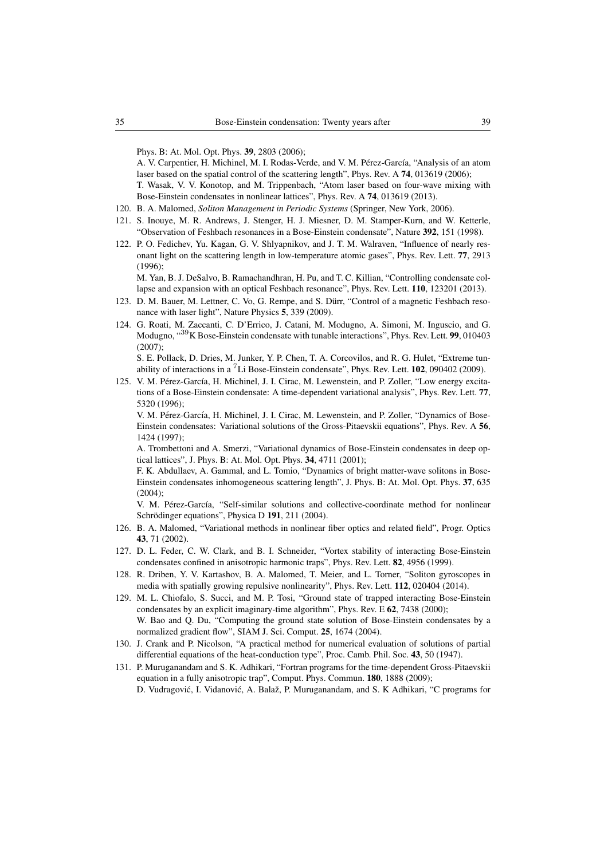Phys. B: At. Mol. Opt. Phys. 39, 2803 (2006);

A. V. Carpentier, H. Michinel, M. I. Rodas-Verde, and V. M. Pérez-García, "Analysis of an atom laser based on the spatial control of the scattering length", Phys. Rev. A 74, 013619 (2006);

T. Wasak, V. V. Konotop, and M. Trippenbach, "Atom laser based on four-wave mixing with Bose-Einstein condensates in nonlinear lattices", Phys. Rev. A 74, 013619 (2013).

- <span id="page-34-0"></span>120. B. A. Malomed, *Soliton Management in Periodic Systems* (Springer, New York, 2006).
- <span id="page-34-1"></span>121. S. Inouye, M. R. Andrews, J. Stenger, H. J. Miesner, D. M. Stamper-Kurn, and W. Ketterle, "Observation of Feshbach resonances in a Bose-Einstein condensate", Nature 392, 151 (1998).
- <span id="page-34-2"></span>122. P. O. Fedichev, Yu. Kagan, G. V. Shlyapnikov, and J. T. M. Walraven, "Influence of nearly resonant light on the scattering length in low-temperature atomic gases", Phys. Rev. Lett. 77, 2913 (1996);

M. Yan, B. J. DeSalvo, B. Ramachandhran, H. Pu, and T. C. Killian, "Controlling condensate collapse and expansion with an optical Feshbach resonance", Phys. Rev. Lett. 110, 123201 (2013).

- <span id="page-34-3"></span>123. D. M. Bauer, M. Lettner, C. Vo, G. Rempe, and S. Durr, "Control of a magnetic Feshbach reso- ¨ nance with laser light", Nature Physics 5, 339 (2009).
- <span id="page-34-4"></span>124. G. Roati, M. Zaccanti, C. D'Errico, J. Catani, M. Modugno, A. Simoni, M. Inguscio, and G. Modugno, "<sup>39</sup>K Bose-Einstein condensate with tunable interactions", Phys. Rev. Lett. **99**, 010403 (2007);

S. E. Pollack, D. Dries, M. Junker, Y. P. Chen, T. A. Corcovilos, and R. G. Hulet, "Extreme tunability of interactions in a <sup>7</sup>Li Bose-Einstein condensate", Phys. Rev. Lett. 102, 090402 (2009).

<span id="page-34-5"></span>125. V. M. Pérez-García, H. Michinel, J. I. Cirac, M. Lewenstein, and P. Zoller, "Low energy excitations of a Bose-Einstein condensate: A time-dependent variational analysis", Phys. Rev. Lett. 77, 5320 (1996);

V. M. Pérez-García, H. Michinel, J. I. Cirac, M. Lewenstein, and P. Zoller, "Dynamics of Bose-Einstein condensates: Variational solutions of the Gross-Pitaevskii equations", Phys. Rev. A 56, 1424 (1997);

A. Trombettoni and A. Smerzi, "Variational dynamics of Bose-Einstein condensates in deep optical lattices", J. Phys. B: At. Mol. Opt. Phys. 34, 4711 (2001);

F. K. Abdullaev, A. Gammal, and L. Tomio, "Dynamics of bright matter-wave solitons in Bose-Einstein condensates inhomogeneous scattering length", J. Phys. B: At. Mol. Opt. Phys. 37, 635 (2004);

V. M. Pérez-García, "Self-similar solutions and collective-coordinate method for nonlinear Schrödinger equations", Physica D 191, 211 (2004).

- <span id="page-34-6"></span>126. B. A. Malomed, "Variational methods in nonlinear fiber optics and related field", Progr. Optics 43, 71 (2002).
- <span id="page-34-7"></span>127. D. L. Feder, C. W. Clark, and B. I. Schneider, "Vortex stability of interacting Bose-Einstein condensates confined in anisotropic harmonic traps", Phys. Rev. Lett. 82, 4956 (1999).
- <span id="page-34-8"></span>128. R. Driben, Y. V. Kartashov, B. A. Malomed, T. Meier, and L. Torner, "Soliton gyroscopes in media with spatially growing repulsive nonlinearity", Phys. Rev. Lett. 112, 020404 (2014).
- <span id="page-34-9"></span>129. M. L. Chiofalo, S. Succi, and M. P. Tosi, "Ground state of trapped interacting Bose-Einstein condensates by an explicit imaginary-time algorithm", Phys. Rev. E 62, 7438 (2000); W. Bao and Q. Du, "Computing the ground state solution of Bose-Einstein condensates by a normalized gradient flow", SIAM J. Sci. Comput. 25, 1674 (2004).
- <span id="page-34-10"></span>130. J. Crank and P. Nicolson, "A practical method for numerical evaluation of solutions of partial differential equations of the heat-conduction type", Proc. Camb. Phil. Soc. 43, 50 (1947).
- <span id="page-34-11"></span>131. P. Muruganandam and S. K. Adhikari, "Fortran programs for the time-dependent Gross-Pitaevskii equation in a fully anisotropic trap", Comput. Phys. Commun. 180, 1888 (2009); D. Vudragović, I. Vidanović, A. Balaž, P. Muruganandam, and S. K Adhikari, "C programs for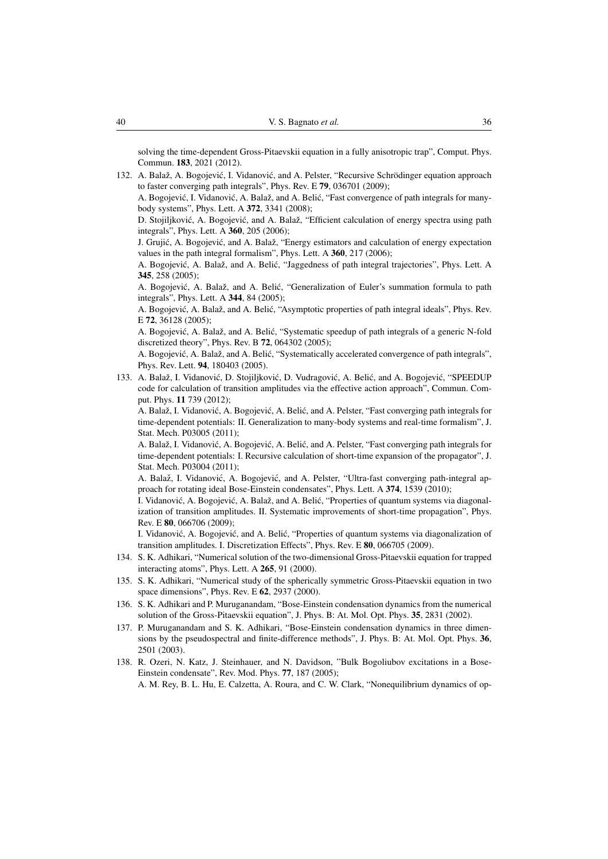solving the time-dependent Gross-Pitaevskii equation in a fully anisotropic trap", Comput. Phys. Commun. 183, 2021 (2012).

- <span id="page-35-0"></span>132. A. Balaž, A. Bogojević, I. Vidanović, and A. Pelster, "Recursive Schrödinger equation approach to faster converging path integrals", Phys. Rev. E 79, 036701 (2009);
	- A. Bogojević, I. Vidanović, A. Balaž, and A. Belić, "Fast convergence of path integrals for manybody systems", Phys. Lett. A 372, 3341 (2008);

D. Stojiljković, A. Bogojević, and A. Balaž, "Efficient calculation of energy spectra using path integrals", Phys. Lett. A 360, 205 (2006);

J. Grujić, A. Bogojević, and A. Balaž, "Energy estimators and calculation of energy expectation values in the path integral formalism", Phys. Lett. A 360, 217 (2006);

A. Bogojević, A. Balaž, and A. Belić, "Jaggedness of path integral trajectories", Phys. Lett. A 345, 258 (2005);

A. Bogojević, A. Balaž, and A. Belić, "Generalization of Euler's summation formula to path integrals", Phys. Lett. A 344, 84 (2005);

A. Bogojević, A. Balaž, and A. Belić, "Asymptotic properties of path integral ideals". Phys. Rev. E 72, 36128 (2005);

A. Bogojević, A. Balaž, and A. Belić, "Systematic speedup of path integrals of a generic N-fold discretized theory", Phys. Rev. B 72, 064302 (2005);

A. Bogojević, A. Balaž, and A. Belić, "Systematically accelerated convergence of path integrals", Phys. Rev. Lett. 94, 180403 (2005).

<span id="page-35-1"></span>133. A. Balaž, I. Vidanović, D. Stojiljković, D. Vudragović, A. Belić, and A. Bogojević, "SPEEDUP code for calculation of transition amplitudes via the effective action approach", Commun. Comput. Phys. 11 739 (2012);

A. Balaž, I. Vidanović, A. Bogojević, A. Belić, and A. Pelster, "Fast converging path integrals for time-dependent potentials: II. Generalization to many-body systems and real-time formalism", J. Stat. Mech. P03005 (2011);

A. Balaž, I. Vidanović, A. Bogojević, A. Belić, and A. Pelster, "Fast converging path integrals for time-dependent potentials: I. Recursive calculation of short-time expansion of the propagator", J. Stat. Mech. P03004 (2011);

A. Balaž, I. Vidanović, A. Bogojević, and A. Pelster, "Ultra-fast converging path-integral approach for rotating ideal Bose-Einstein condensates", Phys. Lett. A 374, 1539 (2010);

I. Vidanović, A. Bogojević, A. Balaž, and A. Belić, "Properties of quantum systems via diagonalization of transition amplitudes. II. Systematic improvements of short-time propagation", Phys. Rev. E 80, 066706 (2009);

I. Vidanović, A. Bogojević, and A. Belić, "Properties of quantum systems via diagonalization of transition amplitudes. I. Discretization Effects", Phys. Rev. E 80, 066705 (2009).

- <span id="page-35-2"></span>134. S. K. Adhikari, "Numerical solution of the two-dimensional Gross-Pitaevskii equation for trapped interacting atoms", Phys. Lett. A 265, 91 (2000).
- 135. S. K. Adhikari, "Numerical study of the spherically symmetric Gross-Pitaevskii equation in two space dimensions", Phys. Rev. E 62, 2937 (2000).
- 136. S. K. Adhikari and P. Muruganandam, "Bose-Einstein condensation dynamics from the numerical solution of the Gross-Pitaevskii equation", J. Phys. B: At. Mol. Opt. Phys. 35, 2831 (2002).
- <span id="page-35-3"></span>137. P. Muruganandam and S. K. Adhikari, "Bose-Einstein condensation dynamics in three dimensions by the pseudospectral and finite-difference methods", J. Phys. B: At. Mol. Opt. Phys. 36, 2501 (2003).
- <span id="page-35-4"></span>138. R. Ozeri, N. Katz, J. Steinhauer, and N. Davidson, "Bulk Bogoliubov excitations in a Bose-Einstein condensate", Rev. Mod. Phys. 77, 187 (2005);

A. M. Rey, B. L. Hu, E. Calzetta, A. Roura, and C. W. Clark, "Nonequilibrium dynamics of op-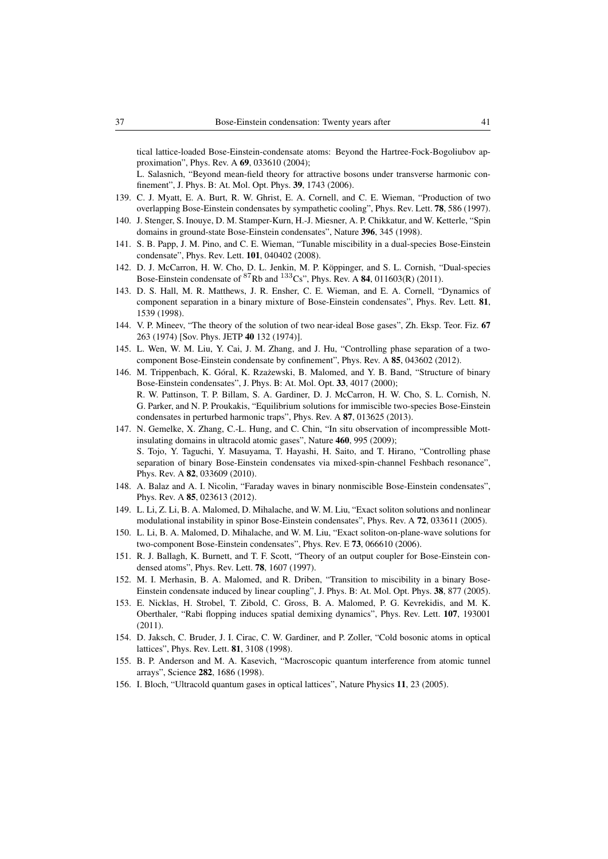tical lattice-loaded Bose-Einstein-condensate atoms: Beyond the Hartree-Fock-Bogoliubov approximation", Phys. Rev. A 69, 033610 (2004);

L. Salasnich, "Beyond mean-field theory for attractive bosons under transverse harmonic confinement", J. Phys. B: At. Mol. Opt. Phys. 39, 1743 (2006).

- <span id="page-36-0"></span>139. C. J. Myatt, E. A. Burt, R. W. Ghrist, E. A. Cornell, and C. E. Wieman, "Production of two overlapping Bose-Einstein condensates by sympathetic cooling", Phys. Rev. Lett. 78, 586 (1997).
- <span id="page-36-1"></span>140. J. Stenger, S. Inouye, D. M. Stamper-Kurn, H.-J. Miesner, A. P. Chikkatur, and W. Ketterle, "Spin domains in ground-state Bose-Einstein condensates", Nature 396, 345 (1998).
- <span id="page-36-2"></span>141. S. B. Papp, J. M. Pino, and C. E. Wieman, "Tunable miscibility in a dual-species Bose-Einstein condensate", Phys. Rev. Lett. 101, 040402 (2008).
- <span id="page-36-3"></span>142. D. J. McCarron, H. W. Cho, D. L. Jenkin, M. P. Köppinger, and S. L. Cornish, "Dual-species Bose-Einstein condensate of  ${}^{87}$ Rb and  ${}^{133}$ Cs", Phys. Rev. A 84, 011603(R) (2011).
- <span id="page-36-4"></span>143. D. S. Hall, M. R. Matthews, J. R. Ensher, C. E. Wieman, and E. A. Cornell, "Dynamics of component separation in a binary mixture of Bose-Einstein condensates", Phys. Rev. Lett. 81, 1539 (1998).
- <span id="page-36-5"></span>144. V. P. Mineev, "The theory of the solution of two near-ideal Bose gases", Zh. Eksp. Teor. Fiz. 67 263 (1974) [Sov. Phys. JETP 40 132 (1974)].
- <span id="page-36-6"></span>145. L. Wen, W. M. Liu, Y. Cai, J. M. Zhang, and J. Hu, "Controlling phase separation of a twocomponent Bose-Einstein condensate by confinement", Phys. Rev. A 85, 043602 (2012).
- <span id="page-36-7"></span>146. M. Trippenbach, K. Góral, K. Rzażewski, B. Malomed, and Y. B. Band, "Structure of binary Bose-Einstein condensates", J. Phys. B: At. Mol. Opt. 33, 4017 (2000); R. W. Pattinson, T. P. Billam, S. A. Gardiner, D. J. McCarron, H. W. Cho, S. L. Cornish, N. G. Parker, and N. P. Proukakis, "Equilibrium solutions for immiscible two-species Bose-Einstein condensates in perturbed harmonic traps", Phys. Rev. A 87, 013625 (2013).
- <span id="page-36-8"></span>147. N. Gemelke, X. Zhang, C.-L. Hung, and C. Chin, "In situ observation of incompressible Mottinsulating domains in ultracold atomic gases", Nature 460, 995 (2009); S. Tojo, Y. Taguchi, Y. Masuyama, T. Hayashi, H. Saito, and T. Hirano, "Controlling phase separation of binary Bose-Einstein condensates via mixed-spin-channel Feshbach resonance", Phys. Rev. A 82, 033609 (2010).
- <span id="page-36-9"></span>148. A. Balaz and A. I. Nicolin, "Faraday waves in binary nonmiscible Bose-Einstein condensates", Phys. Rev. A 85, 023613 (2012).
- <span id="page-36-10"></span>149. L. Li, Z. Li, B. A. Malomed, D. Mihalache, and W. M. Liu, "Exact soliton solutions and nonlinear modulational instability in spinor Bose-Einstein condensates", Phys. Rev. A 72, 033611 (2005).
- <span id="page-36-11"></span>150. L. Li, B. A. Malomed, D. Mihalache, and W. M. Liu, "Exact soliton-on-plane-wave solutions for two-component Bose-Einstein condensates", Phys. Rev. E 73, 066610 (2006).
- <span id="page-36-12"></span>151. R. J. Ballagh, K. Burnett, and T. F. Scott, "Theory of an output coupler for Bose-Einstein condensed atoms", Phys. Rev. Lett. 78, 1607 (1997).
- <span id="page-36-13"></span>152. M. I. Merhasin, B. A. Malomed, and R. Driben, "Transition to miscibility in a binary Bose-Einstein condensate induced by linear coupling", J. Phys. B: At. Mol. Opt. Phys. 38, 877 (2005).
- <span id="page-36-14"></span>153. E. Nicklas, H. Strobel, T. Zibold, C. Gross, B. A. Malomed, P. G. Kevrekidis, and M. K. Oberthaler, "Rabi flopping induces spatial demixing dynamics", Phys. Rev. Lett. 107, 193001 (2011).
- <span id="page-36-15"></span>154. D. Jaksch, C. Bruder, J. I. Cirac, C. W. Gardiner, and P. Zoller, "Cold bosonic atoms in optical lattices", Phys. Rev. Lett. 81, 3108 (1998).
- <span id="page-36-16"></span>155. B. P. Anderson and M. A. Kasevich, "Macroscopic quantum interference from atomic tunnel arrays", Science 282, 1686 (1998).
- <span id="page-36-17"></span>156. I. Bloch, "Ultracold quantum gases in optical lattices", Nature Physics 11, 23 (2005).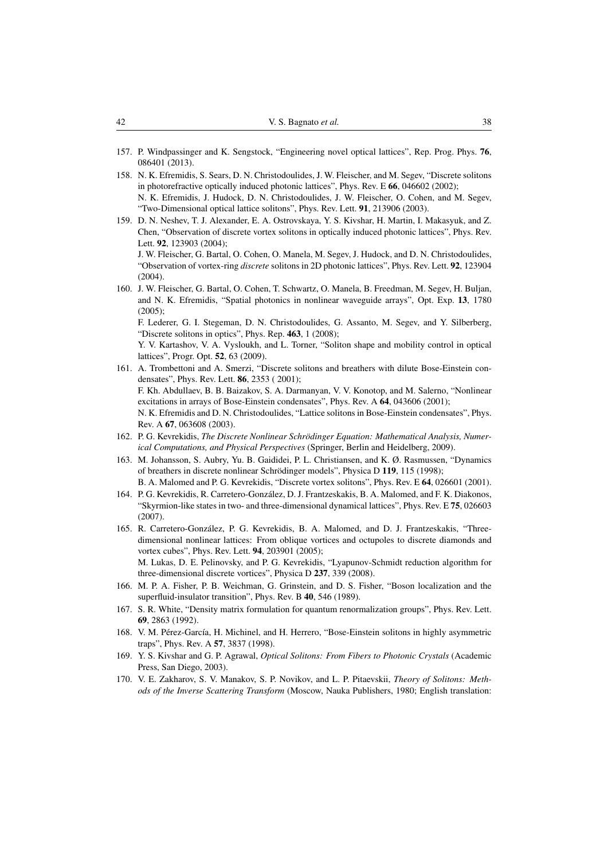- <span id="page-37-0"></span>157. P. Windpassinger and K. Sengstock, "Engineering novel optical lattices", Rep. Prog. Phys. 76, 086401 (2013).
- <span id="page-37-1"></span>158. N. K. Efremidis, S. Sears, D. N. Christodoulides, J. W. Fleischer, and M. Segev, "Discrete solitons in photorefractive optically induced photonic lattices", Phys. Rev. E 66, 046602 (2002); N. K. Efremidis, J. Hudock, D. N. Christodoulides, J. W. Fleischer, O. Cohen, and M. Segev, "Two-Dimensional optical lattice solitons", Phys. Rev. Lett. 91, 213906 (2003).
- <span id="page-37-2"></span>159. D. N. Neshev, T. J. Alexander, E. A. Ostrovskaya, Y. S. Kivshar, H. Martin, I. Makasyuk, and Z. Chen, "Observation of discrete vortex solitons in optically induced photonic lattices", Phys. Rev. Lett. 92, 123903 (2004);

J. W. Fleischer, G. Bartal, O. Cohen, O. Manela, M. Segev, J. Hudock, and D. N. Christodoulides, "Observation of vortex-ring *discrete* solitons in 2D photonic lattices", Phys. Rev. Lett. 92, 123904  $(2004)$ .

<span id="page-37-3"></span>160. J. W. Fleischer, G. Bartal, O. Cohen, T. Schwartz, O. Manela, B. Freedman, M. Segev, H. Buljan, and N. K. Efremidis, "Spatial photonics in nonlinear waveguide arrays", Opt. Exp. 13, 1780 (2005);

F. Lederer, G. I. Stegeman, D. N. Christodoulides, G. Assanto, M. Segev, and Y. Silberberg, "Discrete solitons in optics", Phys. Rep. 463, 1 (2008);

Y. V. Kartashov, V. A. Vysloukh, and L. Torner, "Soliton shape and mobility control in optical lattices", Progr. Opt. 52, 63 (2009).

- <span id="page-37-4"></span>161. A. Trombettoni and A. Smerzi, "Discrete solitons and breathers with dilute Bose-Einstein condensates", Phys. Rev. Lett. 86, 2353 ( 2001); F. Kh. Abdullaev, B. B. Baizakov, S. A. Darmanyan, V. V. Konotop, and M. Salerno, "Nonlinear excitations in arrays of Bose-Einstein condensates", Phys. Rev. A 64, 043606 (2001); N. K. Efremidis and D. N. Christodoulides, "Lattice solitons in Bose-Einstein condensates", Phys. Rev. A 67, 063608 (2003).
- <span id="page-37-5"></span>162. P. G. Kevrekidis, *The Discrete Nonlinear Schrodinger Equation: Mathematical Analysis, Numer- ¨ ical Computations, and Physical Perspectives* (Springer, Berlin and Heidelberg, 2009).
- <span id="page-37-6"></span>163. M. Johansson, S. Aubry, Yu. B. Gaididei, P. L. Christiansen, and K. Ø. Rasmussen, "Dynamics of breathers in discrete nonlinear Schrödinger models", Physica D 119, 115 (1998); B. A. Malomed and P. G. Kevrekidis, "Discrete vortex solitons", Phys. Rev. E 64, 026601 (2001).
- <span id="page-37-7"></span>164. P. G. Kevrekidis, R. Carretero-Gonzalez, D. J. Frantzeskakis, B. A. Malomed, and F. K. Diakonos, ´ "Skyrmion-like states in two- and three-dimensional dynamical lattices", Phys. Rev. E 75, 026603 (2007).
- <span id="page-37-8"></span>165. R. Carretero-Gonzalez, P. G. Kevrekidis, B. A. Malomed, and D. J. Frantzeskakis, "Three- ´ dimensional nonlinear lattices: From oblique vortices and octupoles to discrete diamonds and vortex cubes", Phys. Rev. Lett. 94, 203901 (2005); M. Lukas, D. E. Pelinovsky, and P. G. Kevrekidis, "Lyapunov-Schmidt reduction algorithm for

three-dimensional discrete vortices", Physica D 237, 339 (2008).

- <span id="page-37-9"></span>166. M. P. A. Fisher, P. B. Weichman, G. Grinstein, and D. S. Fisher, "Boson localization and the superfluid-insulator transition", Phys. Rev. B 40, 546 (1989).
- <span id="page-37-10"></span>167. S. R. White, "Density matrix formulation for quantum renormalization groups", Phys. Rev. Lett. 69, 2863 (1992).
- <span id="page-37-11"></span>168. V. M. Pérez-García, H. Michinel, and H. Herrero, "Bose-Einstein solitons in highly asymmetric traps", Phys. Rev. A 57, 3837 (1998).
- <span id="page-37-12"></span>169. Y. S. Kivshar and G. P. Agrawal, *Optical Solitons: From Fibers to Photonic Crystals* (Academic Press, San Diego, 2003).
- <span id="page-37-13"></span>170. V. E. Zakharov, S. V. Manakov, S. P. Novikov, and L. P. Pitaevskii, *Theory of Solitons: Methods of the Inverse Scattering Transform* (Moscow, Nauka Publishers, 1980; English translation: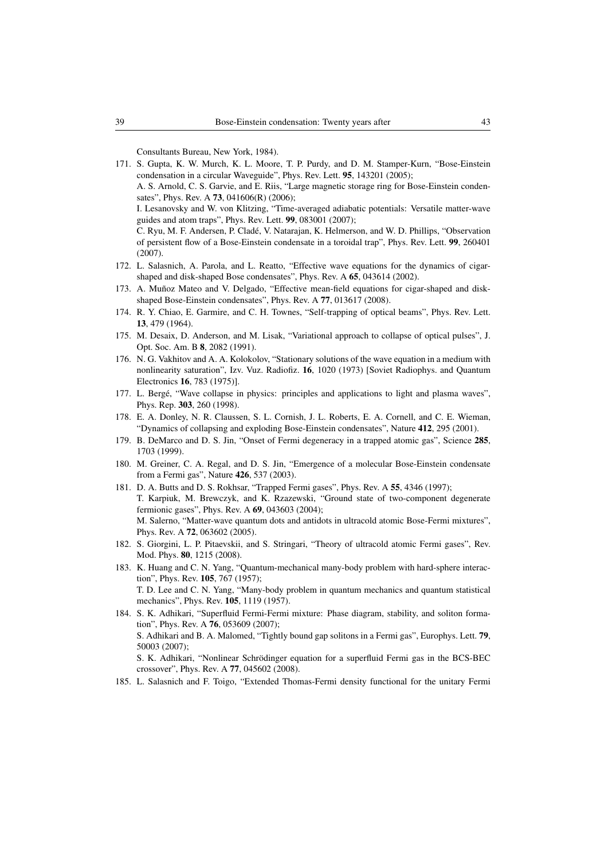Consultants Bureau, New York, 1984).

<span id="page-38-0"></span>171. S. Gupta, K. W. Murch, K. L. Moore, T. P. Purdy, and D. M. Stamper-Kurn, "Bose-Einstein condensation in a circular Waveguide", Phys. Rev. Lett. 95, 143201 (2005);

A. S. Arnold, C. S. Garvie, and E. Riis, "Large magnetic storage ring for Bose-Einstein condensates", Phys. Rev. A **73**, 041606(R) (2006);

I. Lesanovsky and W. von Klitzing, "Time-averaged adiabatic potentials: Versatile matter-wave guides and atom traps", Phys. Rev. Lett. 99, 083001 (2007);

C. Ryu, M. F. Andersen, P. Clade, V. Natarajan, K. Helmerson, and W. D. Phillips, "Observation ´ of persistent flow of a Bose-Einstein condensate in a toroidal trap", Phys. Rev. Lett. 99, 260401 (2007).

- <span id="page-38-1"></span>172. L. Salasnich, A. Parola, and L. Reatto, "Effective wave equations for the dynamics of cigarshaped and disk-shaped Bose condensates", Phys. Rev. A 65, 043614 (2002).
- <span id="page-38-2"></span>173. A. Muñoz Mateo and V. Delgado, "Effective mean-field equations for cigar-shaped and diskshaped Bose-Einstein condensates", Phys. Rev. A 77, 013617 (2008).
- <span id="page-38-3"></span>174. R. Y. Chiao, E. Garmire, and C. H. Townes, "Self-trapping of optical beams", Phys. Rev. Lett. 13, 479 (1964).
- <span id="page-38-4"></span>175. M. Desaix, D. Anderson, and M. Lisak, "Variational approach to collapse of optical pulses", J. Opt. Soc. Am. B 8, 2082 (1991).
- <span id="page-38-5"></span>176. N. G. Vakhitov and A. A. Kolokolov, "Stationary solutions of the wave equation in a medium with nonlinearity saturation", Izv. Vuz. Radiofiz. 16, 1020 (1973) [Soviet Radiophys. and Quantum Electronics 16, 783 (1975)].
- <span id="page-38-6"></span>177. L. Berge, "Wave collapse in physics: principles and applications to light and plasma waves", ´ Phys. Rep. 303, 260 (1998).
- <span id="page-38-7"></span>178. E. A. Donley, N. R. Claussen, S. L. Cornish, J. L. Roberts, E. A. Cornell, and C. E. Wieman, "Dynamics of collapsing and exploding Bose-Einstein condensates", Nature 412, 295 (2001).
- <span id="page-38-8"></span>179. B. DeMarco and D. S. Jin, "Onset of Fermi degeneracy in a trapped atomic gas", Science 285, 1703 (1999).
- <span id="page-38-9"></span>180. M. Greiner, C. A. Regal, and D. S. Jin, "Emergence of a molecular Bose-Einstein condensate from a Fermi gas", Nature 426, 537 (2003).
- <span id="page-38-10"></span>181. D. A. Butts and D. S. Rokhsar, "Trapped Fermi gases", Phys. Rev. A 55, 4346 (1997); T. Karpiuk, M. Brewczyk, and K. Rzazewski, "Ground state of two-component degenerate fermionic gases", Phys. Rev. A 69, 043603 (2004); M. Salerno, "Matter-wave quantum dots and antidots in ultracold atomic Bose-Fermi mixtures", Phys. Rev. A 72, 063602 (2005).
- <span id="page-38-11"></span>182. S. Giorgini, L. P. Pitaevskii, and S. Stringari, "Theory of ultracold atomic Fermi gases", Rev. Mod. Phys. 80, 1215 (2008).
- <span id="page-38-12"></span>183. K. Huang and C. N. Yang, "Quantum-mechanical many-body problem with hard-sphere interaction", Phys. Rev. 105, 767 (1957); T. D. Lee and C. N. Yang, "Many-body problem in quantum mechanics and quantum statistical mechanics", Phys. Rev. 105, 1119 (1957).
- <span id="page-38-13"></span>184. S. K. Adhikari, "Superfluid Fermi-Fermi mixture: Phase diagram, stability, and soliton formation", Phys. Rev. A 76, 053609 (2007); S. Adhikari and B. A. Malomed, "Tightly bound gap solitons in a Fermi gas", Europhys. Lett. 79, 50003 (2007); S. K. Adhikari, "Nonlinear Schrödinger equation for a superfluid Fermi gas in the BCS-BEC crossover", Phys. Rev. A 77, 045602 (2008).
- <span id="page-38-14"></span>185. L. Salasnich and F. Toigo, "Extended Thomas-Fermi density functional for the unitary Fermi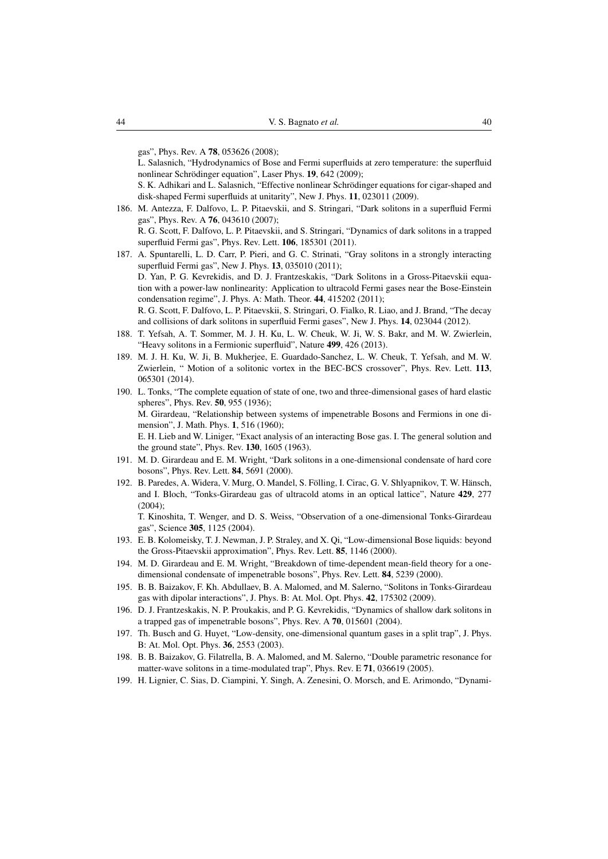gas", Phys. Rev. A 78, 053626 (2008);

L. Salasnich, "Hydrodynamics of Bose and Fermi superfluids at zero temperature: the superfluid nonlinear Schrödinger equation", Laser Phys. 19, 642 (2009);

S. K. Adhikari and L. Salasnich, "Effective nonlinear Schrödinger equations for cigar-shaped and disk-shaped Fermi superfluids at unitarity", New J. Phys. 11, 023011 (2009).

- <span id="page-39-0"></span>186. M. Antezza, F. Dalfovo, L. P. Pitaevskii, and S. Stringari, "Dark solitons in a superfluid Fermi gas", Phys. Rev. A 76, 043610 (2007); R. G. Scott, F. Dalfovo, L. P. Pitaevskii, and S. Stringari, "Dynamics of dark solitons in a trapped superfluid Fermi gas", Phys. Rev. Lett. 106, 185301 (2011).
- <span id="page-39-1"></span>187. A. Spuntarelli, L. D. Carr, P. Pieri, and G. C. Strinati, "Gray solitons in a strongly interacting superfluid Fermi gas", New J. Phys. 13, 035010 (2011); D. Yan, P. G. Kevrekidis, and D. J. Frantzeskakis, "Dark Solitons in a Gross-Pitaevskii equation with a power-law nonlinearity: Application to ultracold Fermi gases near the Bose-Einstein condensation regime", J. Phys. A: Math. Theor. 44, 415202 (2011); R. G. Scott, F. Dalfovo, L. P. Pitaevskii, S. Stringari, O. Fialko, R. Liao, and J. Brand, "The decay and collisions of dark solitons in superfluid Fermi gases", New J. Phys. 14, 023044 (2012).
- <span id="page-39-2"></span>188. T. Yefsah, A. T. Sommer, M. J. H. Ku, L. W. Cheuk, W. Ji, W. S. Bakr, and M. W. Zwierlein, "Heavy solitons in a Fermionic superfluid", Nature 499, 426 (2013).
- <span id="page-39-3"></span>189. M. J. H. Ku, W. Ji, B. Mukherjee, E. Guardado-Sanchez, L. W. Cheuk, T. Yefsah, and M. W. Zwierlein, " Motion of a solitonic vortex in the BEC-BCS crossover", Phys. Rev. Lett. 113, 065301 (2014).
- <span id="page-39-4"></span>190. L. Tonks, "The complete equation of state of one, two and three-dimensional gases of hard elastic spheres", Phys. Rev. 50, 955 (1936); M. Girardeau, "Relationship between systems of impenetrable Bosons and Fermions in one dimension", J. Math. Phys. 1, 516 (1960); E. H. Lieb and W. Liniger, "Exact analysis of an interacting Bose gas. I. The general solution and the ground state", Phys. Rev. 130, 1605 (1963).
- <span id="page-39-5"></span>191. M. D. Girardeau and E. M. Wright, "Dark solitons in a one-dimensional condensate of hard core bosons", Phys. Rev. Lett. 84, 5691 (2000).
- <span id="page-39-6"></span>192. B. Paredes, A. Widera, V. Murg, O. Mandel, S. Fölling, I. Cirac, G. V. Shlyapnikov, T. W. Hänsch, and I. Bloch, "Tonks-Girardeau gas of ultracold atoms in an optical lattice", Nature 429, 277 (2004);

T. Kinoshita, T. Wenger, and D. S. Weiss, "Observation of a one-dimensional Tonks-Girardeau gas", Science 305, 1125 (2004).

- <span id="page-39-7"></span>193. E. B. Kolomeisky, T. J. Newman, J. P. Straley, and X. Qi, "Low-dimensional Bose liquids: beyond the Gross-Pitaevskii approximation", Phys. Rev. Lett. 85, 1146 (2000).
- <span id="page-39-8"></span>194. M. D. Girardeau and E. M. Wright, "Breakdown of time-dependent mean-field theory for a onedimensional condensate of impenetrable bosons", Phys. Rev. Lett. 84, 5239 (2000).
- <span id="page-39-9"></span>195. B. B. Baizakov, F. Kh. Abdullaev, B. A. Malomed, and M. Salerno, "Solitons in Tonks-Girardeau gas with dipolar interactions", J. Phys. B: At. Mol. Opt. Phys. 42, 175302 (2009).
- <span id="page-39-10"></span>196. D. J. Frantzeskakis, N. P. Proukakis, and P. G. Kevrekidis, "Dynamics of shallow dark solitons in a trapped gas of impenetrable bosons", Phys. Rev. A 70, 015601 (2004).
- <span id="page-39-11"></span>197. Th. Busch and G. Huyet, "Low-density, one-dimensional quantum gases in a split trap", J. Phys. B: At. Mol. Opt. Phys. 36, 2553 (2003).
- <span id="page-39-12"></span>198. B. B. Baizakov, G. Filatrella, B. A. Malomed, and M. Salerno, "Double parametric resonance for matter-wave solitons in a time-modulated trap", Phys. Rev. E 71, 036619 (2005).
- <span id="page-39-13"></span>199. H. Lignier, C. Sias, D. Ciampini, Y. Singh, A. Zenesini, O. Morsch, and E. Arimondo, "Dynami-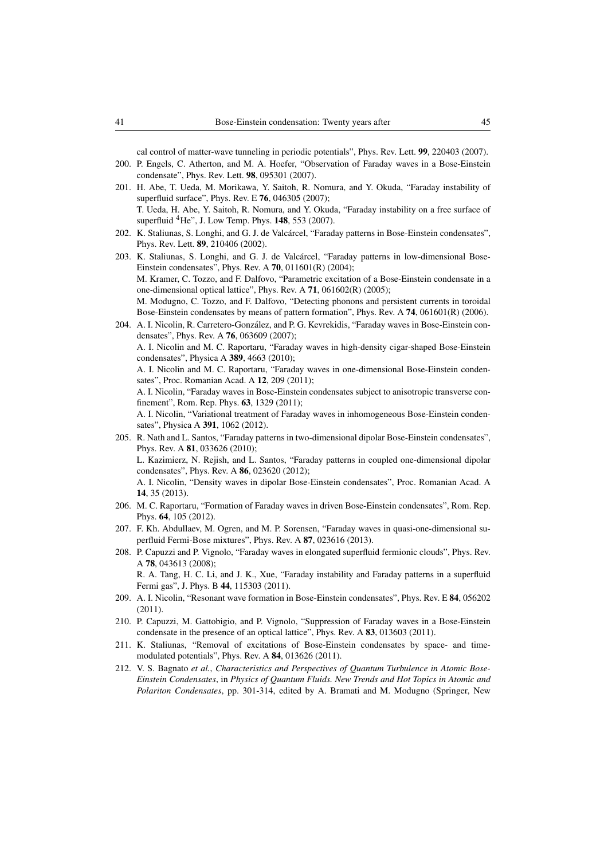cal control of matter-wave tunneling in periodic potentials", Phys. Rev. Lett. 99, 220403 (2007).

- <span id="page-40-0"></span>200. P. Engels, C. Atherton, and M. A. Hoefer, "Observation of Faraday waves in a Bose-Einstein condensate", Phys. Rev. Lett. 98, 095301 (2007).
- <span id="page-40-1"></span>201. H. Abe, T. Ueda, M. Morikawa, Y. Saitoh, R. Nomura, and Y. Okuda, "Faraday instability of superfluid surface", Phys. Rev. E 76, 046305 (2007); T. Ueda, H. Abe, Y. Saitoh, R. Nomura, and Y. Okuda, "Faraday instability on a free surface of superfluid  ${}^{4}$ He", J. Low Temp. Phys. 148, 553 (2007).
- <span id="page-40-2"></span>202. K. Staliunas, S. Longhi, and G. J. de Valcarcel, "Faraday patterns in Bose-Einstein condensates", ´ Phys. Rev. Lett. 89, 210406 (2002).
- 203. K. Staliunas, S. Longhi, and G. J. de Valcárcel, "Faraday patterns in low-dimensional Bose-Einstein condensates", Phys. Rev. A 70, 011601(R) (2004); M. Kramer, C. Tozzo, and F. Dalfovo, "Parametric excitation of a Bose-Einstein condensate in a one-dimensional optical lattice", Phys. Rev. A 71, 061602(R) (2005); M. Modugno, C. Tozzo, and F. Dalfovo, "Detecting phonons and persistent currents in toroidal Bose-Einstein condensates by means of pattern formation", Phys. Rev. A 74, 061601(R) (2006).
- <span id="page-40-3"></span>204. A. I. Nicolin, R. Carretero-Gonzalez, and P. G. Kevrekidis, "Faraday waves in Bose-Einstein con- ´ densates", Phys. Rev. A 76, 063609 (2007); A. I. Nicolin and M. C. Raportaru, "Faraday waves in high-density cigar-shaped Bose-Einstein condensates", Physica A 389, 4663 (2010);
	- A. I. Nicolin and M. C. Raportaru, "Faraday waves in one-dimensional Bose-Einstein condensates", Proc. Romanian Acad. A 12, 209 (2011);
	- A. I. Nicolin, "Faraday waves in Bose-Einstein condensates subject to anisotropic transverse confinement", Rom. Rep. Phys. 63, 1329 (2011);

A. I. Nicolin, "Variational treatment of Faraday waves in inhomogeneous Bose-Einstein condensates", Physica A 391, 1062 (2012).

- <span id="page-40-4"></span>205. R. Nath and L. Santos, "Faraday patterns in two-dimensional dipolar Bose-Einstein condensates", Phys. Rev. A 81, 033626 (2010); L. Kazimierz, N. Rejish, and L. Santos, "Faraday patterns in coupled one-dimensional dipolar condensates", Phys. Rev. A 86, 023620 (2012); A. I. Nicolin, "Density waves in dipolar Bose-Einstein condensates", Proc. Romanian Acad. A 14, 35 (2013).
- <span id="page-40-5"></span>206. M. C. Raportaru, "Formation of Faraday waves in driven Bose-Einstein condensates", Rom. Rep. Phys. 64, 105 (2012).
- <span id="page-40-6"></span>207. F. Kh. Abdullaev, M. Ogren, and M. P. Sorensen, "Faraday waves in quasi-one-dimensional superfluid Fermi-Bose mixtures", Phys. Rev. A 87, 023616 (2013).
- <span id="page-40-7"></span>208. P. Capuzzi and P. Vignolo, "Faraday waves in elongated superfluid fermionic clouds", Phys. Rev. A 78, 043613 (2008); R. A. Tang, H. C. Li, and J. K., Xue, "Faraday instability and Faraday patterns in a superfluid

Fermi gas", J. Phys. B 44, 115303 (2011).

- <span id="page-40-8"></span>209. A. I. Nicolin, "Resonant wave formation in Bose-Einstein condensates", Phys. Rev. E 84, 056202 (2011).
- <span id="page-40-9"></span>210. P. Capuzzi, M. Gattobigio, and P. Vignolo, "Suppression of Faraday waves in a Bose-Einstein condensate in the presence of an optical lattice", Phys. Rev. A 83, 013603 (2011).
- <span id="page-40-10"></span>211. K. Staliunas, "Removal of excitations of Bose-Einstein condensates by space- and timemodulated potentials", Phys. Rev. A 84, 013626 (2011).
- <span id="page-40-11"></span>212. V. S. Bagnato *et al.*, *Characteristics and Perspectives of Quantum Turbulence in Atomic Bose-Einstein Condensates*, in *Physics of Quantum Fluids. New Trends and Hot Topics in Atomic and Polariton Condensates*, pp. 301-314, edited by A. Bramati and M. Modugno (Springer, New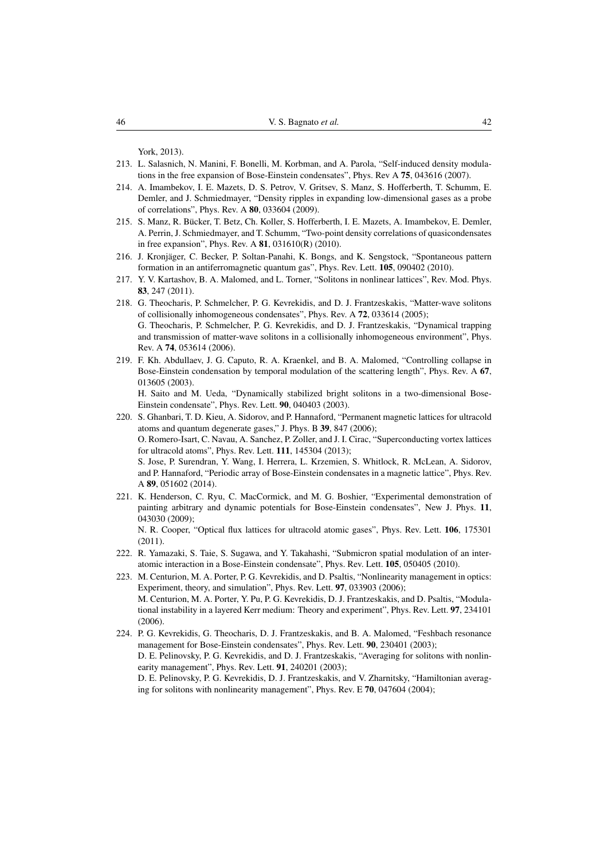York, 2013).

- <span id="page-41-0"></span>213. L. Salasnich, N. Manini, F. Bonelli, M. Korbman, and A. Parola, "Self-induced density modulations in the free expansion of Bose-Einstein condensates", Phys. Rev A 75, 043616 (2007).
- <span id="page-41-1"></span>214. A. Imambekov, I. E. Mazets, D. S. Petrov, V. Gritsev, S. Manz, S. Hofferberth, T. Schumm, E. Demler, and J. Schmiedmayer, "Density ripples in expanding low-dimensional gases as a probe of correlations", Phys. Rev. A 80, 033604 (2009).
- <span id="page-41-2"></span>215. S. Manz, R. Bucker, T. Betz, Ch. Koller, S. Hofferberth, I. E. Mazets, A. Imambekov, E. Demler, ¨ A. Perrin, J. Schmiedmayer, and T. Schumm, "Two-point density correlations of quasicondensates in free expansion", Phys. Rev. A 81, 031610(R) (2010).
- <span id="page-41-3"></span>216. J. Kronjager, C. Becker, P. Soltan-Panahi, K. Bongs, and K. Sengstock, "Spontaneous pattern ¨ formation in an antiferromagnetic quantum gas", Phys. Rev. Lett. 105, 090402 (2010).
- <span id="page-41-4"></span>217. Y. V. Kartashov, B. A. Malomed, and L. Torner, "Solitons in nonlinear lattices", Rev. Mod. Phys. 83, 247 (2011).
- <span id="page-41-5"></span>218. G. Theocharis, P. Schmelcher, P. G. Kevrekidis, and D. J. Frantzeskakis, "Matter-wave solitons of collisionally inhomogeneous condensates", Phys. Rev. A 72, 033614 (2005); G. Theocharis, P. Schmelcher, P. G. Kevrekidis, and D. J. Frantzeskakis, "Dynamical trapping and transmission of matter-wave solitons in a collisionally inhomogeneous environment", Phys. Rev. A 74, 053614 (2006).
- <span id="page-41-6"></span>219. F. Kh. Abdullaev, J. G. Caputo, R. A. Kraenkel, and B. A. Malomed, "Controlling collapse in Bose-Einstein condensation by temporal modulation of the scattering length", Phys. Rev. A 67, 013605 (2003).

H. Saito and M. Ueda, "Dynamically stabilized bright solitons in a two-dimensional Bose-Einstein condensate", Phys. Rev. Lett. 90, 040403 (2003).

- <span id="page-41-7"></span>220. S. Ghanbari, T. D. Kieu, A. Sidorov, and P. Hannaford, "Permanent magnetic lattices for ultracold atoms and quantum degenerate gases," J. Phys. B 39, 847 (2006); O. Romero-Isart, C. Navau, A. Sanchez, P. Zoller, and J. I. Cirac, "Superconducting vortex lattices for ultracold atoms", Phys. Rev. Lett. 111, 145304 (2013); S. Jose, P. Surendran, Y. Wang, I. Herrera, L. Krzemien, S. Whitlock, R. McLean, A. Sidorov, and P. Hannaford, "Periodic array of Bose-Einstein condensates in a magnetic lattice", Phys. Rev. A 89, 051602 (2014).
- <span id="page-41-8"></span>221. K. Henderson, C. Ryu, C. MacCormick, and M. G. Boshier, "Experimental demonstration of painting arbitrary and dynamic potentials for Bose-Einstein condensates", New J. Phys. 11, 043030 (2009);

N. R. Cooper, "Optical flux lattices for ultracold atomic gases", Phys. Rev. Lett. 106, 175301 (2011).

- <span id="page-41-9"></span>222. R. Yamazaki, S. Taie, S. Sugawa, and Y. Takahashi, "Submicron spatial modulation of an interatomic interaction in a Bose-Einstein condensate", Phys. Rev. Lett. 105, 050405 (2010).
- <span id="page-41-10"></span>223. M. Centurion, M. A. Porter, P. G. Kevrekidis, and D. Psaltis, "Nonlinearity management in optics: Experiment, theory, and simulation", Phys. Rev. Lett. 97, 033903 (2006); M. Centurion, M. A. Porter, Y. Pu, P. G. Kevrekidis, D. J. Frantzeskakis, and D. Psaltis, "Modulational instability in a layered Kerr medium: Theory and experiment", Phys. Rev. Lett. 97, 234101 (2006).
- <span id="page-41-11"></span>224. P. G. Kevrekidis, G. Theocharis, D. J. Frantzeskakis, and B. A. Malomed, "Feshbach resonance management for Bose-Einstein condensates", Phys. Rev. Lett. 90, 230401 (2003); D. E. Pelinovsky, P. G. Kevrekidis, and D. J. Frantzeskakis, "Averaging for solitons with nonlinearity management", Phys. Rev. Lett. **91**, 240201 (2003); D. E. Pelinovsky, P. G. Kevrekidis, D. J. Frantzeskakis, and V. Zharnitsky, "Hamiltonian averaging for solitons with nonlinearity management", Phys. Rev. E 70, 047604 (2004);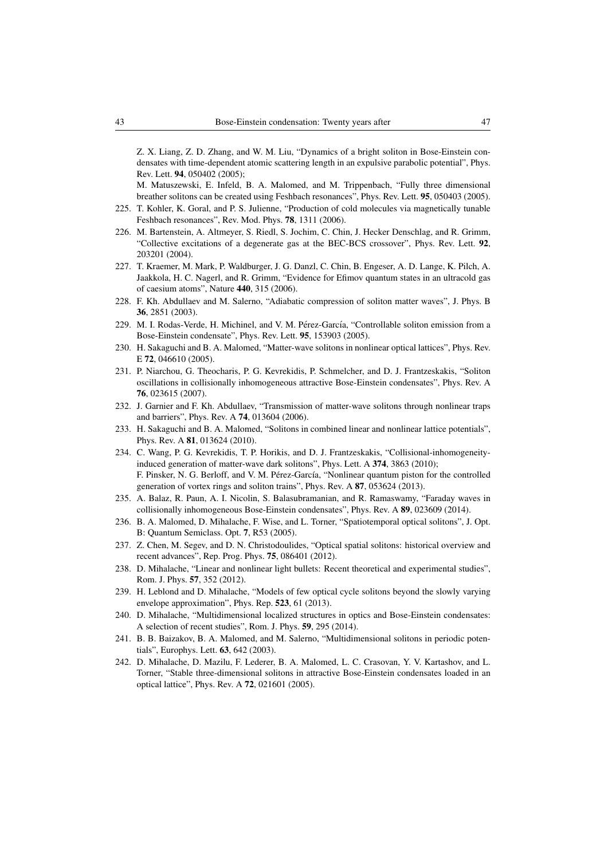Z. X. Liang, Z. D. Zhang, and W. M. Liu, "Dynamics of a bright soliton in Bose-Einstein condensates with time-dependent atomic scattering length in an expulsive parabolic potential", Phys. Rev. Lett. 94, 050402 (2005);

M. Matuszewski, E. Infeld, B. A. Malomed, and M. Trippenbach, "Fully three dimensional breather solitons can be created using Feshbach resonances", Phys. Rev. Lett. 95, 050403 (2005).

- <span id="page-42-0"></span>225. T. Kohler, K. Goral, and P. S. Julienne, "Production of cold molecules via magnetically tunable Feshbach resonances", Rev. Mod. Phys. 78, 1311 (2006).
- <span id="page-42-1"></span>226. M. Bartenstein, A. Altmeyer, S. Riedl, S. Jochim, C. Chin, J. Hecker Denschlag, and R. Grimm, "Collective excitations of a degenerate gas at the BEC-BCS crossover", Phys. Rev. Lett. 92, 203201 (2004).
- <span id="page-42-2"></span>227. T. Kraemer, M. Mark, P. Waldburger, J. G. Danzl, C. Chin, B. Engeser, A. D. Lange, K. Pilch, A. Jaakkola, H. C. Nagerl, and R. Grimm, "Evidence for Efimov quantum states in an ultracold gas of caesium atoms", Nature 440, 315 (2006).
- <span id="page-42-3"></span>228. F. Kh. Abdullaev and M. Salerno, "Adiabatic compression of soliton matter waves", J. Phys. B 36, 2851 (2003).
- <span id="page-42-4"></span>229. M. I. Rodas-Verde, H. Michinel, and V. M. Pérez-García, "Controllable soliton emission from a Bose-Einstein condensate", Phys. Rev. Lett. 95, 153903 (2005).
- <span id="page-42-5"></span>230. H. Sakaguchi and B. A. Malomed, "Matter-wave solitons in nonlinear optical lattices", Phys. Rev. E 72, 046610 (2005).
- <span id="page-42-6"></span>231. P. Niarchou, G. Theocharis, P. G. Kevrekidis, P. Schmelcher, and D. J. Frantzeskakis, "Soliton oscillations in collisionally inhomogeneous attractive Bose-Einstein condensates", Phys. Rev. A 76, 023615 (2007).
- <span id="page-42-7"></span>232. J. Garnier and F. Kh. Abdullaev, "Transmission of matter-wave solitons through nonlinear traps and barriers", Phys. Rev. A 74, 013604 (2006).
- <span id="page-42-8"></span>233. H. Sakaguchi and B. A. Malomed, "Solitons in combined linear and nonlinear lattice potentials", Phys. Rev. A 81, 013624 (2010).
- <span id="page-42-9"></span>234. C. Wang, P. G. Kevrekidis, T. P. Horikis, and D. J. Frantzeskakis, "Collisional-inhomogeneityinduced generation of matter-wave dark solitons", Phys. Lett. A 374, 3863 (2010); F. Pinsker, N. G. Berloff, and V. M. Pérez-García, "Nonlinear quantum piston for the controlled generation of vortex rings and soliton trains", Phys. Rev. A 87, 053624 (2013).
- <span id="page-42-10"></span>235. A. Balaz, R. Paun, A. I. Nicolin, S. Balasubramanian, and R. Ramaswamy, "Faraday waves in collisionally inhomogeneous Bose-Einstein condensates", Phys. Rev. A 89, 023609 (2014).
- <span id="page-42-11"></span>236. B. A. Malomed, D. Mihalache, F. Wise, and L. Torner, "Spatiotemporal optical solitons", J. Opt. B: Quantum Semiclass. Opt. 7, R53 (2005).
- 237. Z. Chen, M. Segev, and D. N. Christodoulides, "Optical spatial solitons: historical overview and recent advances", Rep. Prog. Phys. 75, 086401 (2012).
- 238. D. Mihalache, "Linear and nonlinear light bullets: Recent theoretical and experimental studies", Rom. J. Phys. 57, 352 (2012).
- 239. H. Leblond and D. Mihalache, "Models of few optical cycle solitons beyond the slowly varying envelope approximation", Phys. Rep. 523, 61 (2013).
- <span id="page-42-12"></span>240. D. Mihalache, "Multidimensional localized structures in optics and Bose-Einstein condensates: A selection of recent studies", Rom. J. Phys. 59, 295 (2014).
- <span id="page-42-13"></span>241. B. B. Baizakov, B. A. Malomed, and M. Salerno, "Multidimensional solitons in periodic potentials", Europhys. Lett. 63, 642 (2003).
- <span id="page-42-14"></span>242. D. Mihalache, D. Mazilu, F. Lederer, B. A. Malomed, L. C. Crasovan, Y. V. Kartashov, and L. Torner, "Stable three-dimensional solitons in attractive Bose-Einstein condensates loaded in an optical lattice", Phys. Rev. A 72, 021601 (2005).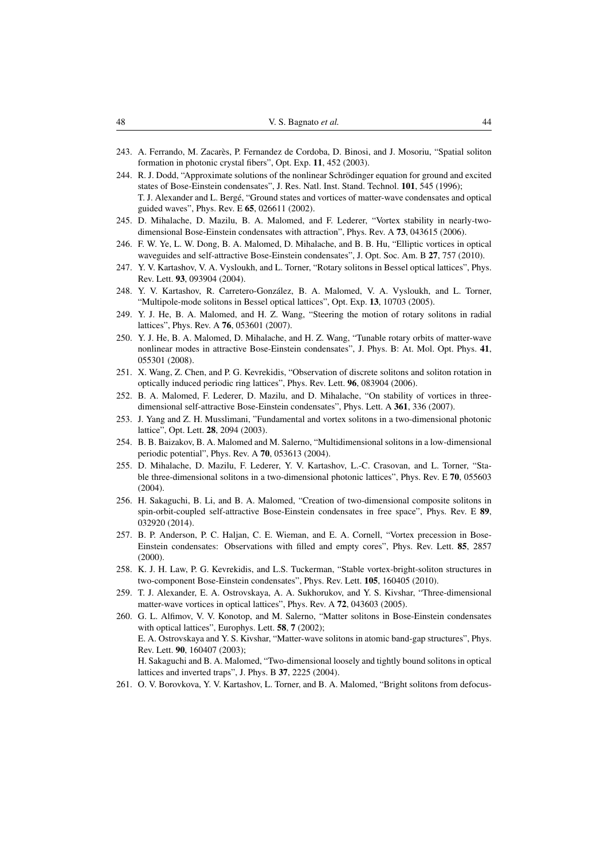- <span id="page-43-0"></span>243. A. Ferrando, M. Zacares, P. Fernandez de Cordoba, D. Binosi, and J. Mosoriu, "Spatial soliton ` formation in photonic crystal fibers", Opt. Exp. 11, 452 (2003).
- <span id="page-43-1"></span>244. R. J. Dodd, "Approximate solutions of the nonlinear Schrodinger equation for ground and excited ¨ states of Bose-Einstein condensates", J. Res. Natl. Inst. Stand. Technol. 101, 545 (1996); T. J. Alexander and L. Berge, "Ground states and vortices of matter-wave condensates and optical ´ guided waves", Phys. Rev. E 65, 026611 (2002).
- <span id="page-43-2"></span>245. D. Mihalache, D. Mazilu, B. A. Malomed, and F. Lederer, "Vortex stability in nearly-twodimensional Bose-Einstein condensates with attraction", Phys. Rev. A 73, 043615 (2006).
- <span id="page-43-3"></span>246. F. W. Ye, L. W. Dong, B. A. Malomed, D. Mihalache, and B. B. Hu, "Elliptic vortices in optical waveguides and self-attractive Bose-Einstein condensates", J. Opt. Soc. Am. B 27, 757 (2010).
- <span id="page-43-4"></span>247. Y. V. Kartashov, V. A. Vysloukh, and L. Torner, "Rotary solitons in Bessel optical lattices", Phys. Rev. Lett. 93, 093904 (2004).
- 248. Y. V. Kartashov, R. Carretero-Gonzalez, B. A. Malomed, V. A. Vysloukh, and L. Torner, ´ "Multipole-mode solitons in Bessel optical lattices", Opt. Exp. 13, 10703 (2005).
- 249. Y. J. He, B. A. Malomed, and H. Z. Wang, "Steering the motion of rotary solitons in radial lattices", Phys. Rev. A 76, 053601 (2007).
- <span id="page-43-5"></span>250. Y. J. He, B. A. Malomed, D. Mihalache, and H. Z. Wang, "Tunable rotary orbits of matter-wave nonlinear modes in attractive Bose-Einstein condensates", J. Phys. B: At. Mol. Opt. Phys. 41, 055301 (2008).
- <span id="page-43-6"></span>251. X. Wang, Z. Chen, and P. G. Kevrekidis, "Observation of discrete solitons and soliton rotation in optically induced periodic ring lattices", Phys. Rev. Lett. 96, 083904 (2006).
- <span id="page-43-7"></span>252. B. A. Malomed, F. Lederer, D. Mazilu, and D. Mihalache, "On stability of vortices in threedimensional self-attractive Bose-Einstein condensates", Phys. Lett. A 361, 336 (2007).
- <span id="page-43-8"></span>253. J. Yang and Z. H. Musslimani, "Fundamental and vortex solitons in a two-dimensional photonic lattice", Opt. Lett. 28, 2094 (2003).
- <span id="page-43-9"></span>254. B. B. Baizakov, B. A. Malomed and M. Salerno, "Multidimensional solitons in a low-dimensional periodic potential", Phys. Rev. A 70, 053613 (2004).
- <span id="page-43-10"></span>255. D. Mihalache, D. Mazilu, F. Lederer, Y. V. Kartashov, L.-C. Crasovan, and L. Torner, "Stable three-dimensional solitons in a two-dimensional photonic lattices", Phys. Rev. E 70, 055603 (2004).
- <span id="page-43-11"></span>256. H. Sakaguchi, B. Li, and B. A. Malomed, "Creation of two-dimensional composite solitons in spin-orbit-coupled self-attractive Bose-Einstein condensates in free space", Phys. Rev. E 89, 032920 (2014).
- <span id="page-43-12"></span>257. B. P. Anderson, P. C. Haljan, C. E. Wieman, and E. A. Cornell, "Vortex precession in Bose-Einstein condensates: Observations with filled and empty cores", Phys. Rev. Lett. 85, 2857 (2000).
- <span id="page-43-13"></span>258. K. J. H. Law, P. G. Kevrekidis, and L.S. Tuckerman, "Stable vortex-bright-soliton structures in two-component Bose-Einstein condensates", Phys. Rev. Lett. 105, 160405 (2010).
- <span id="page-43-14"></span>259. T. J. Alexander, E. A. Ostrovskaya, A. A. Sukhorukov, and Y. S. Kivshar, "Three-dimensional matter-wave vortices in optical lattices", Phys. Rev. A 72, 043603 (2005).
- <span id="page-43-15"></span>260. G. L. Alfimov, V. V. Konotop, and M. Salerno, "Matter solitons in Bose-Einstein condensates with optical lattices", Europhys. Lett. **58**, 7 (2002); E. A. Ostrovskaya and Y. S. Kivshar, "Matter-wave solitons in atomic band-gap structures", Phys. Rev. Lett. 90, 160407 (2003); H. Sakaguchi and B. A. Malomed, "Two-dimensional loosely and tightly bound solitons in optical lattices and inverted traps", J. Phys. B 37, 2225 (2004).
- <span id="page-43-16"></span>261. O. V. Borovkova, Y. V. Kartashov, L. Torner, and B. A. Malomed, "Bright solitons from defocus-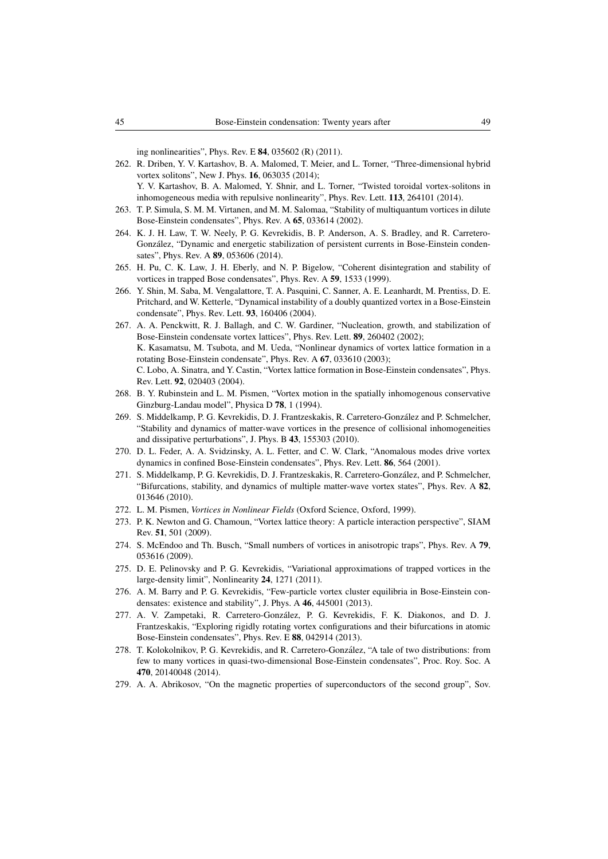ing nonlinearities", Phys. Rev. E 84, 035602 (R) (2011).

<span id="page-44-0"></span>262. R. Driben, Y. V. Kartashov, B. A. Malomed, T. Meier, and L. Torner, "Three-dimensional hybrid vortex solitons", New J. Phys. 16, 063035 (2014);

Y. V. Kartashov, B. A. Malomed, Y. Shnir, and L. Torner, "Twisted toroidal vortex-solitons in inhomogeneous media with repulsive nonlinearity", Phys. Rev. Lett. 113, 264101 (2014).

- <span id="page-44-1"></span>263. T. P. Simula, S. M. M. Virtanen, and M. M. Salomaa, "Stability of multiquantum vortices in dilute Bose-Einstein condensates", Phys. Rev. A 65, 033614 (2002).
- <span id="page-44-2"></span>264. K. J. H. Law, T. W. Neely, P. G. Kevrekidis, B. P. Anderson, A. S. Bradley, and R. Carretero-González, "Dynamic and energetic stabilization of persistent currents in Bose-Einstein condensates", Phys. Rev. A 89, 053606 (2014).
- <span id="page-44-3"></span>265. H. Pu, C. K. Law, J. H. Eberly, and N. P. Bigelow, "Coherent disintegration and stability of vortices in trapped Bose condensates", Phys. Rev. A 59, 1533 (1999).
- <span id="page-44-4"></span>266. Y. Shin, M. Saba, M. Vengalattore, T. A. Pasquini, C. Sanner, A. E. Leanhardt, M. Prentiss, D. E. Pritchard, and W. Ketterle, "Dynamical instability of a doubly quantized vortex in a Bose-Einstein condensate", Phys. Rev. Lett. 93, 160406 (2004).
- <span id="page-44-5"></span>267. A. A. Penckwitt, R. J. Ballagh, and C. W. Gardiner, "Nucleation, growth, and stabilization of Bose-Einstein condensate vortex lattices", Phys. Rev. Lett. 89, 260402 (2002); K. Kasamatsu, M. Tsubota, and M. Ueda, "Nonlinear dynamics of vortex lattice formation in a rotating Bose-Einstein condensate", Phys. Rev. A 67, 033610 (2003); C. Lobo, A. Sinatra, and Y. Castin, "Vortex lattice formation in Bose-Einstein condensates", Phys. Rev. Lett. 92, 020403 (2004).
- <span id="page-44-6"></span>268. B. Y. Rubinstein and L. M. Pismen, "Vortex motion in the spatially inhomogenous conservative Ginzburg-Landau model", Physica D 78, 1 (1994).
- <span id="page-44-7"></span>269. S. Middelkamp, P. G. Kevrekidis, D. J. Frantzeskakis, R. Carretero-Gonzalez and P. Schmelcher, ´ "Stability and dynamics of matter-wave vortices in the presence of collisional inhomogeneities and dissipative perturbations", J. Phys. B 43, 155303 (2010).
- <span id="page-44-8"></span>270. D. L. Feder, A. A. Svidzinsky, A. L. Fetter, and C. W. Clark, "Anomalous modes drive vortex dynamics in confined Bose-Einstein condensates", Phys. Rev. Lett. 86, 564 (2001).
- <span id="page-44-9"></span>271. S. Middelkamp, P. G. Kevrekidis, D. J. Frantzeskakis, R. Carretero-Gonzalez, and P. Schmelcher, ´ "Bifurcations, stability, and dynamics of multiple matter-wave vortex states", Phys. Rev. A 82, 013646 (2010).
- <span id="page-44-10"></span>272. L. M. Pismen, *Vortices in Nonlinear Fields* (Oxford Science, Oxford, 1999).
- <span id="page-44-11"></span>273. P. K. Newton and G. Chamoun, "Vortex lattice theory: A particle interaction perspective", SIAM Rev. 51, 501 (2009).
- <span id="page-44-12"></span>274. S. McEndoo and Th. Busch, "Small numbers of vortices in anisotropic traps", Phys. Rev. A 79, 053616 (2009).
- <span id="page-44-13"></span>275. D. E. Pelinovsky and P. G. Kevrekidis, "Variational approximations of trapped vortices in the large-density limit", Nonlinearity 24, 1271 (2011).
- <span id="page-44-14"></span>276. A. M. Barry and P. G. Kevrekidis, "Few-particle vortex cluster equilibria in Bose-Einstein condensates: existence and stability", J. Phys. A 46, 445001 (2013).
- <span id="page-44-15"></span>277. A. V. Zampetaki, R. Carretero-Gonzalez, P. G. Kevrekidis, F. K. Diakonos, and D. J. ´ Frantzeskakis, "Exploring rigidly rotating vortex configurations and their bifurcations in atomic Bose-Einstein condensates", Phys. Rev. E 88, 042914 (2013).
- <span id="page-44-16"></span>278. T. Kolokolnikov, P. G. Kevrekidis, and R. Carretero-Gonzalez, "A tale of two distributions: from ´ few to many vortices in quasi-two-dimensional Bose-Einstein condensates", Proc. Roy. Soc. A 470, 20140048 (2014).
- <span id="page-44-17"></span>279. A. A. Abrikosov, "On the magnetic properties of superconductors of the second group", Sov.